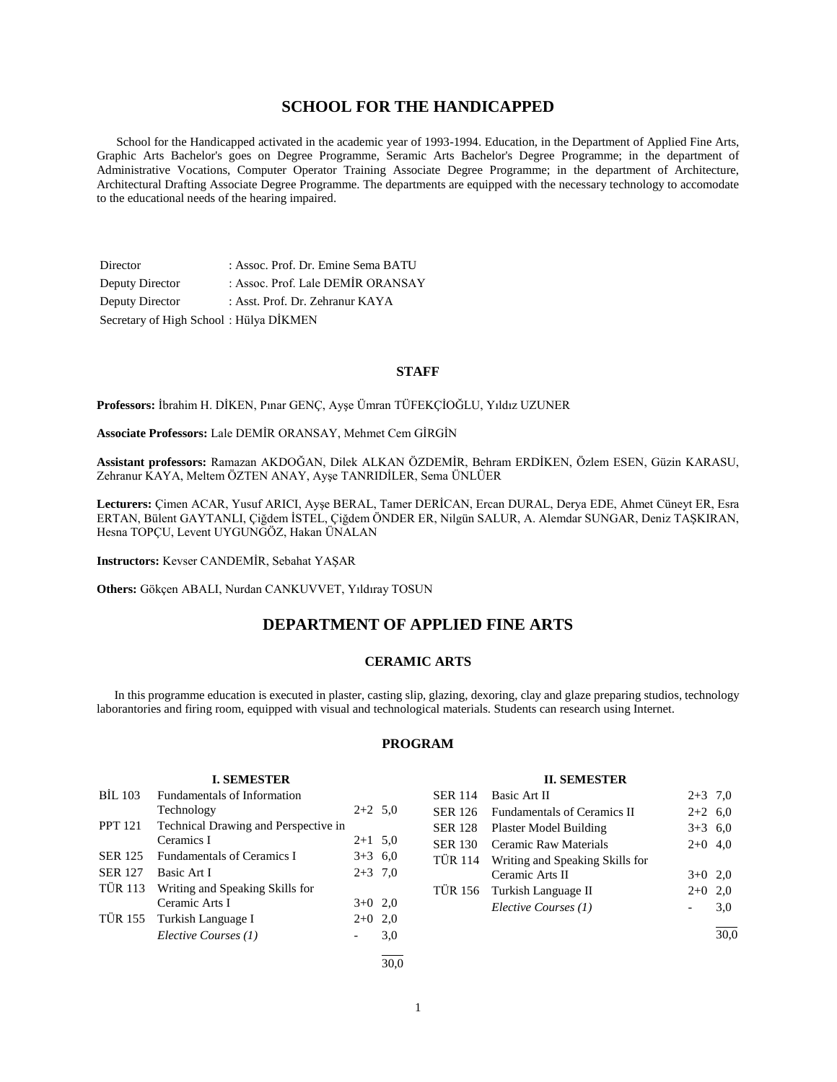# **SCHOOL FOR THE HANDICAPPED**

 School for the Handicapped activated in the academic year of 1993-1994. Education, in the Department of Applied Fine Arts, Graphic Arts Bachelor's goes on Degree Programme, Seramic Arts Bachelor's Degree Programme; in the department of Administrative Vocations, Computer Operator Training Associate Degree Programme; in the department of Architecture, Architectural Drafting Associate Degree Programme. The departments are equipped with the necessary technology to accomodate to the educational needs of the hearing impaired.

Director : Assoc. Prof. Dr. Emine Sema BATU Deputy Director : Assoc. Prof. Lale DEMİR ORANSAY Deputy Director : Asst. Prof. Dr. Zehranur KAYA Secretary of High School : Hülya DİKMEN

# **STAFF**

**Professors:** İbrahim H. DİKEN, Pınar GENÇ, Ayşe Ümran TÜFEKÇİOĞLU, Yıldız UZUNER

**Associate Professors:** Lale DEMİR ORANSAY, Mehmet Cem GİRGİN

**Assistant professors:** Ramazan AKDOĞAN, Dilek ALKAN ÖZDEMİR, Behram ERDİKEN, Özlem ESEN, Güzin KARASU, Zehranur KAYA, Meltem ÖZTEN ANAY, Ayşe TANRIDİLER, Sema ÜNLÜER

**Lecturers:** Çimen ACAR, Yusuf ARICI, Ayşe BERAL, Tamer DERİCAN, Ercan DURAL, Derya EDE, Ahmet Cüneyt ER, Esra ERTAN, Bülent GAYTANLI, Çiğdem İSTEL, Çiğdem ÖNDER ER, Nilgün SALUR, A. Alemdar SUNGAR, Deniz TAŞKIRAN, Hesna TOPÇU, Levent UYGUNGÖZ, Hakan ÜNALAN

**Instructors:** Kevser CANDEMİR, Sebahat YAŞAR

**Others:** Gökçen ABALI, Nurdan CANKUVVET, Yıldıray TOSUN

# **DEPARTMENT OF APPLIED FINE ARTS**

# **CERAMIC ARTS**

 In this programme education is executed in plaster, casting slip, glazing, dexoring, clay and glaze preparing studios, technology laborantories and firing room, equipped with visual and technological materials. Students can research using Internet.

# **PROGRAM**

#### **I. SEMESTER**

| <b>BIL 103</b> | <b>Fundamentals of Information</b>   |           |     |
|----------------|--------------------------------------|-----------|-----|
|                | Technology                           | $2+2$ 5.0 |     |
| <b>PPT</b> 121 | Technical Drawing and Perspective in |           |     |
|                | Ceramics I                           | $2+1$ 5.0 |     |
| <b>SER 125</b> | <b>Fundamentals of Ceramics I</b>    | $3+3$ 6,0 |     |
| <b>SER 127</b> | Basic Art I                          | $2+3$ 7,0 |     |
| TÜR 113        | Writing and Speaking Skills for      |           |     |
|                | Ceramic Arts I                       | $3+0$ 2,0 |     |
|                | TÜR 155 Turkish Language I           | $2+0$ 2,0 |     |
|                | Elective Courses (1)                 |           | 3,0 |
|                |                                      |           |     |

## **II. SEMESTER**

|                | SER 114 Basic Art II                    | $2+3$ 7,0 |     |
|----------------|-----------------------------------------|-----------|-----|
|                | SER 126 Fundamentals of Ceramics II     | $2+2$ 6,0 |     |
| SER 128        | Plaster Model Building                  | $3+3$ 6.0 |     |
| <b>SER 130</b> | Ceramic Raw Materials                   | $2+0$ 4,0 |     |
|                | TÜR 114 Writing and Speaking Skills for |           |     |
|                | Ceramic Arts II                         | $3+0$ 2,0 |     |
|                | TÜR 156 Turkish Language II             | $2+0$     | 2.0 |
|                | Elective Courses (1)                    |           | 3,0 |
|                |                                         |           |     |

30,0

 $\frac{1}{30.0}$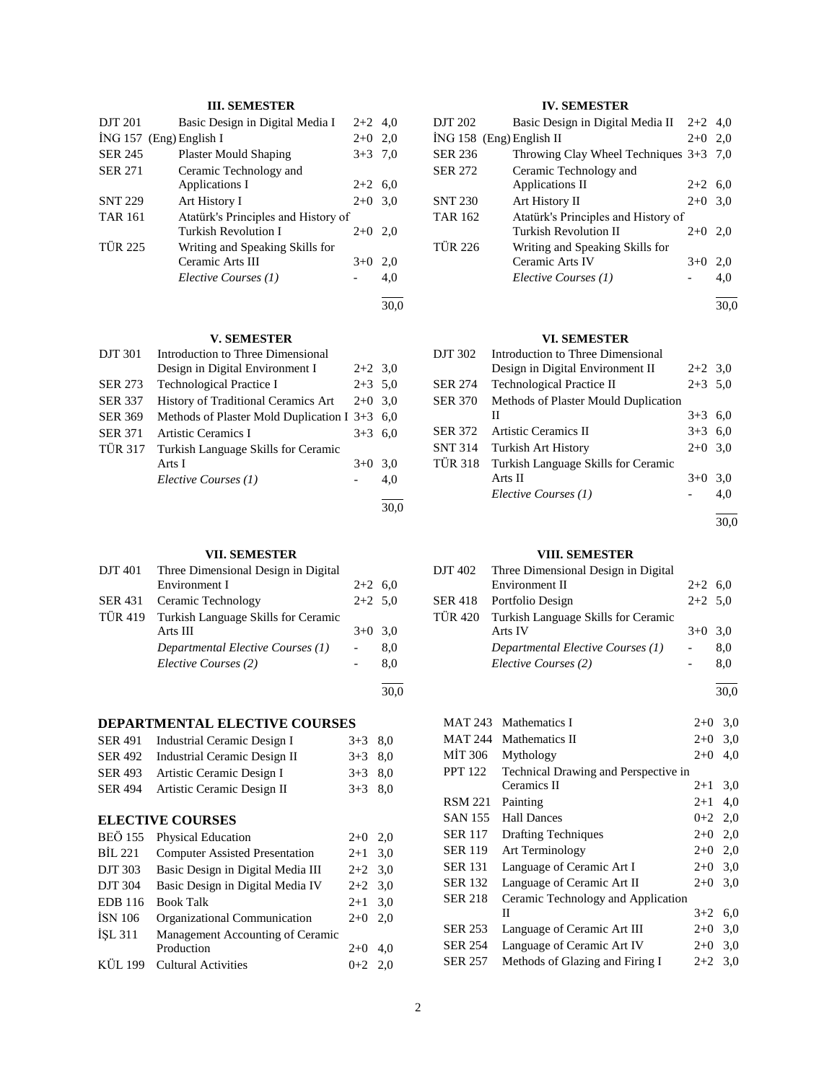# **III. SEMESTER**

| <b>DJT 201</b>            | Basic Design in Digital Media I     | $2+2$ 4.0 |      |
|---------------------------|-------------------------------------|-----------|------|
| $ING 157$ (Eng) English I |                                     | $2+0$ 2.0 |      |
| <b>SER 245</b>            | <b>Plaster Mould Shaping</b>        | $3+3$ 7.0 |      |
| <b>SER 271</b>            | Ceramic Technology and              |           |      |
|                           | Applications I                      | $2+2$ 6.0 |      |
| <b>SNT 229</b>            | Art History I                       | $2+0$     | 3.0  |
| <b>TAR 161</b>            | Atatürk's Principles and History of |           |      |
|                           | Turkish Revolution I                | $2+0$     | 2.0  |
| <b>TÜR 225</b>            | Writing and Speaking Skills for     |           |      |
|                           | Ceramic Arts III                    | $3+0$     | 2,0  |
|                           | Elective Courses (1)                |           | 4.0  |
|                           |                                     |           | 30.0 |

# **V. SEMESTER**

| <b>DJT 301</b> | Introduction to Three Dimensional               |           |     |
|----------------|-------------------------------------------------|-----------|-----|
|                | Design in Digital Environment I                 | $2+2$ 3.0 |     |
| <b>SER 273</b> | <b>Technological Practice I</b>                 | $2+3$ 5,0 |     |
| <b>SER 337</b> | <b>History of Traditional Ceramics Art</b>      | $2+0$ 3.0 |     |
| <b>SER 369</b> | Methods of Plaster Mold Duplication I $3+3$ 6,0 |           |     |
| <b>SER 371</b> | Artistic Ceramics I                             | $3+3$ 6.0 |     |
| <b>TÜR 317</b> | Turkish Language Skills for Ceramic             |           |     |
|                | Arts I                                          | $3+0$     | 3.0 |
|                | Elective Courses (1)                            |           | 4.0 |
|                |                                                 |           |     |

# **VII. SEMESTER**

| DJT 401 | Three Dimensional Design in Digital         |           |     |
|---------|---------------------------------------------|-----------|-----|
|         | Environment I                               | $2+2$ 6.0 |     |
| SER 431 | Ceramic Technology                          | $2+2$ 5.0 |     |
|         | TÜR 419 Turkish Language Skills for Ceramic |           |     |
|         | Arts III                                    | $3+0$ 3.0 |     |
|         | Departmental Elective Courses (1)           |           | 8.0 |
|         | Elective Courses (2)                        |           | 8.0 |
|         |                                             |           |     |

# **DEPARTMENTAL ELECTIVE COURSES**

| SER 491 Industrial Ceramic Design I  | $3+3$ 8.0 |  |
|--------------------------------------|-----------|--|
| SER 492 Industrial Ceramic Design II | $3+3$ 8.0 |  |
| SER 493 Artistic Ceramic Design I    | $3+3$ 8.0 |  |
| SER 494 Artistic Ceramic Design II   | $3+3$ 8.0 |  |

# **ELECTIVE COURSES**

| Physical Education                    |       |                                                                            |
|---------------------------------------|-------|----------------------------------------------------------------------------|
| <b>Computer Assisted Presentation</b> |       |                                                                            |
| Basic Design in Digital Media III     |       |                                                                            |
| Basic Design in Digital Media IV      |       |                                                                            |
| <b>Book Talk</b>                      |       |                                                                            |
| Organizational Communication          | $2+0$ | 2.0                                                                        |
| Management Accounting of Ceramic      |       |                                                                            |
| Production                            | $2+0$ | 4.0                                                                        |
| <b>Cultural Activities</b>            |       |                                                                            |
|                                       |       | $2+0$ 2.0<br>$2+1$ 3,0<br>$2+2$ 3,0<br>$2+2$ 3.0<br>$2+1$ 3.0<br>$0+2$ 2.0 |

# **IV. SEMESTER**

| DJT 202        | Basic Design in Digital Media II $2+2$ 4,0 |           |     |
|----------------|--------------------------------------------|-----------|-----|
|                | ING 158 (Eng) English II                   | $2+0$     | 2.0 |
| <b>SER 236</b> | Throwing Clay Wheel Techniques $3+3$ 7,0   |           |     |
| <b>SER 272</b> | Ceramic Technology and                     |           |     |
|                | Applications II                            | $2+2$ 6.0 |     |
| <b>SNT 230</b> | Art History II                             | $2+0$     | 3,0 |
| <b>TAR 162</b> | Atatürk's Principles and History of        |           |     |
|                | Turkish Revolution II                      | $2+0$     | 2.0 |
| <b>TÜR 226</b> | Writing and Speaking Skills for            |           |     |
|                | Ceramic Arts IV                            | $3+0$     | 2.0 |
|                | Elective Courses (1)                       |           | 4,0 |
|                |                                            |           |     |

30,0

# **VI. SEMESTER**

| DJT 302        | Introduction to Three Dimensional    |           |      |
|----------------|--------------------------------------|-----------|------|
|                | Design in Digital Environment II     | $2+2$ 3.0 |      |
| <b>SER 274</b> | <b>Technological Practice II</b>     | $2+3$ 5.0 |      |
| <b>SER 370</b> | Methods of Plaster Mould Duplication |           |      |
|                | П                                    | $3+3$ 6.0 |      |
| <b>SER 372</b> | Artistic Ceramics II                 | $3+3$ 6.0 |      |
| <b>SNT 314</b> | Turkish Art History                  | $2+0$ 3,0 |      |
| <b>TÜR 318</b> | Turkish Language Skills for Ceramic  |           |      |
|                | Arts II                              | $3+0$     | 3,0  |
|                | Elective Courses (1)                 |           | 4.0  |
|                |                                      |           | 30.0 |

**VIII. SEMESTER**

|                | ,                                   |           |     |
|----------------|-------------------------------------|-----------|-----|
| DJT 402        | Three Dimensional Design in Digital |           |     |
|                | Environment II                      | $2+2$ 6.0 |     |
| <b>SER 418</b> | Portfolio Design                    | $2+2$ 5.0 |     |
| <b>TÜR 420</b> | Turkish Language Skills for Ceramic |           |     |
|                | Arts IV                             | $3+0$ 3.0 |     |
|                | Departmental Elective Courses (1)   |           | 8.0 |
|                | Elective Courses (2)                |           | 8,0 |
|                |                                     |           |     |

30,0

| MAT 243        | Mathematics I                        | $2+0$ | 3,0 |
|----------------|--------------------------------------|-------|-----|
| MAT 244        | Mathematics II                       | $2+0$ | 3,0 |
| MİT 306        | Mythology                            | $2+0$ | 4,0 |
| PPT 122        | Technical Drawing and Perspective in |       |     |
|                | Ceramics II                          | $2+1$ | 3,0 |
| RSM 221        | Painting                             | $2+1$ | 4,0 |
| SAN 155        | <b>Hall Dances</b>                   | $0+2$ | 2,0 |
| SER 117        | <b>Drafting Techniques</b>           | $2+0$ | 2,0 |
| SER 119        | Art Terminology                      | $2+0$ | 2,0 |
| <b>SER 131</b> | Language of Ceramic Art I            | $2+0$ | 3,0 |
| <b>SER 132</b> | Language of Ceramic Art II           | $2+0$ | 3,0 |
| SER 218        | Ceramic Technology and Application   |       |     |
|                | П                                    | $3+2$ | 6,0 |
| <b>SER 253</b> | Language of Ceramic Art III          | $2+0$ | 3,0 |
| <b>SER 254</b> | Language of Ceramic Art IV           | $2+0$ | 3,0 |
| SER 257        | Methods of Glazing and Firing I      | $2+2$ | 3,0 |
|                |                                      |       |     |

30,0

30,0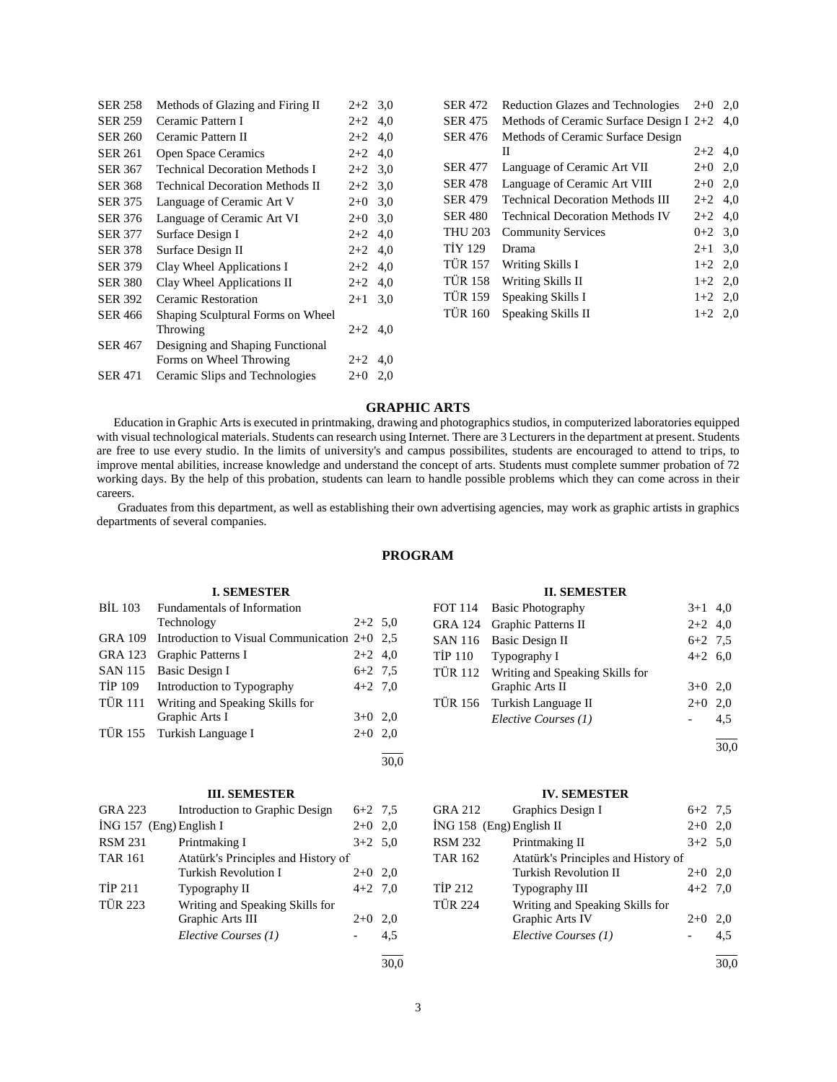| SER 258        | Methods of Glazing and Firing II       | $2+2$ 3.0 |     |
|----------------|----------------------------------------|-----------|-----|
| <b>SER 259</b> | Ceramic Pattern I                      | $2+2$     | 4,0 |
| <b>SER 260</b> | Ceramic Pattern II                     | $2+2$     | 4,0 |
| SER 261        | Open Space Ceramics                    | $2+2$     | 4,0 |
| SER 367        | <b>Technical Decoration Methods I</b>  | $2+2$     | 3,0 |
| SER 368        | <b>Technical Decoration Methods II</b> | $2+2$ 3.0 |     |
| SER 375        | Language of Ceramic Art V              | $2+0$     | 3,0 |
| SER 376        | Language of Ceramic Art VI             | $2+0$     | 3,0 |
| <b>SER 377</b> | Surface Design I                       | $2+2$     | 4,0 |
| <b>SER 378</b> | Surface Design II                      | $2+2$     | 4,0 |
| <b>SER 379</b> | Clay Wheel Applications I              | $2+2$     | 4,0 |
| <b>SER 380</b> | Clay Wheel Applications II             | $2+2$     | 4,0 |
| <b>SER 392</b> | Ceramic Restoration                    | $2 + 1$   | 3,0 |
| SER 466        | Shaping Sculptural Forms on Wheel      |           |     |
|                | Throwing                               | $2+2$     | 4,0 |
| SER 467        | Designing and Shaping Functional       |           |     |
|                | Forms on Wheel Throwing                | $2+2$     | 4,0 |
| <b>SER 471</b> | Ceramic Slips and Technologies         | $2+0$     | 2,0 |
|                |                                        |           |     |

| <b>SER 472</b> | <b>Reduction Glazes and Technologies</b>  | $2+0$     | 2.0 |
|----------------|-------------------------------------------|-----------|-----|
| <b>SER 475</b> | Methods of Ceramic Surface Design I $2+2$ |           | 4,0 |
| <b>SER 476</b> | Methods of Ceramic Surface Design         |           |     |
|                | П                                         | $2+2$ 4.0 |     |
| <b>SER 477</b> | Language of Ceramic Art VII               | $2+0$ 2,0 |     |
| <b>SER 478</b> | Language of Ceramic Art VIII              | $2 + 0$   | 2.0 |
| <b>SER 479</b> | <b>Technical Decoration Methods III</b>   | $2+2$ 4.0 |     |
| <b>SER 480</b> | <b>Technical Decoration Methods IV</b>    | $2+2$ 4.0 |     |
| <b>THU 203</b> | <b>Community Services</b>                 | $0+2$ 3.0 |     |
| <b>TİY 129</b> | Drama                                     | $2+1$ 3.0 |     |
| <b>TÜR 157</b> | Writing Skills I                          | $1+2$ 2.0 |     |
| <b>TÜR 158</b> | Writing Skills II                         | $1+2$ 2,0 |     |
| <b>TÜR 159</b> | Speaking Skills I                         | $1+2$ 2.0 |     |
| <b>TÜR 160</b> | Speaking Skills II                        | $1+2$ 2.0 |     |

# **GRAPHIC ARTS**

 Education in Graphic Arts is executed in printmaking, drawing and photographics studios, in computerized laboratories equipped with visual technological materials. Students can research using Internet. There are 3 Lecturers in the department at present. Students are free to use every studio. In the limits of university's and campus possibilites, students are encouraged to attend to trips, to improve mental abilities, increase knowledge and understand the concept of arts. Students must complete summer probation of 72 working days. By the help of this probation, students can learn to handle possible problems which they can come across in their careers.

 Graduates from this department, as well as establishing their own advertising agencies, may work as graphic artists in graphics departments of several companies.

# **PROGRAM**

# **I. SEMESTER**

|         | BİL 103 Fundamentals of Information                    |           |  |
|---------|--------------------------------------------------------|-----------|--|
|         | Technology                                             | $2+2$ 5.0 |  |
|         | GRA 109 Introduction to Visual Communication $2+0$ 2.5 |           |  |
|         | GRA 123 Graphic Patterns I                             | $2+2$ 4,0 |  |
|         | SAN 115 Basic Design I                                 | $6+2$ 7.5 |  |
| TİP 109 | Introduction to Typography                             | $4+2$ 7,0 |  |
|         | TÜR 111 Writing and Speaking Skills for                |           |  |
|         | Graphic Arts I                                         | $3+0$ 2,0 |  |
|         | TÜR 155 Turkish Language I                             | $2+0$ 2,0 |  |
|         |                                                        |           |  |

#### **III. SEMESTER**

| GRA 223                   | Introduction to Graphic Design      | $6+2$ 7.5 |     |
|---------------------------|-------------------------------------|-----------|-----|
| $ING 157$ (Eng) English I |                                     | $2+0$     | 2.0 |
| <b>RSM 231</b>            | Printmaking I                       | $3+2$ 5.0 |     |
| <b>TAR 161</b>            | Atatürk's Principles and History of |           |     |
|                           | <b>Turkish Revolution I</b>         | $2+0$     | 2,0 |
| <b>TIP 211</b>            | Typography II                       | $4+2$ 7.0 |     |
| <b>TÜR 223</b>            | Writing and Speaking Skills for     |           |     |
|                           | Graphic Arts III                    | $2+0$     | 2,0 |
|                           | Elective Courses (1)                |           | 4.5 |
|                           |                                     |           |     |

# 30,0

30,0

# **II. SEMESTER**

| FOT 114 Basic Photography               | $3+1$ 4,0 |      |
|-----------------------------------------|-----------|------|
| GRA 124 Graphic Patterns II             | $2+2$ 4,0 |      |
| SAN 116 Basic Design II                 | $6+2$ 7.5 |      |
| TİP 110 Typography I                    | $4+2$ 6,0 |      |
| TÜR 112 Writing and Speaking Skills for |           |      |
| Graphic Arts II                         | $3+0$ 2,0 |      |
| TÜR 156 Turkish Language II             | $2+0$ 2,0 |      |
| Elective Courses (1)                    |           | 4,5  |
|                                         |           | 30.0 |

# **IV. SEMESTER**

|                          | GRA 212 Graphics Design I           | $6+2$ 7.5 |     |
|--------------------------|-------------------------------------|-----------|-----|
| İNG 158 (Eng) English II |                                     | $2+0$     | 2,0 |
| RSM 232                  | Printmaking II                      | $3+2$ 5,0 |     |
| TAR 162                  | Atatürk's Principles and History of |           |     |
|                          | <b>Turkish Revolution II</b>        | $2+0$ 2,0 |     |
| TİP 212                  | Typography III                      | $4+2$ 7.0 |     |
| <b>TÜR 224</b>           | Writing and Speaking Skills for     |           |     |
|                          | Graphic Arts IV                     | $2+0$     | 2,0 |
|                          | Elective Courses (1)                |           | 4.5 |
|                          |                                     |           |     |

l 30,0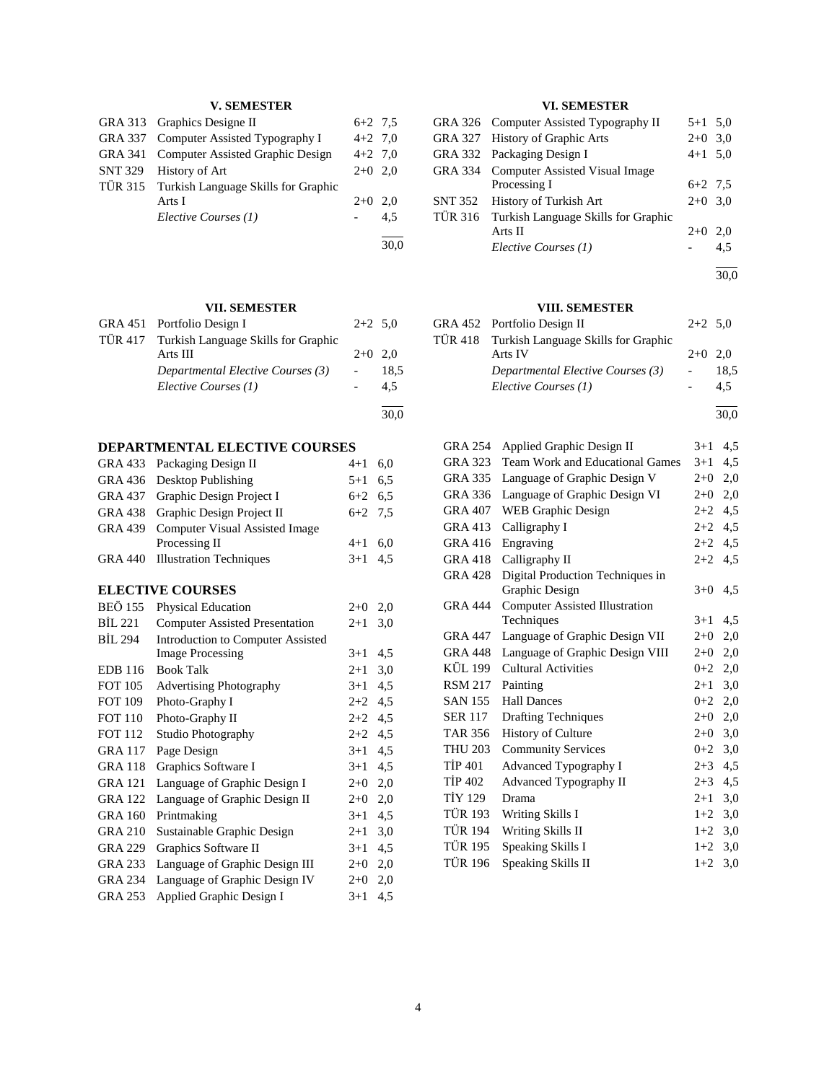# **V. SEMESTER**

| GRA 313 Graphics Designe II                 | $6+2$ 7.5 |     |
|---------------------------------------------|-----------|-----|
| GRA 337 Computer Assisted Typography I      | $4+2$ 7,0 |     |
| GRA 341 Computer Assisted Graphic Design    | $4+2$ 7,0 |     |
| SNT 329 History of Art                      | $2+0$ 2,0 |     |
| TÜR 315 Turkish Language Skills for Graphic |           |     |
| Arts I                                      | $2+0$ 2.0 |     |
| Elective Courses (1)                        |           | 4.5 |
|                                             |           |     |

# **VII. SEMESTER**

| GRA 451 Portfolio Design I                  | $2+2$ 5.0 |      |
|---------------------------------------------|-----------|------|
| TÜR 417 Turkish Language Skills for Graphic |           |      |
| Arts III                                    | $2+0$ 2.0 |      |
| Departmental Elective Courses (3)           |           | 18.5 |
| Elective Courses (1)                        |           | 4.5  |
|                                             |           |      |

30,0

30,0

# **DEPARTMENTAL ELECTIVE COURSES**

| <b>GRA 433</b> | Packaging Design II                      | $4 + 1$ | 6,0 |
|----------------|------------------------------------------|---------|-----|
| <b>GRA 436</b> | Desktop Publishing                       | $5 + 1$ | 6,5 |
| GRA 437        | Graphic Design Project I                 | $6 + 2$ | 6,5 |
| <b>GRA 438</b> | Graphic Design Project II                | $6 + 2$ | 7,5 |
| <b>GRA 439</b> | <b>Computer Visual Assisted Image</b>    |         |     |
|                | Processing II                            | $4 + 1$ | 6,0 |
| <b>GRA 440</b> | <b>Illustration Techniques</b>           | $3+1$   | 4,5 |
|                | <b>ELECTIVE COURSES</b>                  |         |     |
| <b>BEÖ 155</b> | <b>Physical Education</b>                | $2+0$   | 2,0 |
| BIL 221        | <b>Computer Assisted Presentation</b>    | $2 + 1$ | 3,0 |
| <b>BIL 294</b> | <b>Introduction to Computer Assisted</b> |         |     |
|                | <b>Image Processing</b>                  | $3 + 1$ | 4,5 |
| <b>EDB</b> 116 | <b>Book Talk</b>                         | $2 + 1$ | 3,0 |
| <b>FOT 105</b> | <b>Advertising Photography</b>           | $3 + 1$ | 4,5 |
| <b>FOT 109</b> | Photo-Graphy I                           | $2+2$   | 4,5 |
| <b>FOT 110</b> | Photo-Graphy II                          | $2+2$   | 4,5 |
| <b>FOT 112</b> | Studio Photography                       | $2+2$   | 4,5 |
| <b>GRA 117</b> | Page Design                              | $3+1$   | 4,5 |
| <b>GRA 118</b> | Graphics Software I                      | $3 + 1$ | 4,5 |
| <b>GRA 121</b> | Language of Graphic Design I             | $2+0$   | 2,0 |
| <b>GRA 122</b> | Language of Graphic Design II            | $2+0$   | 2,0 |
| <b>GRA 160</b> | Printmaking                              | $3 + 1$ | 4,5 |
| <b>GRA 210</b> | Sustainable Graphic Design               | $2 + 1$ | 3,0 |
| <b>GRA 229</b> | Graphics Software II                     | $3+1$   | 4,5 |
| GRA 233        | Language of Graphic Design III           | $2+0$   | 2,0 |
| <b>GRA 234</b> | Language of Graphic Design IV            | $2+0$   | 2,0 |
| <b>GRA 253</b> | Applied Graphic Design I                 | $3+1$   | 4,5 |

# **VI. SEMESTER**

|         | GRA 326 Computer Assisted Typography II     | $5+1$ 5.0 |     |
|---------|---------------------------------------------|-----------|-----|
|         | GRA 327 History of Graphic Arts             | $2+0$     | 3,0 |
|         | GRA 332 Packaging Design I                  | $4+1$ 5,0 |     |
|         | GRA 334 Computer Assisted Visual Image      |           |     |
|         | Processing I                                | $6+2$ 7.5 |     |
| SNT 352 | History of Turkish Art                      | $2+0$ 3,0 |     |
|         | TÜR 316 Turkish Language Skills for Graphic |           |     |
|         | Arts II                                     | $2+0$     | 2,0 |
|         | Elective Courses (1)                        |           | 4.5 |
|         |                                             |           |     |

30,0

# **VIII. SEMESTER**

| GRA 452 Portfolio Design II                 | $2+2$ 5.0                |      |
|---------------------------------------------|--------------------------|------|
| TÜR 418 Turkish Language Skills for Graphic |                          |      |
| Arts IV                                     | $2+0$ 2.0                |      |
| Departmental Elective Courses (3)           | $\overline{\phantom{a}}$ | 18.5 |
| Elective Courses (1)                        |                          | 4.5  |

l 30,0

| <b>GRA 254</b> | Applied Graphic Design II              | $3 + 1$ | 4,5 |
|----------------|----------------------------------------|---------|-----|
| GRA 323        | <b>Team Work and Educational Games</b> | $3 + 1$ | 4,5 |
| <b>GRA 335</b> | Language of Graphic Design V           | $2+0$   | 2,0 |
| <b>GRA 336</b> | Language of Graphic Design VI          | $2+0$   | 2,0 |
| <b>GRA 407</b> | WEB Graphic Design                     | $2 + 2$ | 4,5 |
| GRA 413        | Calligraphy I                          | $2+2$   | 4,5 |
| GRA 416        | Engraving                              | $2+2$   | 4,5 |
| <b>GRA 418</b> | Calligraphy II                         | $2+2$   | 4,5 |
| <b>GRA 428</b> | Digital Production Techniques in       |         |     |
|                | Graphic Design                         | $3+0$   | 4,5 |
| <b>GRA 444</b> | <b>Computer Assisted Illustration</b>  |         |     |
|                | Techniques                             | $3 + 1$ | 4,5 |
| <b>GRA 447</b> | Language of Graphic Design VII         | $2+0$   | 2,0 |
| <b>GRA 448</b> | Language of Graphic Design VIII        | $2+0$   | 2,0 |
| KÜL 199        | <b>Cultural Activities</b>             | $0 + 2$ | 2,0 |
| <b>RSM 217</b> | Painting                               | $2 + 1$ | 3,0 |
| <b>SAN 155</b> | <b>Hall Dances</b>                     | $0 + 2$ | 2,0 |
| <b>SER 117</b> | <b>Drafting Techniques</b>             | $2 + 0$ | 2,0 |
| TAR 356        | <b>History of Culture</b>              | $2 + 0$ | 3,0 |
| <b>THU 203</b> | <b>Community Services</b>              | $0 + 2$ | 3,0 |
| <b>TIP 401</b> | Advanced Typography I                  | $2 + 3$ | 4,5 |
| <b>TİP 402</b> | Advanced Typography II                 | $2 + 3$ | 4,5 |
| <b>TIY 129</b> | Drama                                  | $2 + 1$ | 3,0 |
| <b>TÜR 193</b> | Writing Skills I                       | $1+2$   | 3,0 |
| <b>TÜR 194</b> | Writing Skills II                      | $1+2$   | 3,0 |
| TÜR 195        | Speaking Skills I                      | $1+2$   | 3,0 |
| <b>TÜR 196</b> | Speaking Skills II                     | $1+2$   | 3,0 |
|                |                                        |         |     |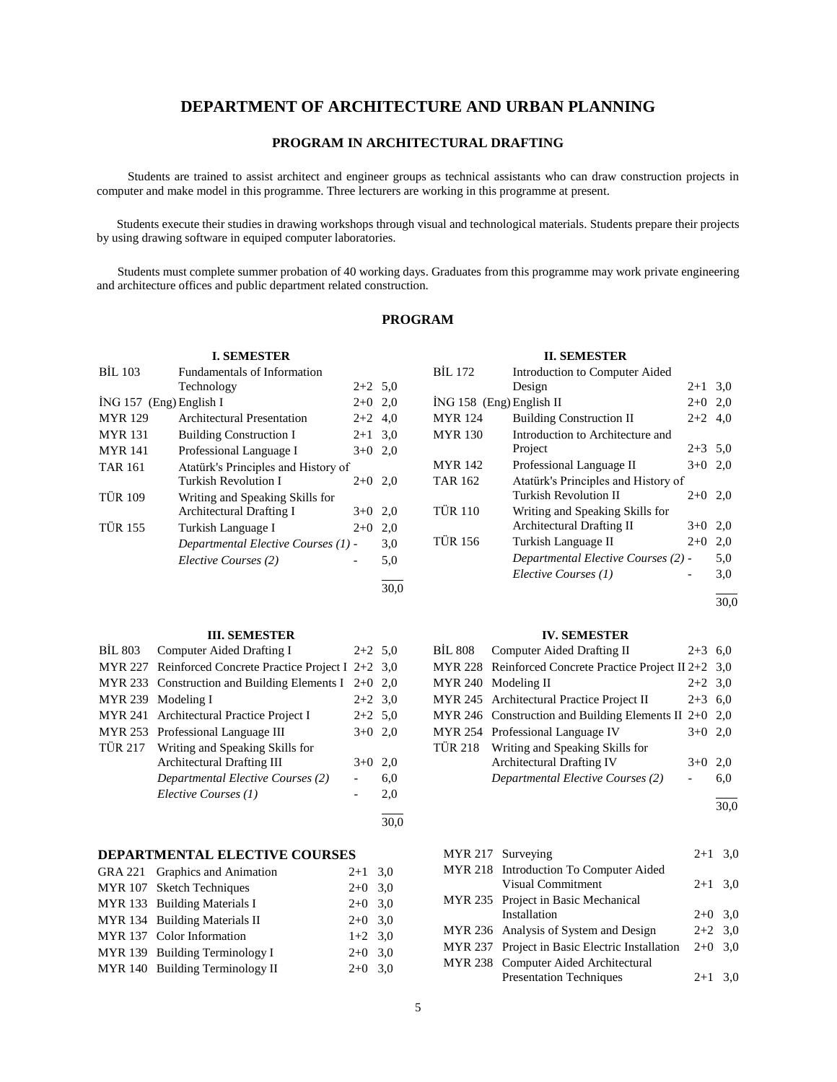# **DEPARTMENT OF ARCHITECTURE AND URBAN PLANNING**

# **PROGRAM IN ARCHITECTURAL DRAFTING**

 Students are trained to assist architect and engineer groups as technical assistants who can draw construction projects in computer and make model in this programme. Three lecturers are working in this programme at present.

 Students execute their studies in drawing workshops through visual and technological materials. Students prepare their projects by using drawing software in equiped computer laboratories.

 Students must complete summer probation of 40 working days. Graduates from this programme may work private engineering and architecture offices and public department related construction.

# **PROGRAM**

30,0

| <b>BIL 103</b> | Fundamentals of Information |           |  |
|----------------|-----------------------------|-----------|--|
|                | Technology                  | $2+2$ 5.0 |  |
|                | ING 157 (Eng) English I     | $2+0$ 2.0 |  |

**I. SEMESTER**

| <b>MYR</b> 129 | Architectural Presentation          | $2+2$   | 4.0 |
|----------------|-------------------------------------|---------|-----|
| <b>MYR</b> 131 | <b>Building Construction I</b>      | $2 + 1$ | 3,0 |
| <b>MYR</b> 141 | Professional Language I             | $3+0$   | 2,0 |
| <b>TAR 161</b> | Atatürk's Principles and History of |         |     |
|                | <b>Turkish Revolution I</b>         | $2+0$   | 2.0 |
| <b>TÜR 109</b> | Writing and Speaking Skills for     |         |     |
|                | Architectural Drafting I            | $3+0$   | 2.0 |
| <b>TÜR 155</b> | Turkish Language I                  | $2+0$   | 2,0 |
|                | Departmental Elective Courses (1) - |         | 3,0 |
|                | Elective Courses (2)                |         | 5,0 |
|                |                                     |         |     |

#### **III. SEMESTER**

| BIL 803        | Computer Aided Drafting I                              | $2+2$ 5.0 |      |
|----------------|--------------------------------------------------------|-----------|------|
|                | MYR 227 Reinforced Concrete Practice Project I 2+2 3.0 |           |      |
|                | MYR 233 Construction and Building Elements I $2+0$ 2,0 |           |      |
|                | MYR 239 Modeling I                                     | $2+2$ 3.0 |      |
|                | MYR 241 Architectural Practice Project I               | $2+2$ 5.0 |      |
|                | MYR 253 Professional Language III                      | $3+0$ 2,0 |      |
| <b>TÜR 217</b> | Writing and Speaking Skills for                        |           |      |
|                | Architectural Drafting III                             | $3+0$     | 2.0  |
|                | Departmental Elective Courses (2)                      |           | 6,0  |
|                | Elective Courses (1)                                   |           | 2,0  |
|                |                                                        |           | 30.0 |

# **DEPARTMENTAL ELECTIVE COURSES**

| GRA 221 Graphics and Animation  | $2+1$ 3,0 |  |
|---------------------------------|-----------|--|
| MYR 107 Sketch Techniques       | $2+0$ 3,0 |  |
| MYR 133 Building Materials I    | $2+0$ 3,0 |  |
| MYR 134 Building Materials II   | $2+0$ 3.0 |  |
| MYR 137 Color Information       | $1+2$ 3,0 |  |
| MYR 139 Building Terminology I  | $2+0$ 3,0 |  |
| MYR 140 Building Terminology II | $2+0$ 3.0 |  |

| <b>II. SEMESTER</b>        |                                     |           |     |  |
|----------------------------|-------------------------------------|-----------|-----|--|
| <b>BİL</b> 172             |                                     |           |     |  |
|                            | $2+1$ 3,0                           |           |     |  |
| $ING 158$ (Eng) English II |                                     | $2+0$     | 2,0 |  |
| <b>MYR</b> 124             | <b>Building Construction II</b>     | $2+2$ 4.0 |     |  |
| <b>MYR</b> 130             | Introduction to Architecture and    |           |     |  |
|                            | Project                             | $2+3$ 5.0 |     |  |
| <b>MYR</b> 142             | Professional Language II            | $3+0$ 2,0 |     |  |
| <b>TAR 162</b>             | Atatürk's Principles and History of |           |     |  |
|                            | Turkish Revolution II               | $2+0$ 2,0 |     |  |
| <b>TÜR 110</b>             | Writing and Speaking Skills for     |           |     |  |
|                            | Architectural Drafting II           | $3+0$     | 2,0 |  |
| <b>TÜR 156</b>             | Turkish Language II                 | $2+0$     | 2,0 |  |
|                            | Departmental Elective Courses (2) - |           | 5,0 |  |
|                            | Elective Courses (1)                |           | 3,0 |  |
|                            |                                     |           |     |  |

30,0

#### **IV. SEMESTER**

| BIL 808 | Computer Aided Drafting II                                | $2+3$ 6.0 |     |
|---------|-----------------------------------------------------------|-----------|-----|
|         | MYR 228 Reinforced Concrete Practice Project II 2+2 $3.0$ |           |     |
|         | MYR 240 Modeling II                                       | $2+2$ 3,0 |     |
|         | MYR 245 Architectural Practice Project II                 | $2+3$ 6,0 |     |
|         | MYR 246 Construction and Building Elements II $2+0$ 2,0   |           |     |
|         | MYR 254 Professional Language IV                          | $3+0$ 2,0 |     |
|         | TÜR 218 Writing and Speaking Skills for                   |           |     |
|         | <b>Architectural Drafting IV</b>                          | $3+0$     | 2,0 |
|         | Departmental Elective Courses (2)                         |           | 6,0 |
|         |                                                           |           |     |

30,0

| MYR 217 Surveying |                                                | $2+1$ 3,0 |  |
|-------------------|------------------------------------------------|-----------|--|
|                   | MYR 218 Introduction To Computer Aided         |           |  |
|                   | Visual Commitment                              | $2+1$ 3,0 |  |
|                   | MYR 235 Project in Basic Mechanical            |           |  |
|                   | Installation                                   | $2+0$ 3,0 |  |
|                   | MYR 236 Analysis of System and Design          | $2+2$ 3,0 |  |
|                   | MYR 237 Project in Basic Electric Installation | $2+0$ 3.0 |  |
|                   | MYR 238 Computer Aided Architectural           |           |  |
|                   | <b>Presentation Techniques</b>                 | $2+1$ 3,0 |  |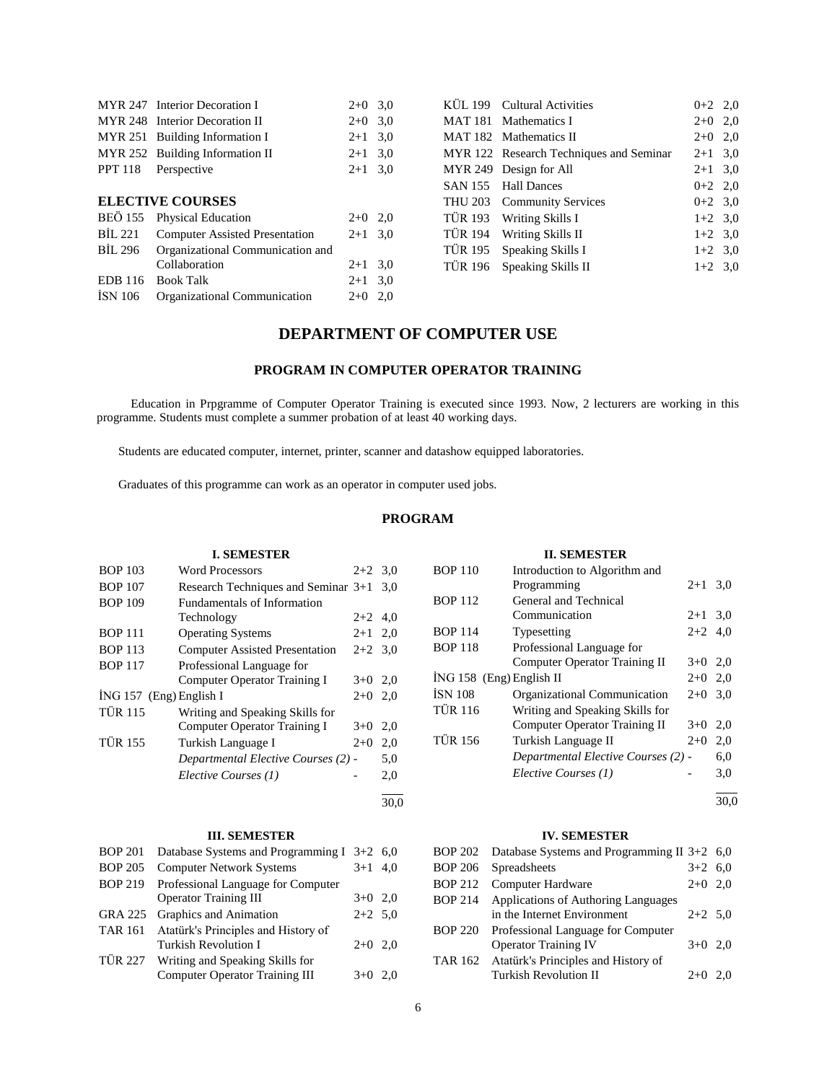|                | MYR 247 Interior Decoration I         | $2+0$ 3.0 |                | KUL 199 Cultural Activities             | $0+2$ 2,0 |  |
|----------------|---------------------------------------|-----------|----------------|-----------------------------------------|-----------|--|
|                | MYR 248 Interior Decoration II        | $2+0$ 3.0 |                | MAT 181 Mathematics I                   | $2+0$ 2,0 |  |
|                | MYR 251 Building Information I        | $2+1$ 3.0 |                | MAT 182 Mathematics II                  | $2+0$ 2,0 |  |
|                | MYR 252 Building Information II       | $2+1$ 3.0 |                | MYR 122 Research Techniques and Seminar | $2+1$ 3,0 |  |
| <b>PPT 118</b> | Perspective                           | $2+1$ 3.0 |                | MYR 249 Design for All                  | $2+1$ 3,0 |  |
|                |                                       |           |                | SAN 155 Hall Dances                     | $0+2$ 2,0 |  |
|                | <b>ELECTIVE COURSES</b>               |           |                | THU 203 Community Services              | $0+2$ 3,0 |  |
|                | BEO 155 Physical Education            | $2+0$ 2,0 | <b>TÜR 193</b> | Writing Skills I                        | $1+2$ 3,0 |  |
| BIL 221        | <b>Computer Assisted Presentation</b> | $2+1$ 3.0 | <b>TÜR 194</b> | Writing Skills II                       | $1+2$ 3,0 |  |
| <b>BIL 296</b> | Organizational Communication and      |           | TÜR 195        | Speaking Skills I                       | $1+2$ 3,0 |  |
|                | Collaboration                         | $2+1$ 3,0 | <b>TÜR 196</b> | Speaking Skills II                      | $1+2$ 3,0 |  |
| EDB 116        | <b>Book Talk</b>                      | $2+1$ 3.0 |                |                                         |           |  |
| ISN 106        | Organizational Communication          | $2+0$ 2,0 |                |                                         |           |  |
|                |                                       |           |                |                                         |           |  |

# **DEPARTMENT OF COMPUTER USE**

# **PROGRAM IN COMPUTER OPERATOR TRAINING**

 Education in Prpgramme of Computer Operator Training is executed since 1993. Now, 2 lecturers are working in this programme. Students must complete a summer probation of at least 40 working days.

Students are educated computer, internet, printer, scanner and datashow equipped laboratories.

Graduates of this programme can work as an operator in computer used jobs.

# **PROGRAM**

#### **I. SEMESTER**

| <b>BOP 103</b>            | <b>Word Processors</b>                | $2+2$ 3,0 |     |
|---------------------------|---------------------------------------|-----------|-----|
| <b>BOP 107</b>            | Research Techniques and Seminar 3+1   |           | 3.0 |
| <b>BOP 109</b>            | <b>Fundamentals of Information</b>    |           |     |
|                           | Technology                            | $2+2$ 4,0 |     |
| <b>BOP 111</b>            | <b>Operating Systems</b>              | $2+1$ 2,0 |     |
| <b>BOP 113</b>            | <b>Computer Assisted Presentation</b> | $2+2$ 3.0 |     |
| <b>BOP 117</b>            | Professional Language for             |           |     |
|                           | <b>Computer Operator Training I</b>   | $3+0$ 2,0 |     |
| $ING 157$ (Eng) English I |                                       | $2+0$     | 2,0 |
| <b>TÜR 115</b>            | Writing and Speaking Skills for       |           |     |
|                           | Computer Operator Training I          | $3+0$     | 2,0 |
| <b>TÜR 155</b>            | Turkish Language I                    | $2+0$     | 2,0 |
|                           | Departmental Elective Courses (2) -   |           | 5,0 |
|                           | Elective Courses (1)                  |           | 2,0 |
|                           |                                       |           |     |

#### **III. SEMESTER**

| <b>BOP 201</b> | Database Systems and Programming I $3+2$ 6.0 |           |     |
|----------------|----------------------------------------------|-----------|-----|
| <b>BOP 205</b> | <b>Computer Network Systems</b>              | $3+1$ 4.0 |     |
| <b>BOP 219</b> | Professional Language for Computer           |           |     |
|                | <b>Operator Training III</b>                 | $3+0$ 2,0 |     |
| GRA 225        | Graphics and Animation                       | $2+2$ 5,0 |     |
| <b>TAR 161</b> | Atatürk's Principles and History of          |           |     |
|                | Turkish Revolution I                         | $2+0$ 2.0 |     |
| <b>TÜR 227</b> | Writing and Speaking Skills for              |           |     |
|                | <b>Computer Operator Training III</b>        | $3+0$     | 2.0 |
|                |                                              |           |     |

# **II. SEMESTER**

| <b>BOP 110</b>             | Introduction to Algorithm and        |           |     |
|----------------------------|--------------------------------------|-----------|-----|
|                            | Programming                          | $2+1$ 3.0 |     |
| <b>BOP 112</b>             | General and Technical                |           |     |
|                            | Communication                        | $2+1$ 3.0 |     |
| <b>BOP 114</b>             | Typesetting                          | $2+2$ 4.0 |     |
| <b>BOP 118</b>             | Professional Language for            |           |     |
|                            | <b>Computer Operator Training II</b> | $3+0$ 2,0 |     |
| $ING 158$ (Eng) English II |                                      | $2+0$ 2,0 |     |
| <b>ISN 108</b>             | Organizational Communication         | $2+0$ 3.0 |     |
| <b>TÜR 116</b>             | Writing and Speaking Skills for      |           |     |
|                            | Computer Operator Training II        | $3+0$     | 2,0 |
| <b>TÜR 156</b>             | Turkish Language II                  | $2+0$     | 2,0 |
|                            | Departmental Elective Courses (2) -  |           | 6,0 |
|                            | Elective Courses (1)                 |           | 3,0 |
|                            |                                      |           |     |

#### 30,0

# **IV. SEMESTER**

| <b>BOP 202</b> | Database Systems and Programming II $3+2$ 6,0 |           |  |
|----------------|-----------------------------------------------|-----------|--|
| <b>BOP 206</b> | Spreadsheets                                  | $3+2$ 6,0 |  |
| <b>BOP 212</b> | Computer Hardware                             | $2+0$ 2,0 |  |
| <b>BOP 214</b> | Applications of Authoring Languages           |           |  |
|                | in the Internet Environment                   | $2+2$ 5,0 |  |
| <b>BOP 220</b> | Professional Language for Computer            |           |  |
|                | <b>Operator Training IV</b>                   | $3+0$ 2,0 |  |
| <b>TAR 162</b> | Atatürk's Principles and History of           |           |  |
|                | <b>Turkish Revolution II</b>                  | $2+0$     |  |

30,0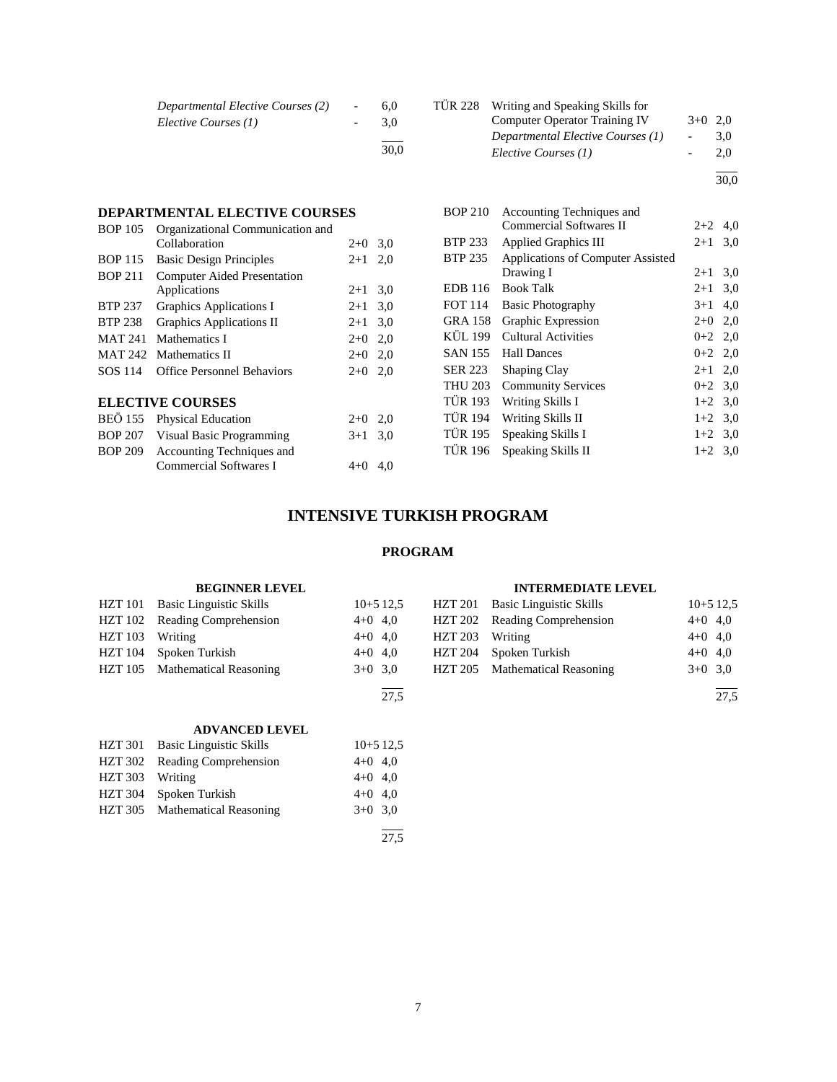| Departmental Elective Courses (2) | 6.0  | TUR 228 Writing and Speaking Skills for |                          |     |
|-----------------------------------|------|-----------------------------------------|--------------------------|-----|
| Elective Courses (1)              | 3.0  | Computer Operator Training IV           | $3+0$ 2,0                |     |
|                                   |      | Departmental Elective Courses (1)       | $\overline{\phantom{a}}$ | 3.0 |
|                                   | 30.0 | Elective Courses (1)                    |                          | 2.0 |
|                                   |      |                                         |                          |     |

30,0

| <b>BOP 210</b> | Accounting Techniques and         |           |     |
|----------------|-----------------------------------|-----------|-----|
|                | Commercial Softwares II           | $2+2$     | 4,0 |
| <b>BTP 233</b> | <b>Applied Graphics III</b>       | $2 + 1$   | 3,0 |
| BTP 235        | Applications of Computer Assisted |           |     |
|                | Drawing I                         | $2+1$     | 3,0 |
| EDB 116        | <b>Book Talk</b>                  | $2 + 1$   | 3,0 |
| <b>FOT 114</b> | <b>Basic Photography</b>          | $3+1$     | 4,0 |
| <b>GRA 158</b> | Graphic Expression                | $2+0$     | 2,0 |
| KÜL 199        | Cultural Activities               | $0 + 2$   | 2,0 |
| SAN 155        | <b>Hall Dances</b>                | $0+2$ 2,0 |     |
| SER 223        | <b>Shaping Clay</b>               | $2 + 1$   | 2,0 |
| <b>THU 203</b> | <b>Community Services</b>         | $0 + 2$   | 3,0 |
| <b>TÜR 193</b> | Writing Skills I                  | $1+2$ 3.0 |     |
| <b>TÜR 194</b> | Writing Skills II                 | $1+2$ 3,0 |     |
| TÜR 195        | Speaking Skills I                 | $1+2$ 3,0 |     |
| <b>TÜR 196</b> | Speaking Skills II                | $1+2$     | 3,0 |
|                |                                   |           |     |

# **INTENSIVE TURKISH PROGRAM**

# **PROGRAM**

#### **BEGINNER LEVEL** HZT 101 Basic Linguistic Skills 10+5 12,5 HZT 102 Reading Comprehension 4+0 4,0 HZT 103 Writing 4+0 4,0 HZT 104 Spoken Turkish  $4+0$  4,0 HZT 105 Mathematical Reasoning 3+0 3,0 l  $\overline{27.5}$ **INTERMEDIATE LEVEL** HZT 201 Basic Linguistic Skills 10+5 12,5 HZT 202 Reading Comprehension 4+0 4,0 HZT 203 Writing 4+0 4,0 HZT 204 Spoken Turkish 4+0 4,0 HZT 205 Mathematical Reasoning 3+0 3,0 l  $\overline{27.5}$

# **ADVANCED LEVEL**

**DEPARTMENTAL ELECTIVE COURSES** BOP 105 Organizational Communication and

BOP 211 Computer Aided Presentation

BOP 209 Accounting Techniques and

**ELECTIVE COURSES**

BOP 115 Basic Design Principles 2+1 2,0

BTP 237 Graphics Applications I 2+1 3,0 BTP 238 Graphics Applications II 2+1 3,0 MAT 241 Mathematics I 2+0 2,0 MAT 242 Mathematics II  $2+0$  2,0 SOS 114 Office Personnel Behaviors 2+0 2,0

BEÖ 155 Physical Education 2+0 2,0 BOP 207 Visual Basic Programming  $3+1$  3,0

Collaboration 2+0 3,0

Applications 2+1 3,0

Commercial Softwares I 4+0 4,0

|                 | HZT 301 Basic Linguistic Skills |           | $10+5$ 12.5 |
|-----------------|---------------------------------|-----------|-------------|
|                 | HZT 302 Reading Comprehension   | $4+0$ 4,0 |             |
| HZT 303 Writing |                                 | $4+0$ 4,0 |             |
| HZT 304         | Spoken Turkish                  | $4+0$ 4,0 |             |
|                 | HZT 305 Mathematical Reasoning  | $3+0$ 3.0 |             |
|                 |                                 |           |             |
|                 |                                 |           | 27.5        |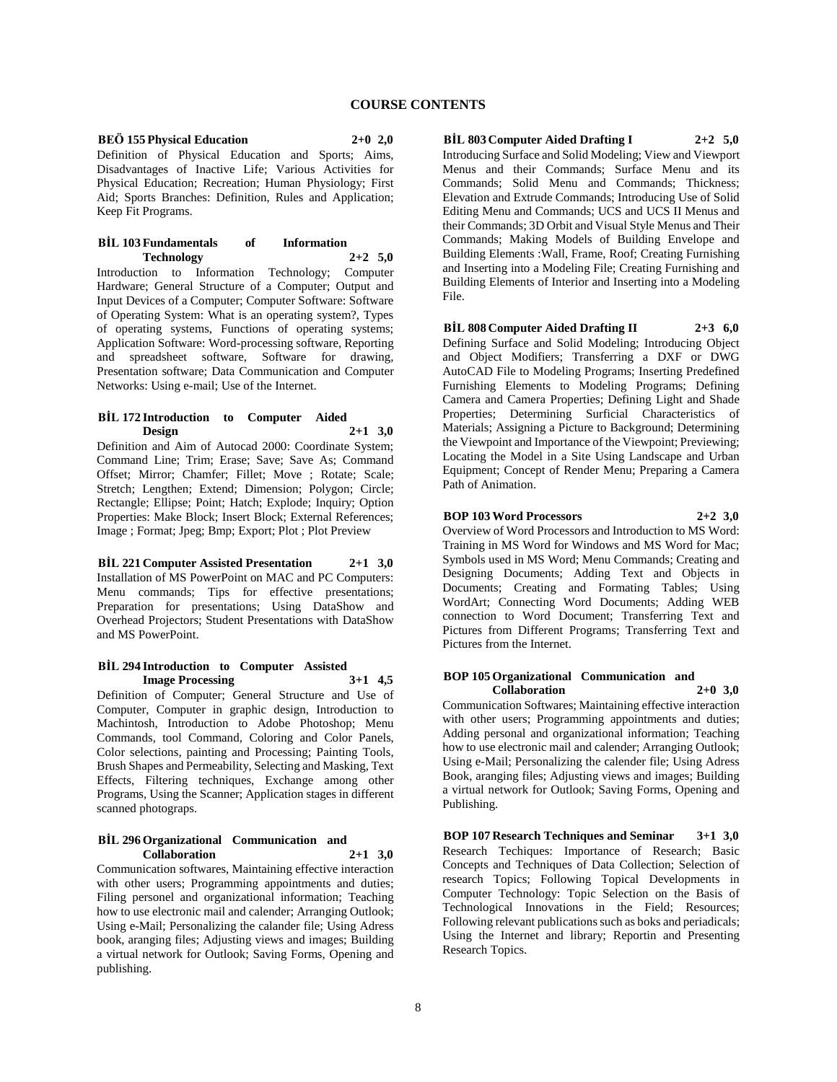# **BEÖ 155 Physical Education 2+0 2,0**

Definition of Physical Education and Sports; Aims, Disadvantages of Inactive Life; Various Activities for Physical Education; Recreation; Human Physiology; First Aid; Sports Branches: Definition, Rules and Application; Keep Fit Programs.

#### **BİL 103 Fundamentals of Information Technology 2+2 5,0**

Introduction to Information Technology; Computer Hardware; General Structure of a Computer; Output and Input Devices of a Computer; Computer Software: Software of Operating System: What is an operating system?, Types of operating systems, Functions of operating systems; Application Software: Word-processing software, Reporting and spreadsheet software, Software for drawing, Presentation software; Data Communication and Computer Networks: Using e-mail; Use of the Internet.

## **BİL 172 Introduction to Computer Aided Design 2+1 3,0**

Definition and Aim of Autocad 2000: Coordinate System; Command Line; Trim; Erase; Save; Save As; Command Offset; Mirror; Chamfer; Fillet; Move ; Rotate; Scale; Stretch; Lengthen; Extend; Dimension; Polygon; Circle; Rectangle; Ellipse; Point; Hatch; Explode; Inquiry; Option Properties: Make Block; Insert Block; External References; Image ; Format; Jpeg; Bmp; Export; Plot ; Plot Preview

**BİL 221 Computer Assisted Presentation 2+1 3,0** Installation of MS PowerPoint on MAC and PC Computers: Menu commands; Tips for effective presentations; Preparation for presentations; Using DataShow and Overhead Projectors; Student Presentations with DataShow and MS PowerPoint.

#### **BİL 294 Introduction to Computer Assisted Image Processing 3+1 4,5**

Definition of Computer; General Structure and Use of Computer, Computer in graphic design, Introduction to Machintosh, Introduction to Adobe Photoshop; Menu Commands, tool Command, Coloring and Color Panels, Color selections, painting and Processing; Painting Tools, Brush Shapes and Permeability, Selecting and Masking, Text Effects, Filtering techniques, Exchange among other Programs, Using the Scanner; Application stages in different scanned photograps.

#### **BİL 296 Organizational Communication and Collaboration 2+1 3,0**

Communication softwares, Maintaining effective interaction with other users; Programming appointments and duties; Filing personel and organizational information; Teaching how to use electronic mail and calender; Arranging Outlook; Using e-Mail; Personalizing the calander file; Using Adress book, aranging files; Adjusting views and images; Building a virtual network for Outlook; Saving Forms, Opening and publishing.

**BİL 803 Computer Aided Drafting I 2+2 5,0** Introducing Surface and Solid Modeling; View and Viewport Menus and their Commands; Surface Menu and its Commands; Solid Menu and Commands; Thickness; Elevation and Extrude Commands; Introducing Use of Solid Editing Menu and Commands; UCS and UCS II Menus and their Commands; 3D Orbit and Visual Style Menus and Their Commands; Making Models of Building Envelope and Building Elements :Wall, Frame, Roof; Creating Furnishing and Inserting into a Modeling File; Creating Furnishing and Building Elements of Interior and Inserting into a Modeling File.

**BİL 808 Computer Aided Drafting II 2+3 6,0** Defining Surface and Solid Modeling; Introducing Object and Object Modifiers; Transferring a DXF or DWG AutoCAD File to Modeling Programs; Inserting Predefined Furnishing Elements to Modeling Programs; Defining Camera and Camera Properties; Defining Light and Shade Properties; Determining Surficial Characteristics of Materials; Assigning a Picture to Background; Determining the Viewpoint and Importance of the Viewpoint; Previewing; Locating the Model in a Site Using Landscape and Urban Equipment; Concept of Render Menu; Preparing a Camera Path of Animation.

# **BOP 103 Word Processors 2+2 3,0**

Overview of Word Processors and Introduction to MS Word: Training in MS Word for Windows and MS Word for Mac; Symbols used in MS Word; Menu Commands; Creating and Designing Documents; Adding Text and Objects in Documents; Creating and Formating Tables; Using WordArt; Connecting Word Documents; Adding WEB connection to Word Document; Transferring Text and Pictures from Different Programs; Transferring Text and Pictures from the Internet.

#### **BOP 105 Organizational Communication and Collaboration 2+0 3,0**

Communication Softwares; Maintaining effective interaction with other users; Programming appointments and duties; Adding personal and organizational information; Teaching how to use electronic mail and calender; Arranging Outlook; Using e-Mail; Personalizing the calender file; Using Adress Book, aranging files; Adjusting views and images; Building a virtual network for Outlook; Saving Forms, Opening and Publishing.

**BOP 107 Research Techniques and Seminar 3+1 3,0** Research Techiques: Importance of Research; Basic Concepts and Techniques of Data Collection; Selection of research Topics; Following Topical Developments in Computer Technology: Topic Selection on the Basis of Technological Innovations in the Field; Resources; Following relevant publications such as boks and periadicals; Using the Internet and library; Reportin and Presenting Research Topics.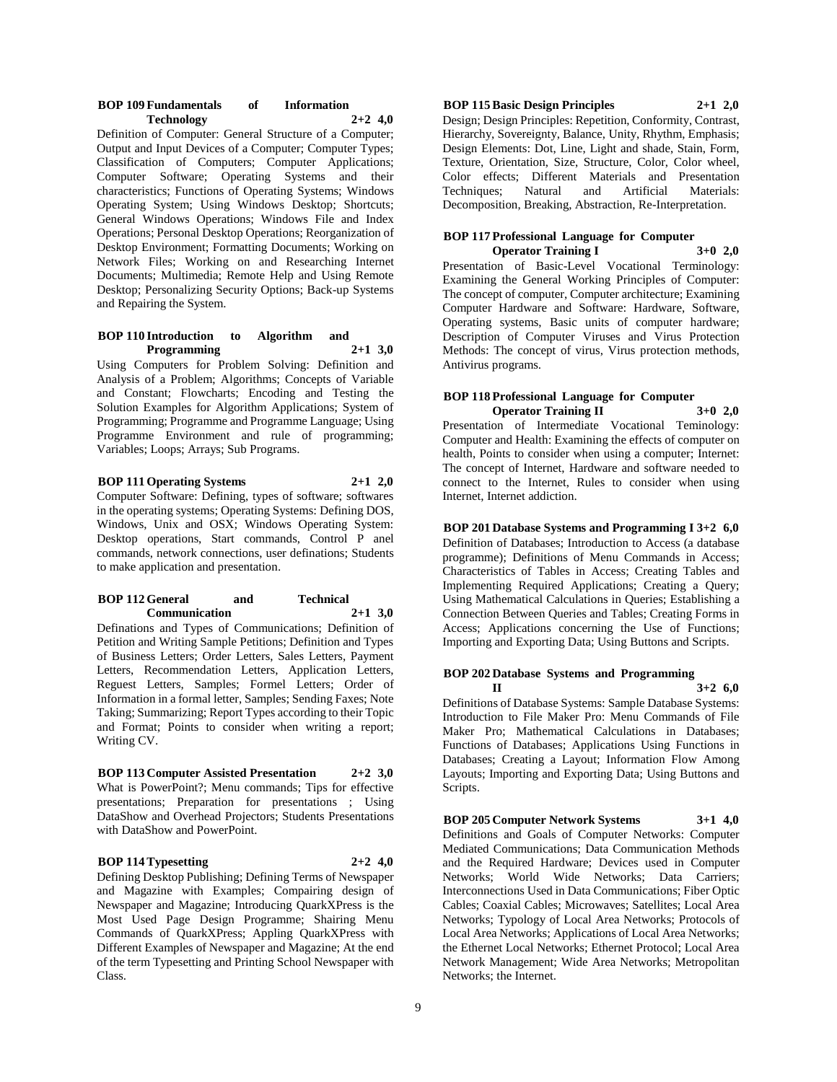| <b>BOP 109 Fundamentals</b> | <b>Information</b> |  |
|-----------------------------|--------------------|--|
| Technology                  | $2+2$ 4,0          |  |

Definition of Computer: General Structure of a Computer; Output and Input Devices of a Computer; Computer Types; Classification of Computers; Computer Applications; Computer Software; Operating Systems and their characteristics; Functions of Operating Systems; Windows Operating System; Using Windows Desktop; Shortcuts; General Windows Operations; Windows File and Index Operations; Personal Desktop Operations; Reorganization of Desktop Environment; Formatting Documents; Working on Network Files; Working on and Researching Internet Documents; Multimedia; Remote Help and Using Remote Desktop; Personalizing Security Options; Back-up Systems and Repairing the System.

# **BOP 110 Introduction to Algorithm and Programming 2+1 3,0**

Using Computers for Problem Solving: Definition and Analysis of a Problem; Algorithms; Concepts of Variable and Constant; Flowcharts; Encoding and Testing the Solution Examples for Algorithm Applications; System of Programming; Programme and Programme Language; Using Programme Environment and rule of programming; Variables; Loops; Arrays; Sub Programs.

# **BOP 111 Operating Systems 2+1 2,0**

Computer Software: Defining, types of software; softwares in the operating systems; Operating Systems: Defining DOS, Windows, Unix and OSX; Windows Operating System: Desktop operations, Start commands, Control P anel commands, network connections, user definations; Students to make application and presentation.

## **BOP 112 General and Technical Communication 2+1 3,0**

Definations and Types of Communications; Definition of Petition and Writing Sample Petitions; Definition and Types of Business Letters; Order Letters, Sales Letters, Payment Letters, Recommendation Letters, Application Letters, Reguest Letters, Samples; Formel Letters; Order of Information in a formal letter, Samples; Sending Faxes; Note Taking; Summarizing; Report Types according to their Topic and Format; Points to consider when writing a report; Writing CV.

# **BOP 113 Computer Assisted Presentation 2+2 3,0** What is PowerPoint?; Menu commands; Tips for effective presentations; Preparation for presentations ; Using DataShow and Overhead Projectors; Students Presentations with DataShow and PowerPoint.

#### **BOP 114 Typesetting 2+2 4,0**

Defining Desktop Publishing; Defining Terms of Newspaper and Magazine with Examples; Compairing design of Newspaper and Magazine; Introducing QuarkXPress is the Most Used Page Design Programme; Shairing Menu Commands of QuarkXPress; Appling QuarkXPress with Different Examples of Newspaper and Magazine; At the end of the term Typesetting and Printing School Newspaper with Class.

**BOP 115 Basic Design Principles 2+1 2,0** Design; Design Principles: Repetition, Conformity, Contrast,

Hierarchy, Sovereignty, Balance, Unity, Rhythm, Emphasis; Design Elements: Dot, Line, Light and shade, Stain, Form, Texture, Orientation, Size, Structure, Color, Color wheel, Color effects; Different Materials and Presentation Techniques; Natural and Artificial Materials: Decomposition, Breaking, Abstraction, Re-Interpretation.

## **BOP 117 Professional Language for Computer Operator Training I 3+0 2,0**

Presentation of Basic-Level Vocational Terminology: Examining the General Working Principles of Computer: The concept of computer, Computer architecture; Examining Computer Hardware and Software: Hardware, Software, Operating systems, Basic units of computer hardware; Description of Computer Viruses and Virus Protection Methods: The concept of virus, Virus protection methods, Antivirus programs.

# **BOP 118 Professional Language for Computer Operator Training II 3+0 2,0**

Presentation of Intermediate Vocational Teminology: Computer and Health: Examining the effects of computer on health, Points to consider when using a computer; Internet: The concept of Internet, Hardware and software needed to connect to the Internet, Rules to consider when using Internet, Internet addiction.

**BOP 201 Database Systems and Programming I 3+2 6,0**

Definition of Databases; Introduction to Access (a database programme); Definitions of Menu Commands in Access; Characteristics of Tables in Access; Creating Tables and Implementing Required Applications; Creating a Query; Using Mathematical Calculations in Queries; Establishing a Connection Between Queries and Tables; Creating Forms in Access; Applications concerning the Use of Functions; Importing and Exporting Data; Using Buttons and Scripts.

#### **BOP 202 Database Systems and Programming II**  $3+2$  **6.0**

Definitions of Database Systems: Sample Database Systems: Introduction to File Maker Pro: Menu Commands of File Maker Pro; Mathematical Calculations in Databases; Functions of Databases; Applications Using Functions in Databases; Creating a Layout; Information Flow Among Layouts; Importing and Exporting Data; Using Buttons and Scripts.

**BOP 205 Computer Network Systems 3+1 4,0** Definitions and Goals of Computer Networks: Computer Mediated Communications; Data Communication Methods and the Required Hardware; Devices used in Computer Networks; World Wide Networks; Data Carriers; Interconnections Used in Data Communications; Fiber Optic Cables; Coaxial Cables; Microwaves; Satellites; Local Area Networks; Typology of Local Area Networks; Protocols of Local Area Networks; Applications of Local Area Networks; the Ethernet Local Networks; Ethernet Protocol; Local Area Network Management; Wide Area Networks; Metropolitan Networks; the Internet.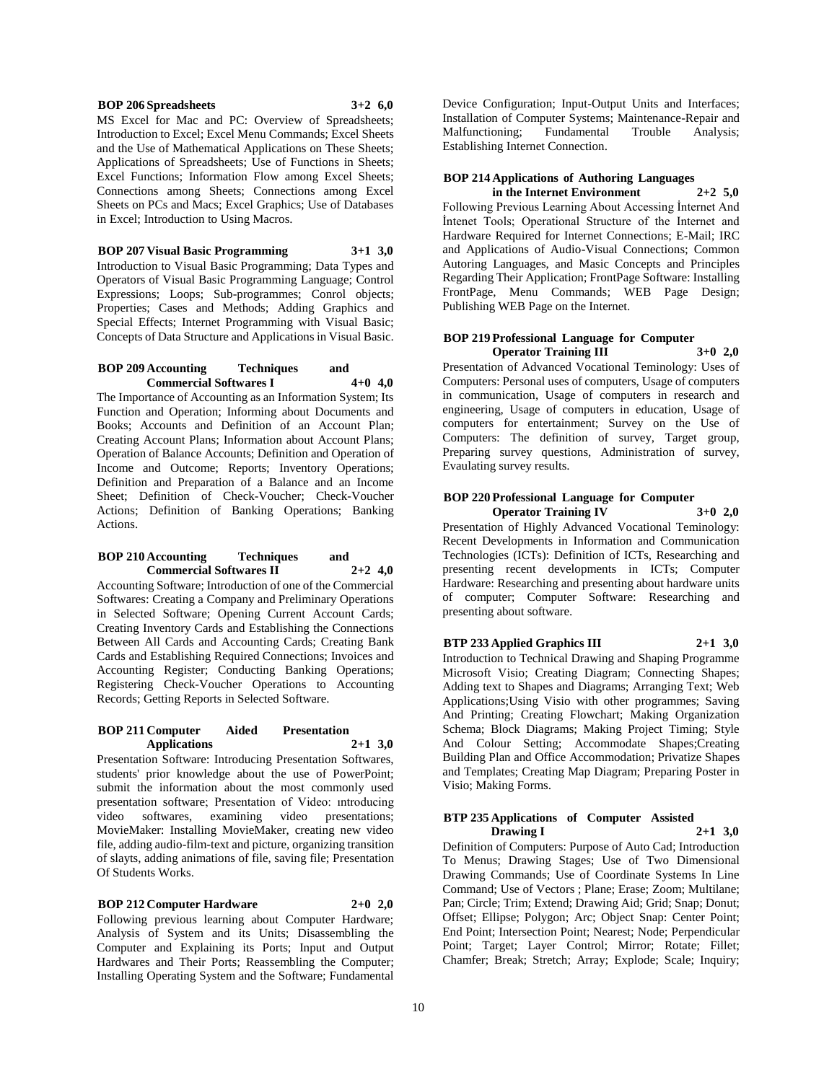# **BOP 206 Spreadsheets 3+2 6,0**

MS Excel for Mac and PC: Overview of Spreadsheets; Introduction to Excel; Excel Menu Commands; Excel Sheets and the Use of Mathematical Applications on These Sheets; Applications of Spreadsheets; Use of Functions in Sheets; Excel Functions; Information Flow among Excel Sheets; Connections among Sheets; Connections among Excel Sheets on PCs and Macs; Excel Graphics; Use of Databases in Excel; Introduction to Using Macros.

**BOP 207 Visual Basic Programming 3+1 3,0**

Introduction to Visual Basic Programming; Data Types and Operators of Visual Basic Programming Language; Control Expressions; Loops; Sub-programmes; Conrol objects; Properties; Cases and Methods; Adding Graphics and Special Effects; Internet Programming with Visual Basic; Concepts of Data Structure and Applications in Visual Basic.

#### **BOP 209 Accounting Techniques and Commercial Softwares I 4+0 4,0**

The Importance of Accounting as an Information System; Its Function and Operation; Informing about Documents and Books; Accounts and Definition of an Account Plan; Creating Account Plans; Information about Account Plans; Operation of Balance Accounts; Definition and Operation of Income and Outcome; Reports; Inventory Operations; Definition and Preparation of a Balance and an Income Sheet; Definition of Check-Voucher; Check-Voucher Actions; Definition of Banking Operations; Banking Actions.

#### **BOP 210 Accounting Techniques and Commercial Softwares II 2+2 4,0**

Accounting Software; Introduction of one of the Commercial Softwares: Creating a Company and Preliminary Operations in Selected Software; Opening Current Account Cards; Creating Inventory Cards and Establishing the Connections Between All Cards and Accounting Cards; Creating Bank Cards and Establishing Required Connections; Invoices and Accounting Register; Conducting Banking Operations; Registering Check-Voucher Operations to Accounting Records; Getting Reports in Selected Software.

#### **BOP 211 Computer Aided Presentation Applications 2+1 3,0**

Presentation Software: Introducing Presentation Softwares, students' prior knowledge about the use of PowerPoint; submit the information about the most commonly used presentation software; Presentation of Video: ıntroducing video softwares, examining video presentations; MovieMaker: Installing MovieMaker, creating new video file, adding audio-film-text and picture, organizing transition of slayts, adding animations of file, saving file; Presentation Of Students Works.

#### **BOP 212 Computer Hardware 2+0 2,0**

Following previous learning about Computer Hardware; Analysis of System and its Units; Disassembling the Computer and Explaining its Ports; Input and Output Hardwares and Their Ports; Reassembling the Computer; Installing Operating System and the Software; Fundamental

Device Configuration; Input-Output Units and Interfaces; Installation of Computer Systems; Maintenance-Repair and Malfunctioning; Fundamental Trouble Analysis; Establishing Internet Connection.

# **BOP 214 Applications of Authoring Languages**

**in the Internet Environment 2+2 5,0** Following Previous Learning About Accessing İnternet And İntenet Tools; Operational Structure of the Internet and Hardware Required for Internet Connections; E-Mail; IRC and Applications of Audio-Visual Connections; Common Autoring Languages, and Masic Concepts and Principles Regarding Their Application; FrontPage Software: Installing FrontPage, Menu Commands; WEB Page Design; Publishing WEB Page on the Internet.

### **BOP 219 Professional Language for Computer Operator Training III 3+0 2,0**

Presentation of Advanced Vocational Teminology: Uses of Computers: Personal uses of computers, Usage of computers in communication, Usage of computers in research and engineering, Usage of computers in education, Usage of computers for entertainment; Survey on the Use of Computers: The definition of survey, Target group, Preparing survey questions, Administration of survey, Evaulating survey results.

## **BOP 220 Professional Language for Computer Operator Training IV 3+0 2,0**

Presentation of Highly Advanced Vocational Teminology: Recent Developments in Information and Communication Technologies (ICTs): Definition of ICTs, Researching and presenting recent developments in ICTs; Computer Hardware: Researching and presenting about hardware units of computer; Computer Software: Researching and presenting about software.

# **BTP 233 Applied Graphics III 2+1 3,0**

Introduction to Technical Drawing and Shaping Programme Microsoft Visio; Creating Diagram; Connecting Shapes; Adding text to Shapes and Diagrams; Arranging Text; Web Applications;Using Visio with other programmes; Saving And Printing; Creating Flowchart; Making Organization Schema; Block Diagrams; Making Project Timing; Style And Colour Setting; Accommodate Shapes;Creating Building Plan and Office Accommodation; Privatize Shapes and Templates; Creating Map Diagram; Preparing Poster in Visio; Making Forms.

# **BTP 235 Applications of Computer Assisted Drawing I 2+1 3,0**

Definition of Computers: Purpose of Auto Cad; Introduction To Menus; Drawing Stages; Use of Two Dimensional Drawing Commands; Use of Coordinate Systems In Line Command; Use of Vectors ; Plane; Erase; Zoom; Multilane; Pan; Circle; Trim; Extend; Drawing Aid; Grid; Snap; Donut; Offset; Ellipse; Polygon; Arc; Object Snap: Center Point; End Point; Intersection Point; Nearest; Node; Perpendicular Point; Target; Layer Control; Mirror; Rotate; Fillet; Chamfer; Break; Stretch; Array; Explode; Scale; Inquiry;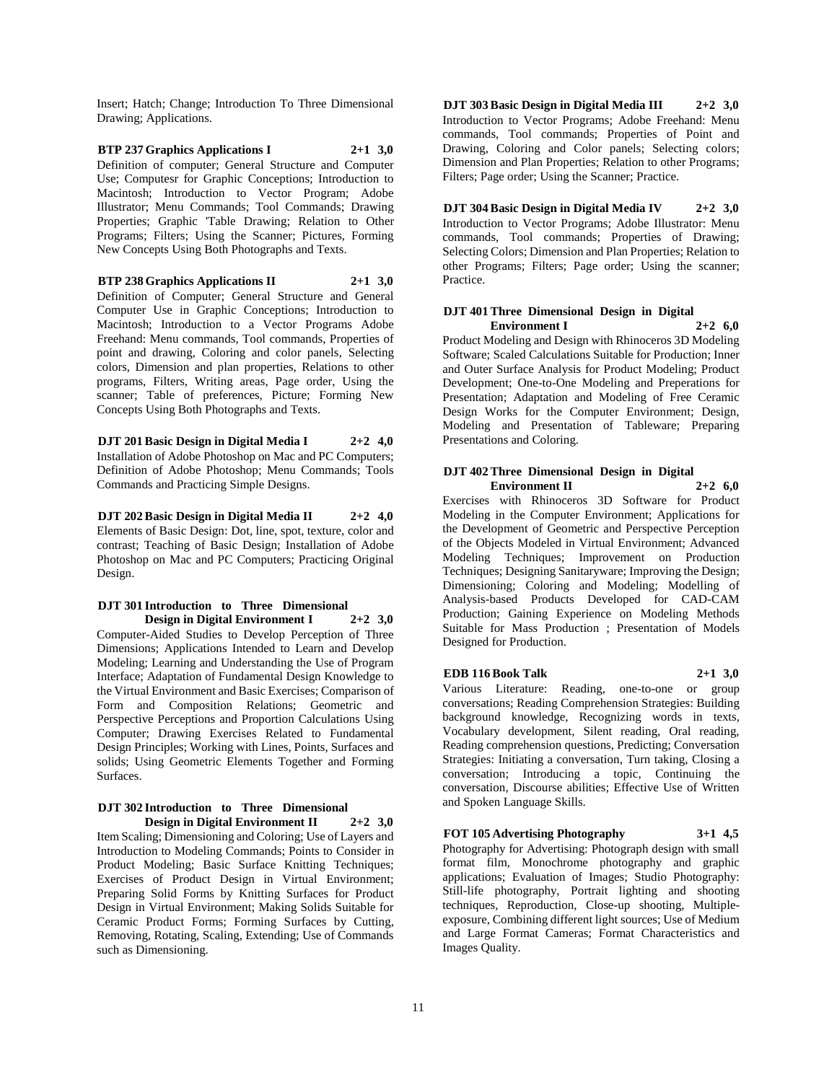Insert; Hatch; Change; Introduction To Three Dimensional Drawing; Applications.

**BTP 237 Graphics Applications I 2+1 3,0** Definition of computer; General Structure and Computer Use; Computesr for Graphic Conceptions; Introduction to Macintosh; Introduction to Vector Program; Adobe Illustrator; Menu Commands; Tool Commands; Drawing Properties; Graphic 'Table Drawing; Relation to Other Programs; Filters; Using the Scanner; Pictures, Forming New Concepts Using Both Photographs and Texts.

**BTP 238 Graphics Applications II 2+1 3,0** Definition of Computer; General Structure and General Computer Use in Graphic Conceptions; Introduction to Macintosh; Introduction to a Vector Programs Adobe Freehand: Menu commands, Tool commands, Properties of point and drawing, Coloring and color panels, Selecting colors, Dimension and plan properties, Relations to other programs, Filters, Writing areas, Page order, Using the scanner; Table of preferences, Picture; Forming New Concepts Using Both Photographs and Texts.

**DJT 201 Basic Design in Digital Media I 2+2 4,0** Installation of Adobe Photoshop on Mac and PC Computers; Definition of Adobe Photoshop; Menu Commands; Tools Commands and Practicing Simple Designs.

**DJT 202 Basic Design in Digital Media II 2+2 4,0** Elements of Basic Design: Dot, line, spot, texture, color and contrast; Teaching of Basic Design; Installation of Adobe Photoshop on Mac and PC Computers; Practicing Original Design.

#### **DJT 301 Introduction to Three Dimensional Design in Digital Environment I 2+2 3,0**

Computer-Aided Studies to Develop Perception of Three Dimensions; Applications Intended to Learn and Develop Modeling; Learning and Understanding the Use of Program Interface; Adaptation of Fundamental Design Knowledge to the Virtual Environment and Basic Exercises; Comparison of Form and Composition Relations; Geometric and Perspective Perceptions and Proportion Calculations Using Computer; Drawing Exercises Related to Fundamental Design Principles; Working with Lines, Points, Surfaces and solids; Using Geometric Elements Together and Forming Surfaces.

# **DJT 302 Introduction to Three Dimensional Design in Digital Environment II 2+2 3,0**

Item Scaling; Dimensioning and Coloring; Use of Layers and Introduction to Modeling Commands; Points to Consider in Product Modeling; Basic Surface Knitting Techniques; Exercises of Product Design in Virtual Environment; Preparing Solid Forms by Knitting Surfaces for Product Design in Virtual Environment; Making Solids Suitable for Ceramic Product Forms; Forming Surfaces by Cutting, Removing, Rotating, Scaling, Extending; Use of Commands such as Dimensioning.

**DJT 303 Basic Design in Digital Media III 2+2 3,0** Introduction to Vector Programs; Adobe Freehand: Menu commands, Tool commands; Properties of Point and Drawing, Coloring and Color panels; Selecting colors; Dimension and Plan Properties; Relation to other Programs; Filters; Page order; Using the Scanner; Practice.

**DJT 304 Basic Design in Digital Media IV 2+2 3,0** Introduction to Vector Programs; Adobe Illustrator: Menu commands, Tool commands; Properties of Drawing; Selecting Colors; Dimension and Plan Properties; Relation to other Programs; Filters; Page order; Using the scanner; Practice.

# **DJT 401 Three Dimensional Design in Digital Environment I 2+2 6,0**

Product Modeling and Design with Rhinoceros 3D Modeling Software; Scaled Calculations Suitable for Production; Inner and Outer Surface Analysis for Product Modeling; Product Development; One-to-One Modeling and Preperations for Presentation; Adaptation and Modeling of Free Ceramic Design Works for the Computer Environment; Design, Modeling and Presentation of Tableware; Preparing Presentations and Coloring.

# **DJT 402 Three Dimensional Design in Digital Environment II 2+2 6,0**

Exercises with Rhinoceros 3D Software for Product Modeling in the Computer Environment; Applications for the Development of Geometric and Perspective Perception of the Objects Modeled in Virtual Environment; Advanced Modeling Techniques; Improvement on Production Techniques; Designing Sanitaryware; Improving the Design; Dimensioning; Coloring and Modeling; Modelling of Analysis-based Products Developed for CAD-CAM Production; Gaining Experience on Modeling Methods Suitable for Mass Production ; Presentation of Models Designed for Production.

# **EDB 116 Book Talk 2+1 3,0**

Various Literature: Reading, one-to-one or group conversations; Reading Comprehension Strategies: Building background knowledge, Recognizing words in texts, Vocabulary development, Silent reading, Oral reading, Reading comprehension questions, Predicting; Conversation Strategies: Initiating a conversation, Turn taking, Closing a conversation; Introducing a topic, Continuing the conversation, Discourse abilities; Effective Use of Written and Spoken Language Skills.

**FOT 105 Advertising Photography 3+1 4,5**

Photography for Advertising: Photograph design with small format film, Monochrome photography and graphic applications; Evaluation of Images; Studio Photography: Still-life photography, Portrait lighting and shooting techniques, Reproduction, Close-up shooting, Multipleexposure, Combining different light sources; Use of Medium and Large Format Cameras; Format Characteristics and Images Quality.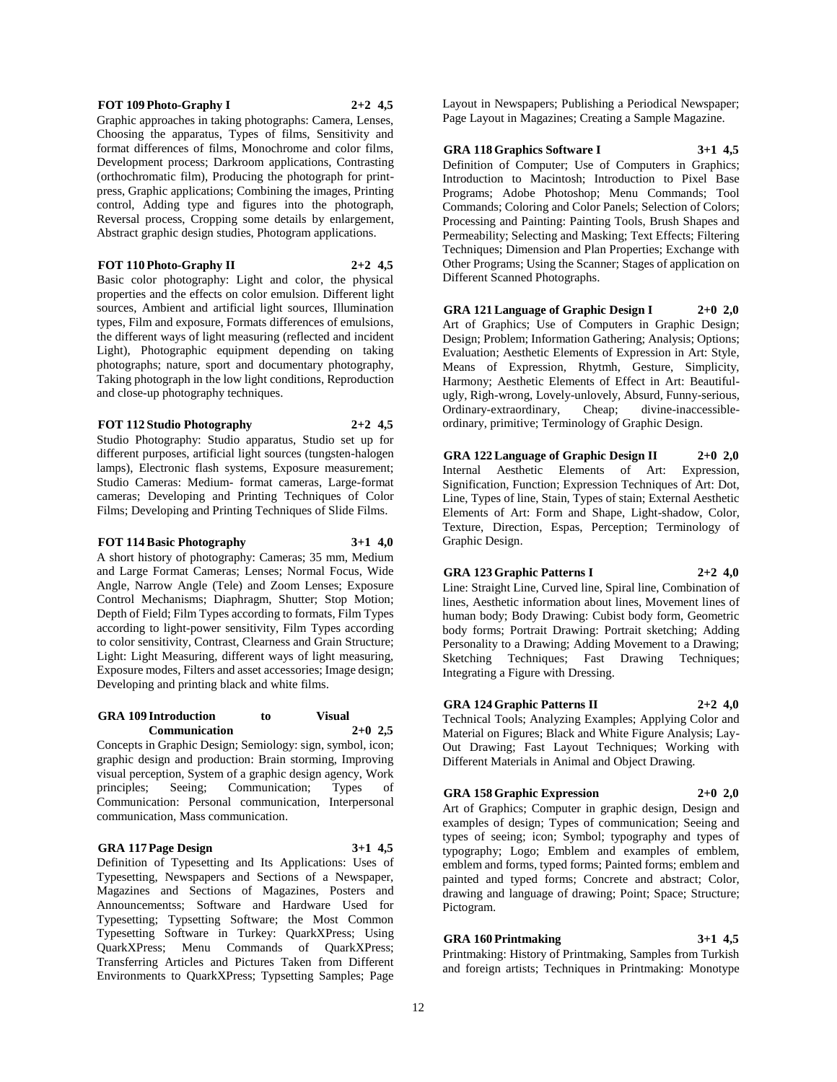### **FOT 109 Photo-Graphy I 2+2 4,5**

Graphic approaches in taking photographs: Camera, Lenses, Choosing the apparatus, Types of films, Sensitivity and format differences of films, Monochrome and color films, Development process; Darkroom applications, Contrasting (orthochromatic film), Producing the photograph for printpress, Graphic applications; Combining the images, Printing control, Adding type and figures into the photograph, Reversal process, Cropping some details by enlargement, Abstract graphic design studies, Photogram applications.

# **FOT 110 Photo-Graphy II 2+2 4,5**

Basic color photography: Light and color, the physical properties and the effects on color emulsion. Different light sources, Ambient and artificial light sources, Illumination types, Film and exposure, Formats differences of emulsions, the different ways of light measuring (reflected and incident Light), Photographic equipment depending on taking photographs; nature, sport and documentary photography, Taking photograph in the low light conditions, Reproduction and close-up photography techniques.

# **FOT 112 Studio Photography 2+2 4,5**

Studio Photography: Studio apparatus, Studio set up for different purposes, artificial light sources (tungsten-halogen lamps), Electronic flash systems, Exposure measurement; Studio Cameras: Medium- format cameras, Large-format cameras; Developing and Printing Techniques of Color Films; Developing and Printing Techniques of Slide Films.

#### **FOT 114 Basic Photography 3+1 4,0**

A short history of photography: Cameras; 35 mm, Medium and Large Format Cameras; Lenses; Normal Focus, Wide Angle, Narrow Angle (Tele) and Zoom Lenses; Exposure Control Mechanisms; Diaphragm, Shutter; Stop Motion; Depth of Field; Film Types according to formats, Film Types according to light-power sensitivity, Film Types according to color sensitivity, Contrast, Clearness and Grain Structure; Light: Light Measuring, different ways of light measuring, Exposure modes, Filters and asset accessories; Image design; Developing and printing black and white films.

#### **GRA 109 Introduction to Visual Communication 2+0 2,5**

Concepts in Graphic Design; Semiology: sign, symbol, icon; graphic design and production: Brain storming, Improving visual perception, System of a graphic design agency, Work<br>principles; Seeing; Communication; Types of Communication; Types of Communication: Personal communication, Interpersonal communication, Mass communication.

# **GRA 117 Page Design 3+1 4,5**

Definition of Typesetting and Its Applications: Uses of Typesetting, Newspapers and Sections of a Newspaper, Magazines and Sections of Magazines, Posters and Announcementss; Software and Hardware Used for Typesetting; Typsetting Software; the Most Common Typesetting Software in Turkey: QuarkXPress; Using QuarkXPress; Menu Commands of QuarkXPress; Transferring Articles and Pictures Taken from Different Environments to QuarkXPress; Typsetting Samples; Page

Layout in Newspapers; Publishing a Periodical Newspaper; Page Layout in Magazines; Creating a Sample Magazine.

#### **GRA 118 Graphics Software I 3+1 4,5**

Definition of Computer; Use of Computers in Graphics; Introduction to Macintosh; Introduction to Pixel Base Programs; Adobe Photoshop; Menu Commands; Tool Commands; Coloring and Color Panels; Selection of Colors; Processing and Painting: Painting Tools, Brush Shapes and Permeability; Selecting and Masking; Text Effects; Filtering Techniques; Dimension and Plan Properties; Exchange with Other Programs; Using the Scanner; Stages of application on Different Scanned Photographs.

**GRA 121 Language of Graphic Design I 2+0 2,0** Art of Graphics; Use of Computers in Graphic Design; Design; Problem; Information Gathering; Analysis; Options; Evaluation; Aesthetic Elements of Expression in Art: Style, Means of Expression, Rhytmh, Gesture, Simplicity, Harmony; Aesthetic Elements of Effect in Art: Beautifulugly, Righ-wrong, Lovely-unlovely, Absurd, Funny-serious, Ordinary-extraordinary, Cheap; divine-inaccessibleordinary, primitive; Terminology of Graphic Design.

**GRA 122 Language of Graphic Design II 2+0 2,0** Internal Aesthetic Elements of Art: Expression, Signification, Function; Expression Techniques of Art: Dot, Line, Types of line, Stain, Types of stain; External Aesthetic Elements of Art: Form and Shape, Light-shadow, Color, Texture, Direction, Espas, Perception; Terminology of Graphic Design.

# **GRA 123 Graphic Patterns I 2+2 4,0**

Line: Straight Line, Curved line, Spiral line, Combination of lines, Aesthetic information about lines, Movement lines of human body; Body Drawing: Cubist body form, Geometric body forms; Portrait Drawing: Portrait sketching; Adding Personality to a Drawing; Adding Movement to a Drawing; Sketching Techniques; Fast Drawing Techniques; Integrating a Figure with Dressing.

# **GRA 124 Graphic Patterns II 2+2 4,0**

Technical Tools; Analyzing Examples; Applying Color and Material on Figures; Black and White Figure Analysis; Lay-Out Drawing; Fast Layout Techniques; Working with Different Materials in Animal and Object Drawing.

#### **GRA 158 Graphic Expression 2+0 2,0**

Art of Graphics; Computer in graphic design, Design and examples of design; Types of communication; Seeing and types of seeing; icon; Symbol; typography and types of

typography; Logo; Emblem and examples of emblem, emblem and forms, typed forms; Painted forms; emblem and painted and typed forms; Concrete and abstract; Color, drawing and language of drawing; Point; Space; Structure; Pictogram.

**GRA 160 Printmaking 3+1 4,5**

Printmaking: History of Printmaking, Samples from Turkish and foreign artists; Techniques in Printmaking: Monotype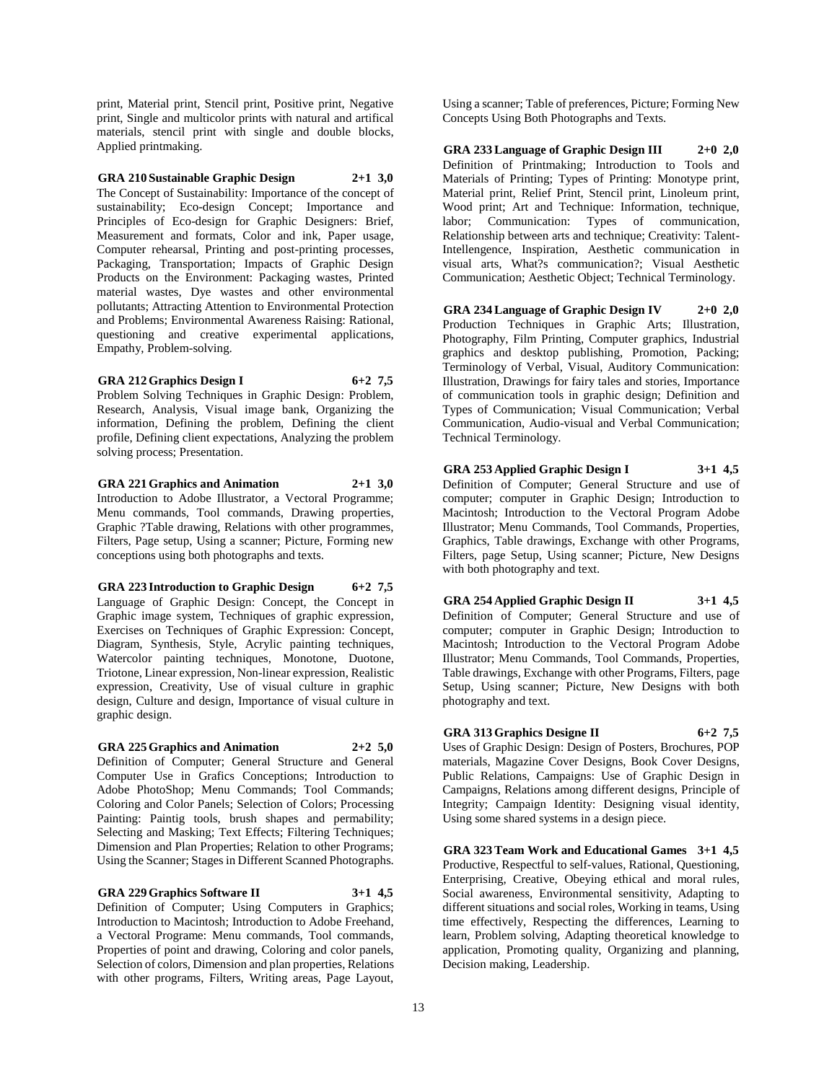print, Material print, Stencil print, Positive print, Negative print, Single and multicolor prints with natural and artifical materials, stencil print with single and double blocks, Applied printmaking.

**GRA 210 Sustainable Graphic Design 2+1 3,0** The Concept of Sustainability: Importance of the concept of sustainability; Eco-design Concept; Importance and Principles of Eco-design for Graphic Designers: Brief, Measurement and formats, Color and ink, Paper usage, Computer rehearsal, Printing and post-printing processes, Packaging, Transportation; Impacts of Graphic Design Products on the Environment: Packaging wastes, Printed material wastes, Dye wastes and other environmental pollutants; Attracting Attention to Environmental Protection and Problems; Environmental Awareness Raising: Rational, questioning and creative experimental applications, Empathy, Problem-solving.

**GRA 212 Graphics Design I 6+2 7,5**

Problem Solving Techniques in Graphic Design: Problem, Research, Analysis, Visual image bank, Organizing the information, Defining the problem, Defining the client profile, Defining client expectations, Analyzing the problem solving process; Presentation.

**GRA 221 Graphics and Animation 2+1 3,0**

Introduction to Adobe Illustrator, a Vectoral Programme; Menu commands, Tool commands, Drawing properties, Graphic ?Table drawing, Relations with other programmes, Filters, Page setup, Using a scanner; Picture, Forming new conceptions using both photographs and texts.

**GRA 223 Introduction to Graphic Design 6+2 7,5** Language of Graphic Design: Concept, the Concept in Graphic image system, Techniques of graphic expression, Exercises on Techniques of Graphic Expression: Concept, Diagram, Synthesis, Style, Acrylic painting techniques, Watercolor painting techniques, Monotone, Duotone, Triotone, Linear expression, Non-linear expression, Realistic expression, Creativity, Use of visual culture in graphic design, Culture and design, Importance of visual culture in graphic design.

# **GRA 225 Graphics and Animation 2+2 5,0**

Definition of Computer; General Structure and General Computer Use in Grafics Conceptions; Introduction to Adobe PhotoShop; Menu Commands; Tool Commands; Coloring and Color Panels; Selection of Colors; Processing Painting: Paintig tools, brush shapes and permability; Selecting and Masking; Text Effects; Filtering Techniques; Dimension and Plan Properties; Relation to other Programs; Using the Scanner; Stages in Different Scanned Photographs.

# **GRA 229 Graphics Software II 3+1 4,5**

Definition of Computer; Using Computers in Graphics; Introduction to Macintosh; Introduction to Adobe Freehand, a Vectoral Programe: Menu commands, Tool commands, Properties of point and drawing, Coloring and color panels, Selection of colors, Dimension and plan properties, Relations with other programs, Filters, Writing areas, Page Layout,

Using a scanner; Table of preferences, Picture; Forming New Concepts Using Both Photographs and Texts.

**GRA 233 Language of Graphic Design III 2+0 2,0** Definition of Printmaking; Introduction to Tools and Materials of Printing; Types of Printing: Monotype print, Material print, Relief Print, Stencil print, Linoleum print, Wood print; Art and Technique: Information, technique, labor; Communication: Types of communication, Relationship between arts and technique; Creativity: Talent-Intellengence, Inspiration, Aesthetic communication in visual arts, What?s communication?; Visual Aesthetic Communication; Aesthetic Object; Technical Terminology.

**GRA 234 Language of Graphic Design IV 2+0 2,0**

Production Techniques in Graphic Arts; Illustration, Photography, Film Printing, Computer graphics, Industrial graphics and desktop publishing, Promotion, Packing; Terminology of Verbal, Visual, Auditory Communication: Illustration, Drawings for fairy tales and stories, Importance of communication tools in graphic design; Definition and Types of Communication; Visual Communication; Verbal Communication, Audio-visual and Verbal Communication; Technical Terminology.

**GRA 253 Applied Graphic Design I 3+1 4,5** Definition of Computer; General Structure and use of computer; computer in Graphic Design; Introduction to Macintosh; Introduction to the Vectoral Program Adobe Illustrator; Menu Commands, Tool Commands, Properties, Graphics, Table drawings, Exchange with other Programs, Filters, page Setup, Using scanner; Picture, New Designs

**GRA 254 Applied Graphic Design II 3+1 4,5** Definition of Computer; General Structure and use of computer; computer in Graphic Design; Introduction to Macintosh; Introduction to the Vectoral Program Adobe Illustrator; Menu Commands, Tool Commands, Properties, Table drawings, Exchange with other Programs, Filters, page Setup, Using scanner; Picture, New Designs with both photography and text.

# **GRA 313 Graphics Designe II 6+2 7,5**

with both photography and text.

Uses of Graphic Design: Design of Posters, Brochures, POP materials, Magazine Cover Designs, Book Cover Designs, Public Relations, Campaigns: Use of Graphic Design in Campaigns, Relations among different designs, Principle of Integrity; Campaign Identity: Designing visual identity, Using some shared systems in a design piece.

**GRA 323 Team Work and Educational Games 3+1 4,5** Productive, Respectful to self-values, Rational, Questioning, Enterprising, Creative, Obeying ethical and moral rules, Social awareness, Environmental sensitivity, Adapting to different situations and social roles, Working in teams, Using time effectively, Respecting the differences, Learning to learn, Problem solving, Adapting theoretical knowledge to application, Promoting quality, Organizing and planning, Decision making, Leadership.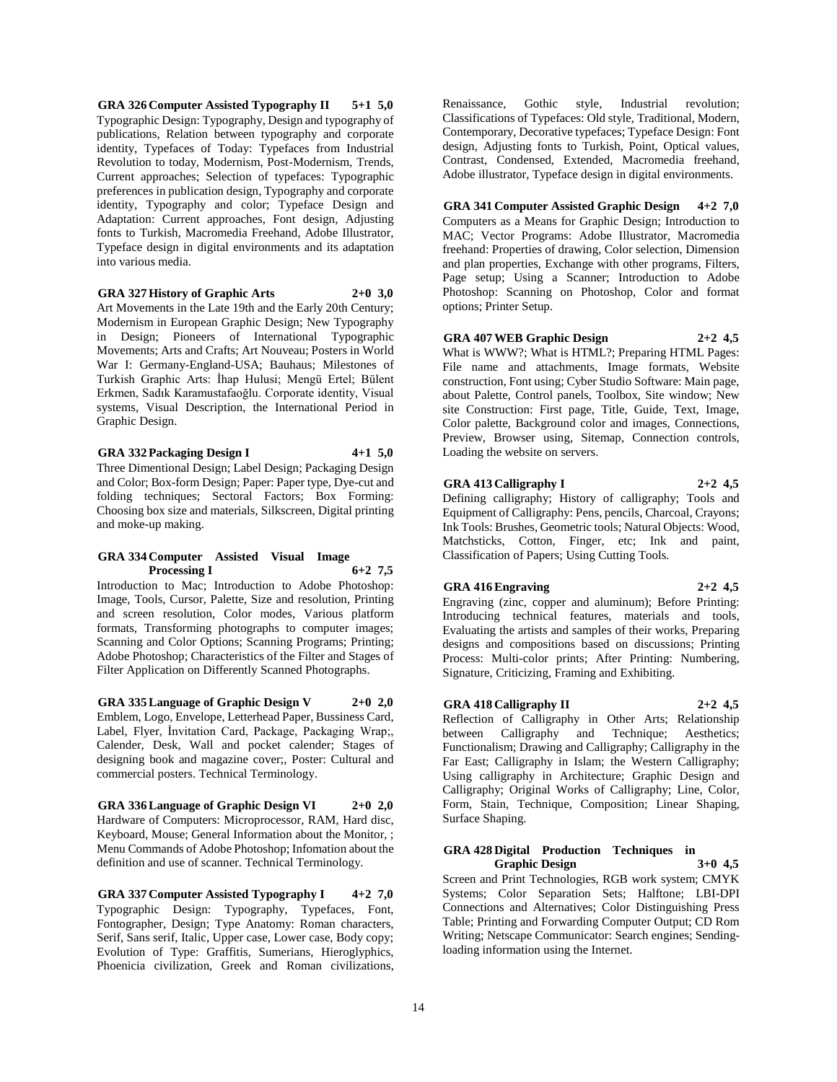**GRA 326 Computer Assisted Typography II 5+1 5,0** Typographic Design: Typography, Design and typography of publications, Relation between typography and corporate identity, Typefaces of Today: Typefaces from Industrial Revolution to today, Modernism, Post-Modernism, Trends, Current approaches; Selection of typefaces: Typographic preferences in publication design, Typography and corporate identity, Typography and color; Typeface Design and Adaptation: Current approaches, Font design, Adjusting fonts to Turkish, Macromedia Freehand, Adobe Illustrator, Typeface design in digital environments and its adaptation into various media.

# **GRA 327 History of Graphic Arts 2+0 3,0**

Art Movements in the Late 19th and the Early 20th Century; Modernism in European Graphic Design; New Typography in Design; Pioneers of International Typographic Movements; Arts and Crafts; Art Nouveau; Posters in World War I: Germany-England-USA; Bauhaus; Milestones of Turkish Graphic Arts: İhap Hulusi; Mengü Ertel; Bülent Erkmen, Sadık Karamustafaoğlu. Corporate identity, Visual systems, Visual Description, the International Period in Graphic Design.

**GRA 332 Packaging Design I 4+1 5,0**

Three Dimentional Design; Label Design; Packaging Design and Color; Box-form Design; Paper: Paper type, Dye-cut and folding techniques; Sectoral Factors; Box Forming: Choosing box size and materials, Silkscreen, Digital printing and moke-up making.

#### **GRA 334 Computer Assisted Visual Image Processing I**

Introduction to Mac; Introduction to Adobe Photoshop: Image, Tools, Cursor, Palette, Size and resolution, Printing and screen resolution, Color modes, Various platform formats, Transforming photographs to computer images; Scanning and Color Options; Scanning Programs; Printing; Adobe Photoshop; Characteristics of the Filter and Stages of Filter Application on Differently Scanned Photographs.

**GRA 335 Language of Graphic Design V 2+0 2,0** Emblem, Logo, Envelope, Letterhead Paper, Bussiness Card, Label, Flyer, İnvitation Card, Package, Packaging Wrap;, Calender, Desk, Wall and pocket calender; Stages of designing book and magazine cover;, Poster: Cultural and commercial posters. Technical Terminology.

**GRA 336 Language of Graphic Design VI 2+0 2,0** Hardware of Computers: Microprocessor, RAM, Hard disc, Keyboard, Mouse; General Information about the Monitor, ; Menu Commands of Adobe Photoshop; Infomation about the definition and use of scanner. Technical Terminology.

**GRA 337 Computer Assisted Typography I 4+2 7,0** Typographic Design: Typography, Typefaces, Font, Fontographer, Design; Type Anatomy: Roman characters, Serif, Sans serif, Italic, Upper case, Lower case, Body copy; Evolution of Type: Graffitis, Sumerians, Hieroglyphics, Phoenicia civilization, Greek and Roman civilizations, Renaissance, Gothic style, Industrial revolution; Classifications of Typefaces: Old style, Traditional, Modern, Contemporary, Decorative typefaces; Typeface Design: Font design, Adjusting fonts to Turkish, Point, Optical values, Contrast, Condensed, Extended, Macromedia freehand, Adobe illustrator, Typeface design in digital environments.

**GRA 341 Computer Assisted Graphic Design 4+2 7,0** Computers as a Means for Graphic Design; Introduction to MAC; Vector Programs: Adobe Illustrator, Macromedia freehand: Properties of drawing, Color selection, Dimension and plan properties, Exchange with other programs, Filters, Page setup; Using a Scanner; Introduction to Adobe Photoshop: Scanning on Photoshop, Color and format options; Printer Setup.

**GRA 407 WEB Graphic Design 2+2 4,5**

What is WWW?; What is HTML?; Preparing HTML Pages: File name and attachments, Image formats, Website construction, Font using; Cyber Studio Software: Main page, about Palette, Control panels, Toolbox, Site window; New site Construction: First page, Title, Guide, Text, Image, Color palette, Background color and images, Connections, Preview, Browser using, Sitemap, Connection controls, Loading the website on servers.

# **GRA 413 Calligraphy I 2+2 4,5**

Defining calligraphy; History of calligraphy; Tools and Equipment of Calligraphy: Pens, pencils, Charcoal, Crayons; Ink Tools: Brushes, Geometric tools; Natural Objects: Wood, Matchsticks, Cotton, Finger, etc; Ink and paint, Classification of Papers; Using Cutting Tools.

# **GRA 416 Engraving 2+2 4,5**

Engraving (zinc, copper and aluminum); Before Printing: Introducing technical features, materials and tools, Evaluating the artists and samples of their works, Preparing designs and compositions based on discussions; Printing Process: Multi-color prints; After Printing: Numbering, Signature, Criticizing, Framing and Exhibiting.

# **GRA 418 Calligraphy II 2+2 4,5**

Reflection of Calligraphy in Other Arts; Relationship between Calligraphy and Technique; Aesthetics; Functionalism; Drawing and Calligraphy; Calligraphy in the Far East; Calligraphy in Islam; the Western Calligraphy; Using calligraphy in Architecture; Graphic Design and Calligraphy; Original Works of Calligraphy; Line, Color, Form, Stain, Technique, Composition; Linear Shaping, Surface Shaping.

# **GRA 428 Digital Production Techniques in Graphic Design**

Screen and Print Technologies, RGB work system; CMYK Systems; Color Separation Sets; Halftone; LBI-DPI Connections and Alternatives; Color Distinguishing Press Table; Printing and Forwarding Computer Output; CD Rom Writing; Netscape Communicator: Search engines; Sendingloading information using the Internet.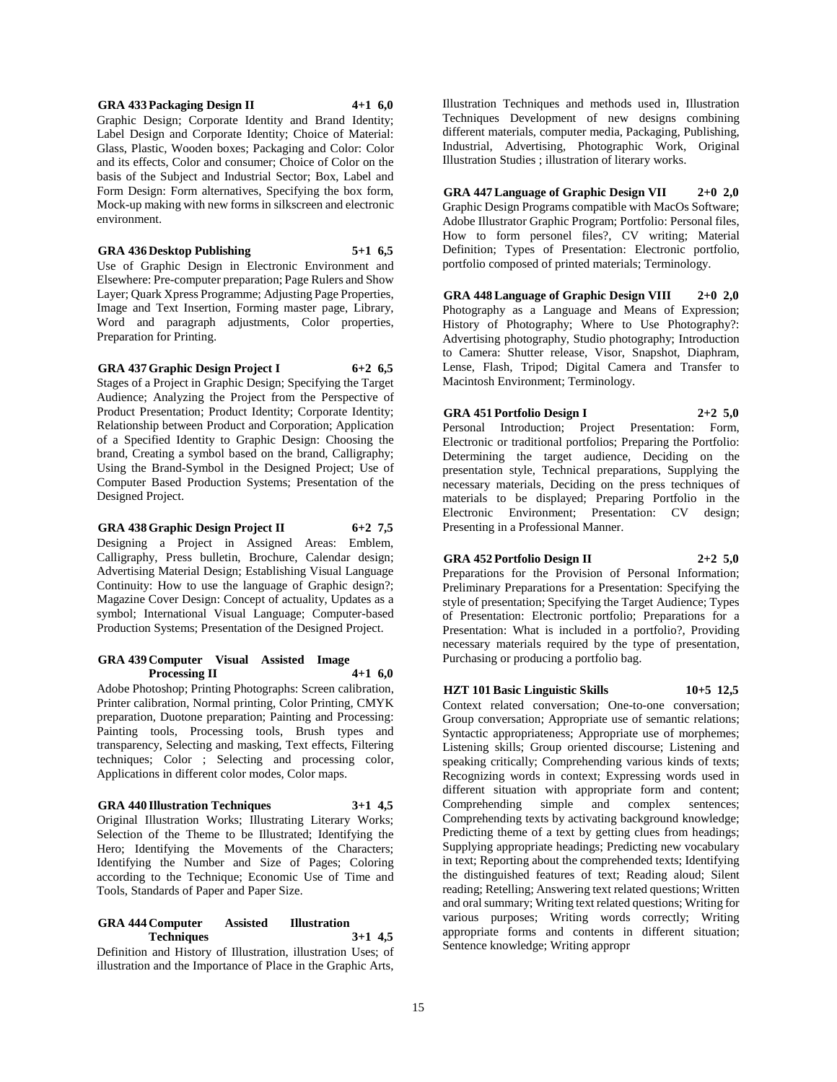# **GRA 433 Packaging Design II 4+1 6,0**

Graphic Design; Corporate Identity and Brand Identity; Label Design and Corporate Identity; Choice of Material: Glass, Plastic, Wooden boxes; Packaging and Color: Color and its effects, Color and consumer; Choice of Color on the basis of the Subject and Industrial Sector; Box, Label and Form Design: Form alternatives, Specifying the box form, Mock-up making with new forms in silkscreen and electronic environment.

# **GRA 436 Desktop Publishing 5+1 6,5**

Use of Graphic Design in Electronic Environment and Elsewhere: Pre-computer preparation; Page Rulers and Show Layer; Quark Xpress Programme; Adjusting Page Properties, Image and Text Insertion, Forming master page, Library, Word and paragraph adjustments, Color properties, Preparation for Printing.

# **GRA 437 Graphic Design Project I 6+2 6,5**

Stages of a Project in Graphic Design; Specifying the Target Audience; Analyzing the Project from the Perspective of Product Presentation; Product Identity; Corporate Identity; Relationship between Product and Corporation; Application of a Specified Identity to Graphic Design: Choosing the brand, Creating a symbol based on the brand, Calligraphy; Using the Brand-Symbol in the Designed Project; Use of Computer Based Production Systems; Presentation of the Designed Project.

# **GRA 438 Graphic Design Project II 6+2 7,5**

Designing a Project in Assigned Areas: Emblem, Calligraphy, Press bulletin, Brochure, Calendar design; Advertising Material Design; Establishing Visual Language Continuity: How to use the language of Graphic design?; Magazine Cover Design: Concept of actuality, Updates as a symbol; International Visual Language; Computer-based Production Systems; Presentation of the Designed Project.

#### **GRA 439 Computer Visual Assisted Image Processing II 4+1 6,0**

Adobe Photoshop; Printing Photographs: Screen calibration, Printer calibration, Normal printing, Color Printing, CMYK preparation, Duotone preparation; Painting and Processing: Painting tools, Processing tools, Brush types and transparency, Selecting and masking, Text effects, Filtering techniques; Color ; Selecting and processing color, Applications in different color modes, Color maps.

# **GRA 440 Illustration Techniques 3+1 4,5**

Original Illustration Works; Illustrating Literary Works; Selection of the Theme to be Illustrated; Identifying the Hero; Identifying the Movements of the Characters; Identifying the Number and Size of Pages; Coloring according to the Technique; Economic Use of Time and Tools, Standards of Paper and Paper Size.

# **GRA 444 Computer Assisted Illustration Techniques 3+1 4,5**

Definition and History of Illustration, illustration Uses; of illustration and the Importance of Place in the Graphic Arts,

Illustration Techniques and methods used in, Illustration Techniques Development of new designs combining different materials, computer media, Packaging, Publishing, Industrial, Advertising, Photographic Work, Original Illustration Studies ; illustration of literary works.

**GRA 447 Language of Graphic Design VII 2+0 2,0** Graphic Design Programs compatible with MacOs Software; Adobe Illustrator Graphic Program; Portfolio: Personal files, How to form personel files?, CV writing; Material Definition; Types of Presentation: Electronic portfolio, portfolio composed of printed materials; Terminology.

**GRA 448 Language of Graphic Design VIII 2+0 2,0** Photography as a Language and Means of Expression; History of Photography; Where to Use Photography?: Advertising photography, Studio photography; Introduction to Camera: Shutter release, Visor, Snapshot, Diaphram, Lense, Flash, Tripod; Digital Camera and Transfer to Macintosh Environment; Terminology.

# **GRA 451 Portfolio Design I 2+2 5,0**

Personal Introduction; Project Presentation: Form, Electronic or traditional portfolios; Preparing the Portfolio: Determining the target audience, Deciding on the presentation style, Technical preparations, Supplying the necessary materials, Deciding on the press techniques of materials to be displayed; Preparing Portfolio in the Electronic Environment; Presentation: CV design; Presenting in a Professional Manner.

# **GRA 452 Portfolio Design II 2+2 5,0**

Preparations for the Provision of Personal Information; Preliminary Preparations for a Presentation: Specifying the style of presentation; Specifying the Target Audience; Types of Presentation: Electronic portfolio; Preparations for a Presentation: What is included in a portfolio?, Providing necessary materials required by the type of presentation, Purchasing or producing a portfolio bag.

# **HZT 101 Basic Linguistic Skills 10+5 12,5**

Context related conversation; One-to-one conversation; Group conversation; Appropriate use of semantic relations; Syntactic appropriateness; Appropriate use of morphemes; Listening skills; Group oriented discourse; Listening and speaking critically; Comprehending various kinds of texts; Recognizing words in context; Expressing words used in different situation with appropriate form and content; Comprehending simple and complex sentences; Comprehending texts by activating background knowledge; Predicting theme of a text by getting clues from headings; Supplying appropriate headings; Predicting new vocabulary in text; Reporting about the comprehended texts; Identifying the distinguished features of text; Reading aloud; Silent reading; Retelling; Answering text related questions; Written and oral summary; Writing text related questions; Writing for various purposes; Writing words correctly; Writing appropriate forms and contents in different situation; Sentence knowledge; Writing appropr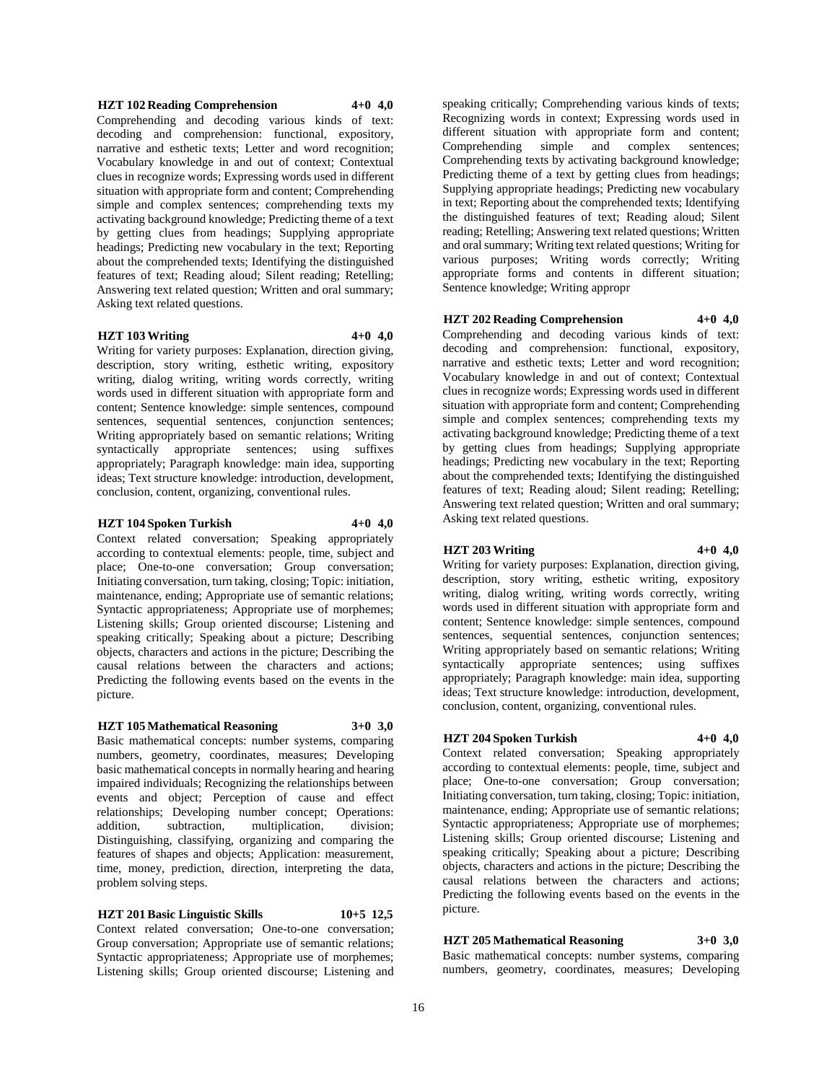# **HZT 102 Reading Comprehension 4+0 4,0**

Comprehending and decoding various kinds of text: decoding and comprehension: functional, expository, narrative and esthetic texts; Letter and word recognition; Vocabulary knowledge in and out of context; Contextual clues in recognize words; Expressing words used in different situation with appropriate form and content; Comprehending simple and complex sentences; comprehending texts my activating background knowledge; Predicting theme of a text by getting clues from headings; Supplying appropriate headings; Predicting new vocabulary in the text; Reporting about the comprehended texts; Identifying the distinguished features of text; Reading aloud; Silent reading; Retelling; Answering text related question; Written and oral summary; Asking text related questions.

# **HZT 103 Writing 4+0 4,0**

Writing for variety purposes: Explanation, direction giving, description, story writing, esthetic writing, expository writing, dialog writing, writing words correctly, writing words used in different situation with appropriate form and content; Sentence knowledge: simple sentences, compound sentences, sequential sentences, conjunction sentences; Writing appropriately based on semantic relations; Writing syntactically appropriate sentences; using suffixes appropriately; Paragraph knowledge: main idea, supporting ideas; Text structure knowledge: introduction, development, conclusion, content, organizing, conventional rules.

# **HZT 104 Spoken Turkish 4+0 4,0**

Context related conversation; Speaking appropriately according to contextual elements: people, time, subject and place; One-to-one conversation; Group conversation; Initiating conversation, turn taking, closing; Topic: initiation, maintenance, ending; Appropriate use of semantic relations; Syntactic appropriateness; Appropriate use of morphemes; Listening skills; Group oriented discourse; Listening and speaking critically; Speaking about a picture; Describing objects, characters and actions in the picture; Describing the causal relations between the characters and actions; Predicting the following events based on the events in the picture.

# **HZT 105 Mathematical Reasoning 3+0 3,0**

Basic mathematical concepts: number systems, comparing numbers, geometry, coordinates, measures; Developing basic mathematical concepts in normally hearing and hearing impaired individuals; Recognizing the relationships between events and object; Perception of cause and effect relationships; Developing number concept; Operations: addition, subtraction, multiplication, division; Distinguishing, classifying, organizing and comparing the features of shapes and objects; Application: measurement, time, money, prediction, direction, interpreting the data, problem solving steps.

#### **HZT 201 Basic Linguistic Skills 10+5 12,5**

Context related conversation; One-to-one conversation; Group conversation; Appropriate use of semantic relations; Syntactic appropriateness; Appropriate use of morphemes; Listening skills; Group oriented discourse; Listening and

speaking critically; Comprehending various kinds of texts; Recognizing words in context; Expressing words used in different situation with appropriate form and content;<br>Comprehending simple and complex sentences; Comprehending simple and complex sentences; Comprehending texts by activating background knowledge; Predicting theme of a text by getting clues from headings; Supplying appropriate headings; Predicting new vocabulary in text; Reporting about the comprehended texts; Identifying the distinguished features of text; Reading aloud; Silent reading; Retelling; Answering text related questions; Written and oral summary; Writing text related questions; Writing for various purposes; Writing words correctly; Writing appropriate forms and contents in different situation; Sentence knowledge; Writing appropr

# **HZT 202 Reading Comprehension 4+0 4,0**

Comprehending and decoding various kinds of text: decoding and comprehension: functional, expository, narrative and esthetic texts; Letter and word recognition; Vocabulary knowledge in and out of context; Contextual clues in recognize words; Expressing words used in different situation with appropriate form and content; Comprehending simple and complex sentences; comprehending texts my activating background knowledge; Predicting theme of a text by getting clues from headings; Supplying appropriate headings; Predicting new vocabulary in the text; Reporting about the comprehended texts; Identifying the distinguished features of text; Reading aloud; Silent reading; Retelling; Answering text related question; Written and oral summary; Asking text related questions.

# **HZT 203 Writing 4+0 4,0**

Writing for variety purposes: Explanation, direction giving, description, story writing, esthetic writing, expository writing, dialog writing, writing words correctly, writing words used in different situation with appropriate form and content; Sentence knowledge: simple sentences, compound sentences, sequential sentences, conjunction sentences; Writing appropriately based on semantic relations; Writing syntactically appropriate sentences; using suffixes appropriately; Paragraph knowledge: main idea, supporting ideas; Text structure knowledge: introduction, development, conclusion, content, organizing, conventional rules.

# **HZT 204 Spoken Turkish 4+0 4,0**

Context related conversation; Speaking appropriately according to contextual elements: people, time, subject and place; One-to-one conversation; Group conversation; Initiating conversation, turn taking, closing; Topic: initiation, maintenance, ending; Appropriate use of semantic relations; Syntactic appropriateness; Appropriate use of morphemes; Listening skills; Group oriented discourse; Listening and speaking critically; Speaking about a picture; Describing objects, characters and actions in the picture; Describing the causal relations between the characters and actions; Predicting the following events based on the events in the picture.

# **HZT 205 Mathematical Reasoning 3+0 3,0**

Basic mathematical concepts: number systems, comparing numbers, geometry, coordinates, measures; Developing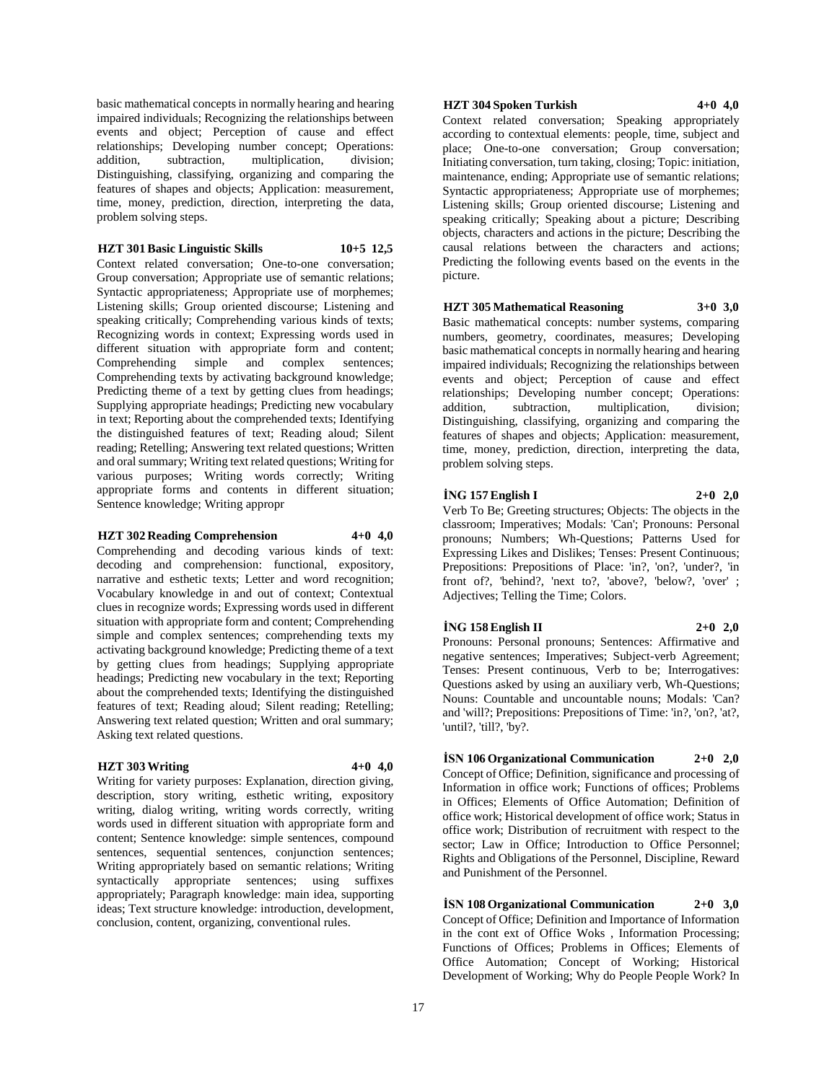basic mathematical concepts in normally hearing and hearing impaired individuals; Recognizing the relationships between events and object; Perception of cause and effect relationships; Developing number concept; Operations: addition, subtraction, multiplication. division: addition, subtraction, multiplication, Distinguishing, classifying, organizing and comparing the features of shapes and objects; Application: measurement, time, money, prediction, direction, interpreting the data, problem solving steps.

# **HZT 301 Basic Linguistic Skills 10+5 12,5**

Context related conversation; One-to-one conversation; Group conversation; Appropriate use of semantic relations; Syntactic appropriateness; Appropriate use of morphemes; Listening skills; Group oriented discourse; Listening and speaking critically; Comprehending various kinds of texts; Recognizing words in context; Expressing words used in different situation with appropriate form and content; Comprehending simple and complex sentences; Comprehending texts by activating background knowledge; Predicting theme of a text by getting clues from headings; Supplying appropriate headings; Predicting new vocabulary in text; Reporting about the comprehended texts; Identifying the distinguished features of text; Reading aloud; Silent reading; Retelling; Answering text related questions; Written and oral summary; Writing text related questions; Writing for various purposes; Writing words correctly; Writing appropriate forms and contents in different situation; Sentence knowledge; Writing appropr

# **HZT 302 Reading Comprehension 4+0 4,0**

Comprehending and decoding various kinds of text: decoding and comprehension: functional, expository, narrative and esthetic texts; Letter and word recognition; Vocabulary knowledge in and out of context; Contextual clues in recognize words; Expressing words used in different situation with appropriate form and content; Comprehending simple and complex sentences; comprehending texts my activating background knowledge; Predicting theme of a text by getting clues from headings; Supplying appropriate headings; Predicting new vocabulary in the text; Reporting about the comprehended texts; Identifying the distinguished features of text; Reading aloud; Silent reading; Retelling; Answering text related question; Written and oral summary; Asking text related questions.

# **HZT 303 Writing 4+0 4,0**

Writing for variety purposes: Explanation, direction giving, description, story writing, esthetic writing, expository writing, dialog writing, writing words correctly, writing words used in different situation with appropriate form and content; Sentence knowledge: simple sentences, compound sentences, sequential sentences, conjunction sentences; Writing appropriately based on semantic relations; Writing syntactically appropriate sentences; using suffixes appropriately; Paragraph knowledge: main idea, supporting ideas; Text structure knowledge: introduction, development, conclusion, content, organizing, conventional rules.

## **HZT 304 Spoken Turkish 4+0 4,0**

Context related conversation; Speaking appropriately according to contextual elements: people, time, subject and

place; One-to-one conversation; Group conversation; Initiating conversation, turn taking, closing; Topic: initiation, maintenance, ending; Appropriate use of semantic relations; Syntactic appropriateness; Appropriate use of morphemes; Listening skills; Group oriented discourse; Listening and speaking critically; Speaking about a picture; Describing objects, characters and actions in the picture; Describing the causal relations between the characters and actions; Predicting the following events based on the events in the picture.

# **HZT 305 Mathematical Reasoning 3+0 3,0**

Basic mathematical concepts: number systems, comparing numbers, geometry, coordinates, measures; Developing basic mathematical concepts in normally hearing and hearing impaired individuals; Recognizing the relationships between events and object; Perception of cause and effect relationships; Developing number concept; Operations: addition, subtraction, multiplication, division; Distinguishing, classifying, organizing and comparing the features of shapes and objects; Application: measurement, time, money, prediction, direction, interpreting the data, problem solving steps.

# **İNG 157 English I 2+0 2,0**

Verb To Be; Greeting structures; Objects: The objects in the classroom; Imperatives; Modals: 'Can'; Pronouns: Personal pronouns; Numbers; Wh-Questions; Patterns Used for Expressing Likes and Dislikes; Tenses: Present Continuous; Prepositions: Prepositions of Place: 'in?, 'on?, 'under?, 'in front of?, 'behind?, 'next to?, 'above?, 'below?, 'over' ; Adjectives; Telling the Time; Colors.

#### **İNG 158 English II 2+0 2,0**

Pronouns: Personal pronouns; Sentences: Affirmative and negative sentences; Imperatives; Subject-verb Agreement; Tenses: Present continuous, Verb to be; Interrogatives: Questions asked by using an auxiliary verb, Wh-Questions; Nouns: Countable and uncountable nouns; Modals: 'Can? and 'will?; Prepositions: Prepositions of Time: 'in?, 'on?, 'at?, 'until?, 'till?, 'by?.

**İSN 106 Organizational Communication 2+0 2,0** Concept of Office; Definition, significance and processing of Information in office work; Functions of offices; Problems in Offices; Elements of Office Automation; Definition of office work; Historical development of office work; Status in office work; Distribution of recruitment with respect to the sector: Law in Office: Introduction to Office Personnel: Rights and Obligations of the Personnel, Discipline, Reward and Punishment of the Personnel.

**İSN 108 Organizational Communication 2+0 3,0** Concept of Office; Definition and Importance of Information in the cont ext of Office Woks , Information Processing; Functions of Offices; Problems in Offices; Elements of Office Automation; Concept of Working; Historical Development of Working; Why do People People Work? In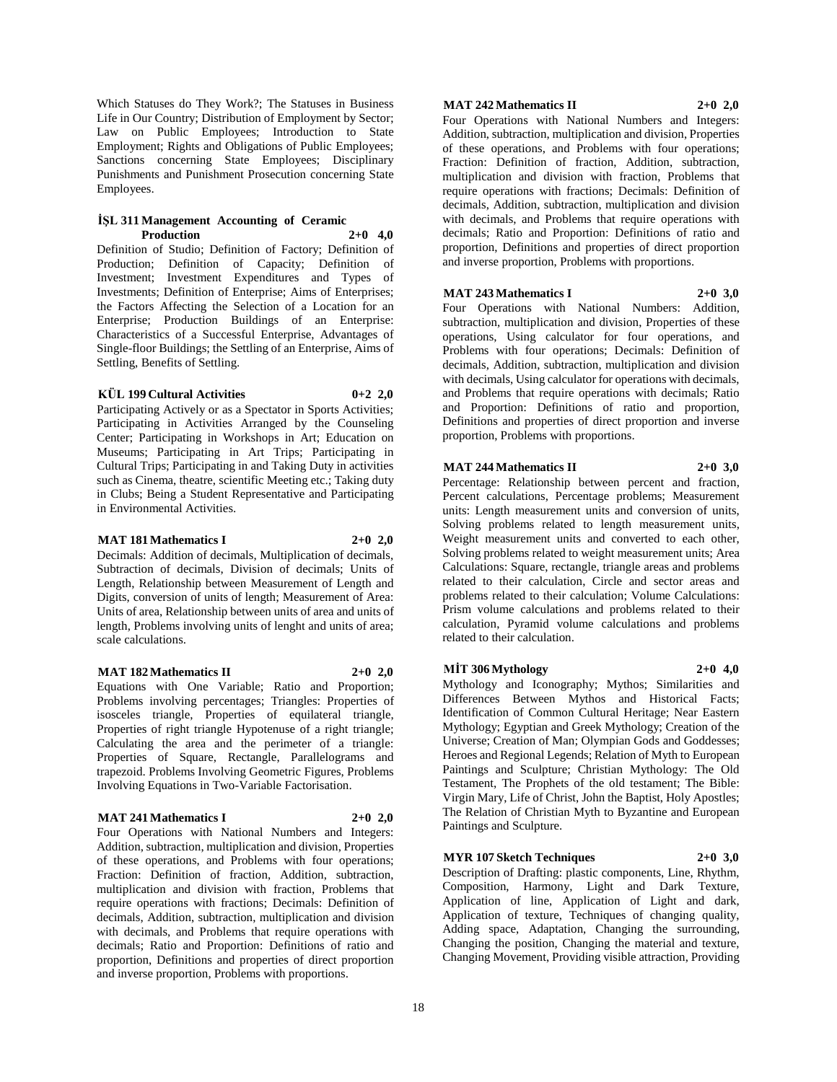Which Statuses do They Work?; The Statuses in Business Life in Our Country; Distribution of Employment by Sector; Law on Public Employees; Introduction to State Employment; Rights and Obligations of Public Employees; Sanctions concerning State Employees; Disciplinary Punishments and Punishment Prosecution concerning State Employees.

#### **İŞL 311 Management Accounting of Ceramic Production 2+0 4,0**

Definition of Studio; Definition of Factory; Definition of Production; Definition of Capacity; Definition of Investment; Investment Expenditures and Types of Investments; Definition of Enterprise; Aims of Enterprises; the Factors Affecting the Selection of a Location for an Enterprise; Production Buildings of an Enterprise: Characteristics of a Successful Enterprise, Advantages of Single-floor Buildings; the Settling of an Enterprise, Aims of Settling, Benefits of Settling.

# **KÜL 199 Cultural Activities 0+2 2,0**

Participating Actively or as a Spectator in Sports Activities; Participating in Activities Arranged by the Counseling Center; Participating in Workshops in Art; Education on Museums; Participating in Art Trips; Participating in Cultural Trips; Participating in and Taking Duty in activities such as Cinema, theatre, scientific Meeting etc.; Taking duty in Clubs; Being a Student Representative and Participating in Environmental Activities.

# **MAT 181 Mathematics I 2+0 2,0**

Decimals: Addition of decimals, Multiplication of decimals, Subtraction of decimals, Division of decimals; Units of Length, Relationship between Measurement of Length and Digits, conversion of units of length; Measurement of Area: Units of area, Relationship between units of area and units of length, Problems involving units of lenght and units of area; scale calculations.

# **MAT 182 Mathematics II 2+0 2,0**

Equations with One Variable; Ratio and Proportion; Problems involving percentages; Triangles: Properties of isosceles triangle, Properties of equilateral triangle, Properties of right triangle Hypotenuse of a right triangle; Calculating the area and the perimeter of a triangle: Properties of Square, Rectangle, Parallelograms and trapezoid. Problems Involving Geometric Figures, Problems Involving Equations in Two-Variable Factorisation.

# **MAT 241 Mathematics I 2+0 2,0**

Four Operations with National Numbers and Integers: Addition, subtraction, multiplication and division, Properties of these operations, and Problems with four operations; Fraction: Definition of fraction, Addition, subtraction, multiplication and division with fraction, Problems that require operations with fractions; Decimals: Definition of decimals, Addition, subtraction, multiplication and division with decimals, and Problems that require operations with decimals; Ratio and Proportion: Definitions of ratio and proportion, Definitions and properties of direct proportion and inverse proportion, Problems with proportions.

# **MAT 242 Mathematics II 2+0 2,0**

Four Operations with National Numbers and Integers: Addition, subtraction, multiplication and division, Properties of these operations, and Problems with four operations; Fraction: Definition of fraction, Addition, subtraction, multiplication and division with fraction, Problems that require operations with fractions; Decimals: Definition of decimals, Addition, subtraction, multiplication and division with decimals, and Problems that require operations with decimals; Ratio and Proportion: Definitions of ratio and proportion, Definitions and properties of direct proportion and inverse proportion, Problems with proportions.

# **MAT 243 Mathematics I 2+0 3,0**

Four Operations with National Numbers: Addition, subtraction, multiplication and division, Properties of these operations, Using calculator for four operations, and Problems with four operations; Decimals: Definition of decimals, Addition, subtraction, multiplication and division with decimals, Using calculator for operations with decimals, and Problems that require operations with decimals; Ratio and Proportion: Definitions of ratio and proportion, Definitions and properties of direct proportion and inverse proportion, Problems with proportions.

# **MAT 244 Mathematics II 2+0 3,0**

Percentage: Relationship between percent and fraction, Percent calculations, Percentage problems; Measurement units: Length measurement units and conversion of units, Solving problems related to length measurement units, Weight measurement units and converted to each other, Solving problems related to weight measurement units; Area Calculations: Square, rectangle, triangle areas and problems related to their calculation, Circle and sector areas and problems related to their calculation; Volume Calculations: Prism volume calculations and problems related to their calculation, Pyramid volume calculations and problems related to their calculation.

# **MİT 306 Mythology 2+0 4,0**

Mythology and Iconography; Mythos; Similarities and Differences Between Mythos and Historical Facts; Identification of Common Cultural Heritage; Near Eastern Mythology; Egyptian and Greek Mythology; Creation of the Universe; Creation of Man; Olympian Gods and Goddesses; Heroes and Regional Legends; Relation of Myth to European Paintings and Sculpture; Christian Mythology: The Old Testament, The Prophets of the old testament; The Bible: Virgin Mary, Life of Christ, John the Baptist, Holy Apostles; The Relation of Christian Myth to Byzantine and European Paintings and Sculpture.

# **MYR 107 Sketch Techniques 2+0 3,0**

Description of Drafting: plastic components, Line, Rhythm, Composition, Harmony, Light and Dark Texture, Application of line, Application of Light and dark, Application of texture, Techniques of changing quality, Adding space, Adaptation, Changing the surrounding, Changing the position, Changing the material and texture, Changing Movement, Providing visible attraction, Providing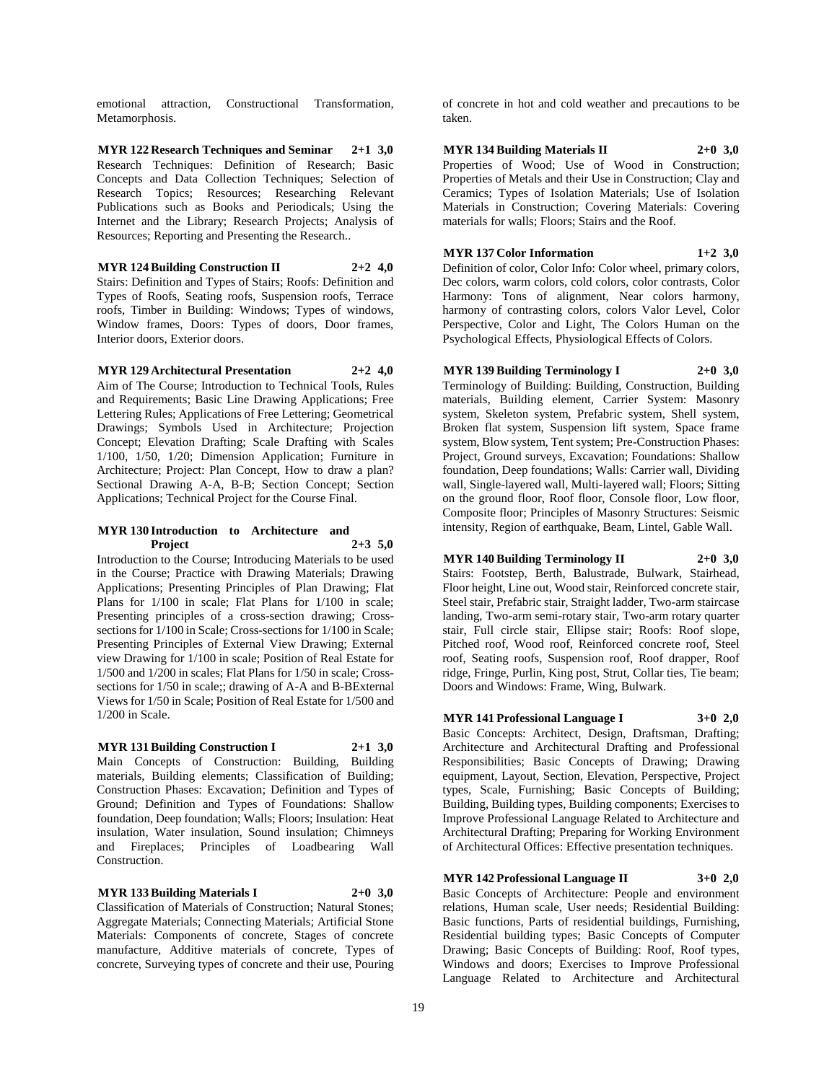emotional attraction, Constructional Transformation, Metamorphosis.

**MYR 122 Research Techniques and Seminar 2+1 3,0** Research Techniques: Definition of Research; Basic Concepts and Data Collection Techniques; Selection of Research Topics; Resources; Researching Relevant Publications such as Books and Periodicals; Using the Internet and the Library; Research Projects; Analysis of Resources; Reporting and Presenting the Research..

**MYR 124 Building Construction II 2+2 4,0** Stairs: Definition and Types of Stairs; Roofs: Definition and Types of Roofs, Seating roofs, Suspension roofs, Terrace roofs, Timber in Building: Windows; Types of windows, Window frames, Doors: Types of doors, Door frames, Interior doors, Exterior doors.

**MYR 129 Architectural Presentation 2+2 4,0** Aim of The Course; Introduction to Technical Tools, Rules and Requirements; Basic Line Drawing Applications; Free Lettering Rules; Applications of Free Lettering; Geometrical Drawings; Symbols Used in Architecture; Projection Concept; Elevation Drafting; Scale Drafting with Scales 1/100, 1/50, 1/20; Dimension Application; Furniture in Architecture; Project: Plan Concept, How to draw a plan? Sectional Drawing A-A, B-B; Section Concept; Section

#### **MYR 130 Introduction to Architecture and Project 2+3 5,0**

Applications; Technical Project for the Course Final.

Introduction to the Course; Introducing Materials to be used in the Course; Practice with Drawing Materials; Drawing Applications; Presenting Principles of Plan Drawing; Flat Plans for 1/100 in scale; Flat Plans for 1/100 in scale; Presenting principles of a cross-section drawing; Crosssections for 1/100 in Scale; Cross-sections for 1/100 in Scale; Presenting Principles of External View Drawing; External view Drawing for 1/100 in scale; Position of Real Estate for 1/500 and 1/200 in scales; Flat Plans for 1/50 in scale; Crosssections for 1/50 in scale;; drawing of A-A and B-BExternal Views for 1/50 in Scale; Position of Real Estate for 1/500 and 1/200 in Scale.

# **MYR 131 Building Construction I 2+1 3,0**

Main Concepts of Construction: Building, Building materials, Building elements; Classification of Building; Construction Phases: Excavation; Definition and Types of Ground; Definition and Types of Foundations: Shallow foundation, Deep foundation; Walls; Floors; Insulation: Heat insulation, Water insulation, Sound insulation; Chimneys and Fireplaces; Principles of Loadbearing Wall Construction.

# **MYR 133 Building Materials I 2+0 3,0**

Classification of Materials of Construction; Natural Stones; Aggregate Materials; Connecting Materials; Artificial Stone Materials: Components of concrete, Stages of concrete manufacture, Additive materials of concrete, Types of concrete, Surveying types of concrete and their use, Pouring

of concrete in hot and cold weather and precautions to be taken.

# **MYR 134 Building Materials II 2+0 3,0**

Properties of Wood; Use of Wood in Construction; Properties of Metals and their Use in Construction; Clay and Ceramics; Types of Isolation Materials; Use of Isolation Materials in Construction; Covering Materials: Covering materials for walls; Floors; Stairs and the Roof.

# **MYR 137 Color Information 1+2 3,0**

Definition of color, Color Info: Color wheel, primary colors, Dec colors, warm colors, cold colors, color contrasts, Color Harmony: Tons of alignment, Near colors harmony, harmony of contrasting colors, colors Valor Level, Color Perspective, Color and Light, The Colors Human on the Psychological Effects, Physiological Effects of Colors.

**MYR 139 Building Terminology I 2+0 3,0** Terminology of Building: Building, Construction, Building materials, Building element, Carrier System: Masonry system, Skeleton system, Prefabric system, Shell system, Broken flat system, Suspension lift system, Space frame system, Blow system, Tent system; Pre-Construction Phases: Project, Ground surveys, Excavation; Foundations: Shallow foundation, Deep foundations; Walls: Carrier wall, Dividing wall, Single-layered wall, Multi-layered wall; Floors; Sitting on the ground floor, Roof floor, Console floor, Low floor, Composite floor; Principles of Masonry Structures: Seismic intensity, Region of earthquake, Beam, Lintel, Gable Wall.

**MYR 140 Building Terminology II 2+0 3,0** Stairs: Footstep, Berth, Balustrade, Bulwark, Stairhead, Floor height, Line out, Wood stair, Reinforced concrete stair, Steel stair, Prefabric stair, Straight ladder, Two-arm staircase landing, Two-arm semi-rotary stair, Two-arm rotary quarter stair, Full circle stair, Ellipse stair; Roofs: Roof slope, Pitched roof, Wood roof, Reinforced concrete roof, Steel roof, Seating roofs, Suspension roof, Roof drapper, Roof ridge, Fringe, Purlin, King post, Strut, Collar ties, Tie beam; Doors and Windows: Frame, Wing, Bulwark.

# **MYR 141 Professional Language I 3+0 2,0**

Basic Concepts: Architect, Design, Draftsman, Drafting; Architecture and Architectural Drafting and Professional Responsibilities; Basic Concepts of Drawing; Drawing equipment, Layout, Section, Elevation, Perspective, Project types, Scale, Furnishing; Basic Concepts of Building; Building, Building types, Building components; Exercises to Improve Professional Language Related to Architecture and Architectural Drafting; Preparing for Working Environment of Architectural Offices: Effective presentation techniques.

**MYR 142 Professional Language II 3+0 2,0**

Basic Concepts of Architecture: People and environment relations, Human scale, User needs; Residential Building: Basic functions, Parts of residential buildings, Furnishing, Residential building types; Basic Concepts of Computer Drawing; Basic Concepts of Building: Roof, Roof types, Windows and doors; Exercises to Improve Professional Language Related to Architecture and Architectural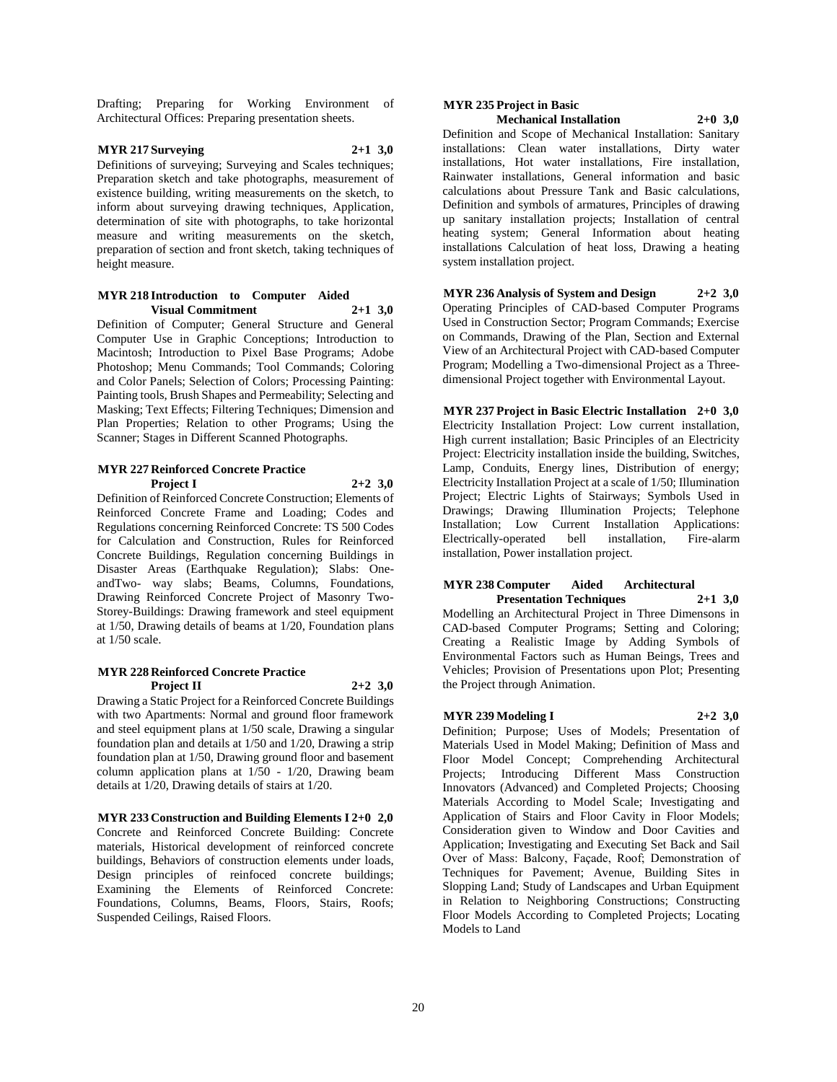Drafting; Preparing for Working Environment of Architectural Offices: Preparing presentation sheets.

# **MYR 217 Surveying 2+1 3,0**

Definitions of surveying; Surveying and Scales techniques; Preparation sketch and take photographs, measurement of existence building, writing measurements on the sketch, to inform about surveying drawing techniques, Application, determination of site with photographs, to take horizontal measure and writing measurements on the sketch, preparation of section and front sketch, taking techniques of height measure.

#### **MYR 218 Introduction to Computer Aided Visual Commitment 2+1 3,0**

Definition of Computer; General Structure and General Computer Use in Graphic Conceptions; Introduction to Macintosh; Introduction to Pixel Base Programs; Adobe Photoshop; Menu Commands; Tool Commands; Coloring and Color Panels; Selection of Colors; Processing Painting: Painting tools, Brush Shapes and Permeability; Selecting and Masking; Text Effects; Filtering Techniques; Dimension and Plan Properties; Relation to other Programs; Using the Scanner; Stages in Different Scanned Photographs.

#### **MYR 227 Reinforced Concrete Practice Project I 2+2 3,0**

Definition of Reinforced Concrete Construction; Elements of Reinforced Concrete Frame and Loading; Codes and Regulations concerning Reinforced Concrete: TS 500 Codes for Calculation and Construction, Rules for Reinforced Concrete Buildings, Regulation concerning Buildings in Disaster Areas (Earthquake Regulation); Slabs: OneandTwo- way slabs; Beams, Columns, Foundations, Drawing Reinforced Concrete Project of Masonry Two-Storey-Buildings: Drawing framework and steel equipment at 1/50, Drawing details of beams at 1/20, Foundation plans at 1/50 scale.

# **MYR 228 Reinforced Concrete Practice Project II 2+2 3,0**

Drawing a Static Project for a Reinforced Concrete Buildings with two Apartments: Normal and ground floor framework and steel equipment plans at 1/50 scale, Drawing a singular foundation plan and details at 1/50 and 1/20, Drawing a strip foundation plan at 1/50, Drawing ground floor and basement column application plans at 1/50 - 1/20, Drawing beam details at 1/20, Drawing details of stairs at 1/20.

**MYR 233 Construction and Building Elements I 2+0 2,0** Concrete and Reinforced Concrete Building: Concrete materials, Historical development of reinforced concrete buildings, Behaviors of construction elements under loads, Design principles of reinfoced concrete buildings; Examining the Elements of Reinforced Concrete: Foundations, Columns, Beams, Floors, Stairs, Roofs; Suspended Ceilings, Raised Floors.

# **MYR 235 Project in Basic**

**Mechanical Installation 2+0 3,0** Definition and Scope of Mechanical Installation: Sanitary

installations: Clean water installations, Dirty water installations, Hot water installations, Fire installation, Rainwater installations, General information and basic calculations about Pressure Tank and Basic calculations, Definition and symbols of armatures, Principles of drawing up sanitary installation projects; Installation of central heating system; General Information about heating installations Calculation of heat loss, Drawing a heating system installation project.

**MYR 236 Analysis of System and Design 2+2 3,0** Operating Principles of CAD-based Computer Programs Used in Construction Sector; Program Commands; Exercise on Commands, Drawing of the Plan, Section and External View of an Architectural Project with CAD-based Computer Program; Modelling a Two-dimensional Project as a Threedimensional Project together with Environmental Layout.

**MYR 237 Project in Basic Electric Installation 2+0 3,0** Electricity Installation Project: Low current installation, High current installation; Basic Principles of an Electricity Project: Electricity installation inside the building, Switches, Lamp, Conduits, Energy lines, Distribution of energy; Electricity Installation Project at a scale of 1/50; Illumination Project; Electric Lights of Stairways; Symbols Used in Drawings; Drawing Illumination Projects; Telephone Installation; Low Current Installation Applications: Electrically-operated bell installation, Fire-alarm installation, Power installation project.

# **MYR 238 Computer Aided Architectural**

**Presentation Techniques 2+1 3,0** Modelling an Architectural Project in Three Dimensons in CAD-based Computer Programs; Setting and Coloring; Creating a Realistic Image by Adding Symbols of Environmental Factors such as Human Beings, Trees and Vehicles; Provision of Presentations upon Plot; Presenting the Project through Animation.

# **MYR 239 Modeling I 2+2 3,0**

Definition; Purpose; Uses of Models; Presentation of Materials Used in Model Making; Definition of Mass and Floor Model Concept; Comprehending Architectural Projects; Introducing Different Mass Construction Innovators (Advanced) and Completed Projects; Choosing Materials According to Model Scale; Investigating and Application of Stairs and Floor Cavity in Floor Models; Consideration given to Window and Door Cavities and Application; Investigating and Executing Set Back and Sail Over of Mass: Balcony, Façade, Roof; Demonstration of Techniques for Pavement; Avenue, Building Sites in Slopping Land; Study of Landscapes and Urban Equipment in Relation to Neighboring Constructions; Constructing Floor Models According to Completed Projects; Locating Models to Land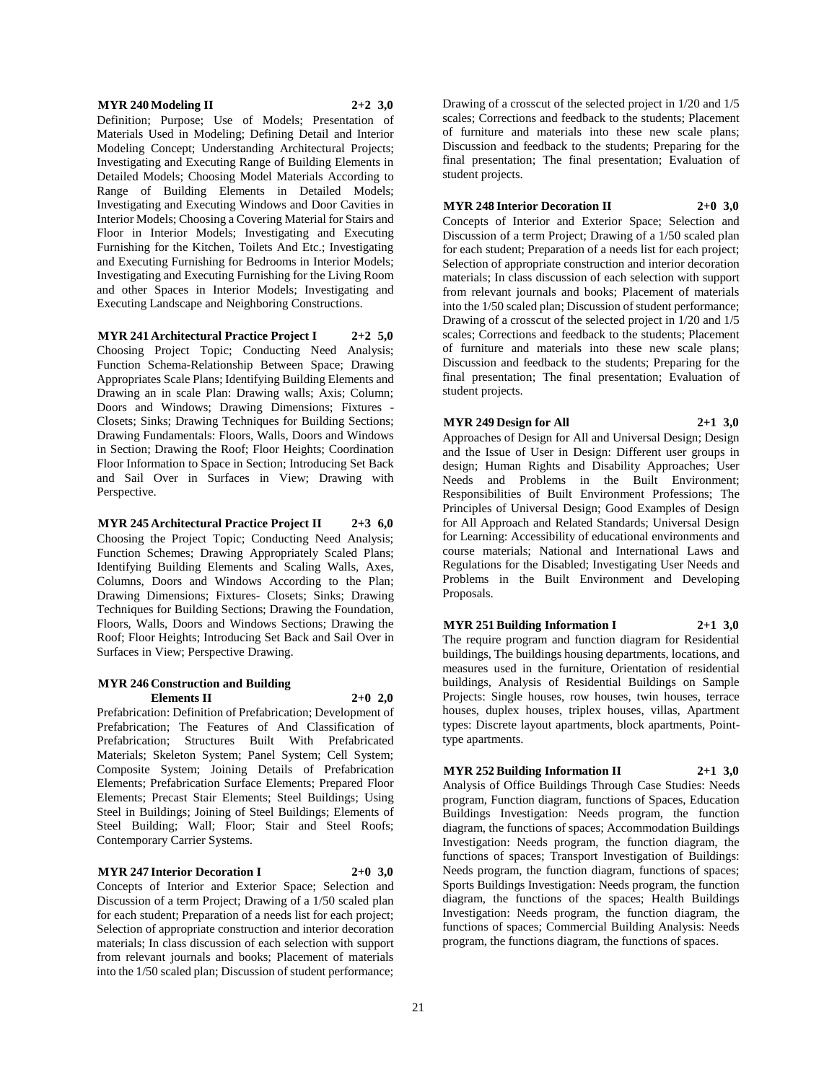## **MYR 240 Modeling II 2+2 3,0**

Definition; Purpose; Use of Models; Presentation of Materials Used in Modeling; Defining Detail and Interior Modeling Concept; Understanding Architectural Projects; Investigating and Executing Range of Building Elements in Detailed Models; Choosing Model Materials According to Range of Building Elements in Detailed Models; Investigating and Executing Windows and Door Cavities in Interior Models; Choosing a Covering Material for Stairs and Floor in Interior Models; Investigating and Executing Furnishing for the Kitchen, Toilets And Etc.; Investigating and Executing Furnishing for Bedrooms in Interior Models; Investigating and Executing Furnishing for the Living Room and other Spaces in Interior Models; Investigating and Executing Landscape and Neighboring Constructions.

**MYR 241 Architectural Practice Project I 2+2 5,0** Choosing Project Topic; Conducting Need Analysis; Function Schema-Relationship Between Space; Drawing Appropriates Scale Plans; Identifying Building Elements and Drawing an in scale Plan: Drawing walls; Axis; Column; Doors and Windows; Drawing Dimensions; Fixtures - Closets; Sinks; Drawing Techniques for Building Sections; Drawing Fundamentals: Floors, Walls, Doors and Windows in Section; Drawing the Roof; Floor Heights; Coordination Floor Information to Space in Section; Introducing Set Back and Sail Over in Surfaces in View; Drawing with Perspective.

**MYR 245 Architectural Practice Project II 2+3 6,0** Choosing the Project Topic; Conducting Need Analysis; Function Schemes; Drawing Appropriately Scaled Plans; Identifying Building Elements and Scaling Walls, Axes, Columns, Doors and Windows According to the Plan; Drawing Dimensions; Fixtures- Closets; Sinks; Drawing Techniques for Building Sections; Drawing the Foundation, Floors, Walls, Doors and Windows Sections; Drawing the Roof; Floor Heights; Introducing Set Back and Sail Over in Surfaces in View; Perspective Drawing.

#### **MYR 246 Construction and Building Elements II 2+0 2,0**

Prefabrication: Definition of Prefabrication; Development of Prefabrication; The Features of And Classification of Prefabrication; Structures Built With Prefabricated Materials; Skeleton System; Panel System; Cell System; Composite System; Joining Details of Prefabrication Elements; Prefabrication Surface Elements; Prepared Floor Elements; Precast Stair Elements; Steel Buildings; Using Steel in Buildings; Joining of Steel Buildings; Elements of Steel Building; Wall; Floor; Stair and Steel Roofs; Contemporary Carrier Systems.

#### **MYR 247 Interior Decoration I 2+0 3,0**

Concepts of Interior and Exterior Space; Selection and Discussion of a term Project; Drawing of a 1/50 scaled plan for each student; Preparation of a needs list for each project; Selection of appropriate construction and interior decoration materials; In class discussion of each selection with support from relevant journals and books; Placement of materials into the 1/50 scaled plan; Discussion of student performance;

Drawing of a crosscut of the selected project in 1/20 and 1/5 scales; Corrections and feedback to the students; Placement of furniture and materials into these new scale plans; Discussion and feedback to the students; Preparing for the final presentation; The final presentation; Evaluation of student projects.

#### **MYR 248 Interior Decoration II 2+0 3,0**

Concepts of Interior and Exterior Space; Selection and Discussion of a term Project; Drawing of a 1/50 scaled plan for each student; Preparation of a needs list for each project; Selection of appropriate construction and interior decoration materials; In class discussion of each selection with support from relevant journals and books; Placement of materials into the 1/50 scaled plan; Discussion of student performance; Drawing of a crosscut of the selected project in 1/20 and 1/5 scales; Corrections and feedback to the students; Placement of furniture and materials into these new scale plans; Discussion and feedback to the students; Preparing for the final presentation; The final presentation; Evaluation of student projects.

**MYR 249 Design for All 2+1 3,0** Approaches of Design for All and Universal Design; Design

and the Issue of User in Design: Different user groups in design; Human Rights and Disability Approaches; User Needs and Problems in the Built Environment; Responsibilities of Built Environment Professions; The Principles of Universal Design; Good Examples of Design for All Approach and Related Standards; Universal Design for Learning: Accessibility of educational environments and course materials; National and International Laws and Regulations for the Disabled; Investigating User Needs and Problems in the Built Environment and Developing Proposals.

**MYR 251 Building Information I 2+1 3,0**

The require program and function diagram for Residential buildings, The buildings housing departments, locations, and measures used in the furniture, Orientation of residential buildings, Analysis of Residential Buildings on Sample Projects: Single houses, row houses, twin houses, terrace houses, duplex houses, triplex houses, villas, Apartment types: Discrete layout apartments, block apartments, Pointtype apartments.

#### **MYR 252 Building Information II 2+1 3,0**

Analysis of Office Buildings Through Case Studies: Needs program, Function diagram, functions of Spaces, Education Buildings Investigation: Needs program, the function diagram, the functions of spaces; Accommodation Buildings Investigation: Needs program, the function diagram, the functions of spaces; Transport Investigation of Buildings: Needs program, the function diagram, functions of spaces; Sports Buildings Investigation: Needs program, the function diagram, the functions of the spaces; Health Buildings Investigation: Needs program, the function diagram, the functions of spaces; Commercial Building Analysis: Needs program, the functions diagram, the functions of spaces.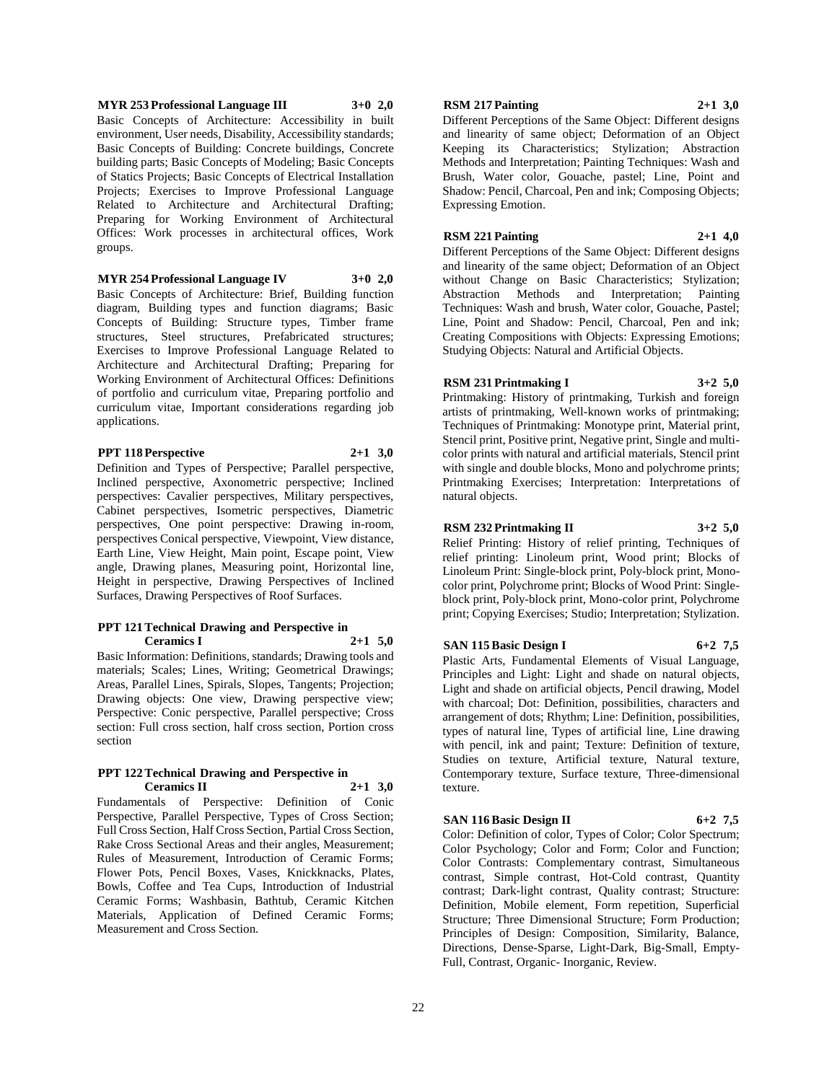# **MYR 253 Professional Language III 3+0 2,0**

Basic Concepts of Architecture: Accessibility in built environment, User needs, Disability, Accessibility standards; Basic Concepts of Building: Concrete buildings, Concrete building parts; Basic Concepts of Modeling; Basic Concepts of Statics Projects; Basic Concepts of Electrical Installation Projects; Exercises to Improve Professional Language Related to Architecture and Architectural Drafting; Preparing for Working Environment of Architectural Offices: Work processes in architectural offices, Work groups.

# **MYR 254 Professional Language IV 3+0 2,0**

Basic Concepts of Architecture: Brief, Building function diagram, Building types and function diagrams; Basic Concepts of Building: Structure types, Timber frame structures, Steel structures, Prefabricated structures; Exercises to Improve Professional Language Related to Architecture and Architectural Drafting; Preparing for Working Environment of Architectural Offices: Definitions of portfolio and curriculum vitae, Preparing portfolio and curriculum vitae, Important considerations regarding job applications.

# **PPT 118 Perspective 2+1 3,0**

Definition and Types of Perspective; Parallel perspective, Inclined perspective, Axonometric perspective; Inclined perspectives: Cavalier perspectives, Military perspectives, Cabinet perspectives, Isometric perspectives, Diametric perspectives, One point perspective: Drawing in-room, perspectives Conical perspective, Viewpoint, View distance, Earth Line, View Height, Main point, Escape point, View angle, Drawing planes, Measuring point, Horizontal line, Height in perspective, Drawing Perspectives of Inclined Surfaces, Drawing Perspectives of Roof Surfaces.

#### **PPT 121 Technical Drawing and Perspective in Ceramics I 2+1 5,0**

Basic Information: Definitions, standards; Drawing tools and materials; Scales; Lines, Writing; Geometrical Drawings; Areas, Parallel Lines, Spirals, Slopes, Tangents; Projection; Drawing objects: One view, Drawing perspective view; Perspective: Conic perspective, Parallel perspective; Cross section: Full cross section, half cross section, Portion cross section

## **PPT 122 Technical Drawing and Perspective in Ceramics II 2+1 3,0**

Fundamentals of Perspective: Definition of Conic Perspective, Parallel Perspective, Types of Cross Section; Full Cross Section, Half Cross Section, Partial Cross Section, Rake Cross Sectional Areas and their angles, Measurement; Rules of Measurement, Introduction of Ceramic Forms; Flower Pots, Pencil Boxes, Vases, Knickknacks, Plates, Bowls, Coffee and Tea Cups, Introduction of Industrial Ceramic Forms; Washbasin, Bathtub, Ceramic Kitchen Materials, Application of Defined Ceramic Forms; Measurement and Cross Section.

# **RSM 217 Painting 2+1 3,0**

Different Perceptions of the Same Object: Different designs and linearity of same object; Deformation of an Object Keeping its Characteristics; Stylization; Abstraction Methods and Interpretation; Painting Techniques: Wash and Brush, Water color, Gouache, pastel; Line, Point and Shadow: Pencil, Charcoal, Pen and ink; Composing Objects; Expressing Emotion.

# **RSM 221 Painting 2+1 4,0**

Different Perceptions of the Same Object: Different designs and linearity of the same object; Deformation of an Object without Change on Basic Characteristics; Stylization; Abstraction Methods and Interpretation; Painting Techniques: Wash and brush, Water color, Gouache, Pastel; Line, Point and Shadow: Pencil, Charcoal, Pen and ink; Creating Compositions with Objects: Expressing Emotions; Studying Objects: Natural and Artificial Objects.

# **RSM 231 Printmaking I 3+2 5,0**

Printmaking: History of printmaking, Turkish and foreign artists of printmaking, Well-known works of printmaking; Techniques of Printmaking: Monotype print, Material print, Stencil print, Positive print, Negative print, Single and multicolor prints with natural and artificial materials, Stencil print with single and double blocks, Mono and polychrome prints; Printmaking Exercises; Interpretation: Interpretations of natural objects.

# **RSM 232 Printmaking II 3+2 5,0**

Relief Printing: History of relief printing, Techniques of relief printing: Linoleum print, Wood print; Blocks of Linoleum Print: Single-block print, Poly-block print, Monocolor print, Polychrome print; Blocks of Wood Print: Singleblock print, Poly-block print, Mono-color print, Polychrome print; Copying Exercises; Studio; Interpretation; Stylization.

# **SAN 115 Basic Design I 6+2 7,5**

Plastic Arts, Fundamental Elements of Visual Language, Principles and Light: Light and shade on natural objects, Light and shade on artificial objects, Pencil drawing, Model with charcoal; Dot: Definition, possibilities, characters and arrangement of dots; Rhythm; Line: Definition, possibilities, types of natural line, Types of artificial line, Line drawing with pencil, ink and paint; Texture: Definition of texture, Studies on texture, Artificial texture, Natural texture, Contemporary texture, Surface texture, Three-dimensional texture.

# **SAN 116 Basic Design II 6+2 7,5**

Color: Definition of color, Types of Color; Color Spectrum; Color Psychology; Color and Form; Color and Function; Color Contrasts: Complementary contrast, Simultaneous contrast, Simple contrast, Hot-Cold contrast, Quantity contrast; Dark-light contrast, Quality contrast; Structure: Definition, Mobile element, Form repetition, Superficial Structure; Three Dimensional Structure; Form Production; Principles of Design: Composition, Similarity, Balance, Directions, Dense-Sparse, Light-Dark, Big-Small, Empty-Full, Contrast, Organic- Inorganic, Review.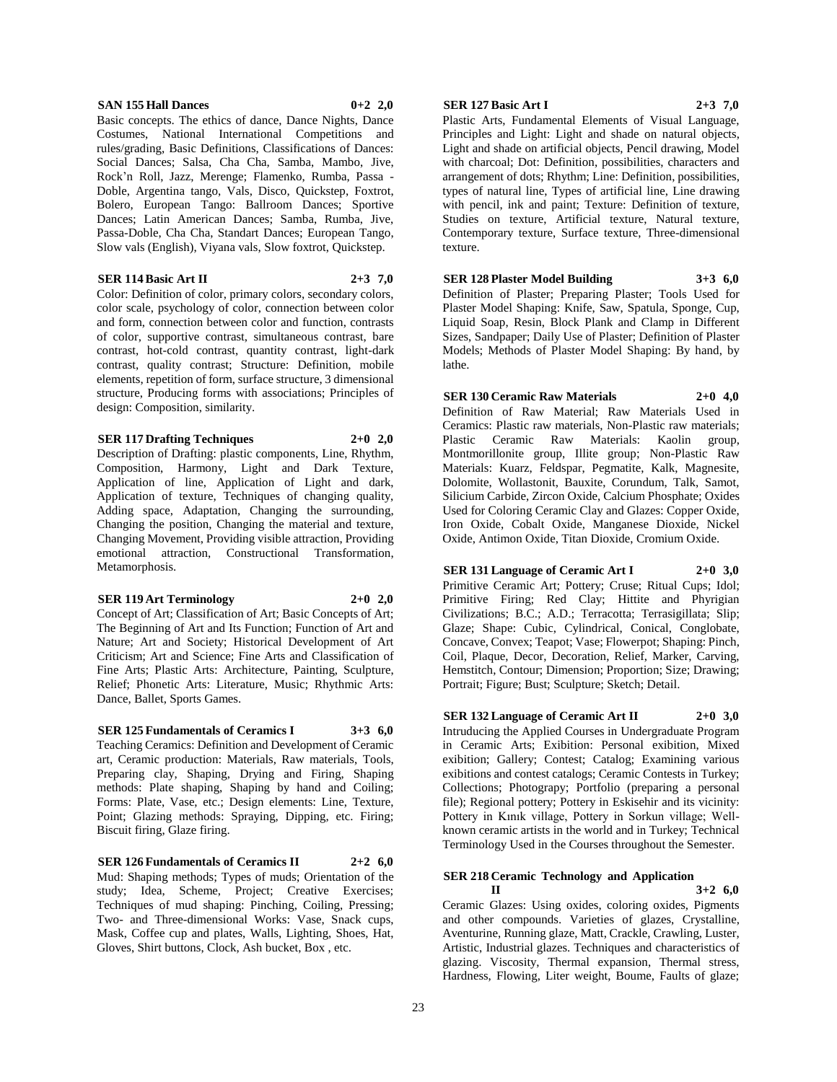## **SAN 155 Hall Dances 0+2 2,0**

Basic concepts. The ethics of dance, Dance Nights, Dance Costumes, National International Competitions and rules/grading, Basic Definitions, Classifications of Dances: Social Dances; Salsa, Cha Cha, Samba, Mambo, Jive, Rock'n Roll, Jazz, Merenge; Flamenko, Rumba, Passa - Doble, Argentina tango, Vals, Disco, Quickstep, Foxtrot, Bolero, European Tango: Ballroom Dances; Sportive Dances; Latin American Dances; Samba, Rumba, Jive, Passa-Doble, Cha Cha, Standart Dances; European Tango, Slow vals (English), Viyana vals, Slow foxtrot, Quickstep.

# **SER 114 Basic Art II 2+3 7,0**

Color: Definition of color, primary colors, secondary colors, color scale, psychology of color, connection between color and form, connection between color and function, contrasts of color, supportive contrast, simultaneous contrast, bare contrast, hot-cold contrast, quantity contrast, light-dark contrast, quality contrast; Structure: Definition, mobile elements, repetition of form, surface structure, 3 dimensional structure, Producing forms with associations; Principles of design: Composition, similarity.

# **SER 117 Drafting Techniques 2+0 2,0**

Description of Drafting: plastic components, Line, Rhythm, Composition, Harmony, Light and Dark Texture, Application of line, Application of Light and dark, Application of texture, Techniques of changing quality, Adding space, Adaptation, Changing the surrounding, Changing the position, Changing the material and texture, Changing Movement, Providing visible attraction, Providing emotional attraction, Constructional Transformation, Metamorphosis.

#### **SER 119 Art Terminology 2+0 2,0**

Concept of Art; Classification of Art; Basic Concepts of Art; The Beginning of Art and Its Function; Function of Art and Nature; Art and Society; Historical Development of Art Criticism; Art and Science; Fine Arts and Classification of Fine Arts; Plastic Arts: Architecture, Painting, Sculpture, Relief; Phonetic Arts: Literature, Music; Rhythmic Arts: Dance, Ballet, Sports Games.

# **SER 125 Fundamentals of Ceramics I 3+3 6,0**

Teaching Ceramics: Definition and Development of Ceramic art, Ceramic production: Materials, Raw materials, Tools, Preparing clay, Shaping, Drying and Firing, Shaping methods: Plate shaping, Shaping by hand and Coiling; Forms: Plate, Vase, etc.; Design elements: Line, Texture, Point; Glazing methods: Spraying, Dipping, etc. Firing; Biscuit firing, Glaze firing.

**SER 126 Fundamentals of Ceramics II 2+2 6,0** Mud: Shaping methods; Types of muds; Orientation of the study; Idea, Scheme, Project; Creative Exercises; Techniques of mud shaping: Pinching, Coiling, Pressing; Two- and Three-dimensional Works: Vase, Snack cups, Mask, Coffee cup and plates, Walls, Lighting, Shoes, Hat, Gloves, Shirt buttons, Clock, Ash bucket, Box , etc.

# **SER 127 Basic Art I 2+3 7,0**

Plastic Arts, Fundamental Elements of Visual Language, Principles and Light: Light and shade on natural objects, Light and shade on artificial objects, Pencil drawing, Model with charcoal; Dot: Definition, possibilities, characters and arrangement of dots; Rhythm; Line: Definition, possibilities, types of natural line, Types of artificial line, Line drawing with pencil, ink and paint; Texture: Definition of texture, Studies on texture, Artificial texture, Natural texture, Contemporary texture, Surface texture, Three-dimensional texture.

**SER 128 Plaster Model Building 3+3 6,0** Definition of Plaster; Preparing Plaster; Tools Used for Plaster Model Shaping: Knife, Saw, Spatula, Sponge, Cup, Liquid Soap, Resin, Block Plank and Clamp in Different Sizes, Sandpaper; Daily Use of Plaster; Definition of Plaster Models; Methods of Plaster Model Shaping: By hand, by lathe.

**SER 130 Ceramic Raw Materials 2+0 4,0** Definition of Raw Material; Raw Materials Used in Ceramics: Plastic raw materials, Non-Plastic raw materials; Plastic Ceramic Raw Materials: Kaolin group, Montmorillonite group, Illite group; Non-Plastic Raw Materials: Kuarz, Feldspar, Pegmatite, Kalk, Magnesite, Dolomite, Wollastonit, Bauxite, Corundum, Talk, Samot, Silicium Carbide, Zircon Oxide, Calcium Phosphate; Oxides Used for Coloring Ceramic Clay and Glazes: Copper Oxide, Iron Oxide, Cobalt Oxide, Manganese Dioxide, Nickel Oxide, Antimon Oxide, Titan Dioxide, Cromium Oxide.

**SER 131 Language of Ceramic Art I 2+0 3,0** Primitive Ceramic Art; Pottery; Cruse; Ritual Cups; Idol; Primitive Firing; Red Clay; Hittite and Phyrigian Civilizations; B.C.; A.D.; Terracotta; Terrasigillata; Slip; Glaze; Shape: Cubic, Cylindrical, Conical, Conglobate, Concave, Convex; Teapot; Vase; Flowerpot; Shaping: Pinch, Coil, Plaque, Decor, Decoration, Relief, Marker, Carving, Hemstitch, Contour; Dimension; Proportion; Size; Drawing; Portrait; Figure; Bust; Sculpture; Sketch; Detail.

**SER 132 Language of Ceramic Art II 2+0 3,0** Intruducing the Applied Courses in Undergraduate Program in Ceramic Arts; Exibition: Personal exibition, Mixed exibition; Gallery; Contest; Catalog; Examining various exibitions and contest catalogs; Ceramic Contests in Turkey; Collections; Photograpy; Portfolio (preparing a personal file); Regional pottery; Pottery in Eskisehir and its vicinity: Pottery in Kınık village, Pottery in Sorkun village; Wellknown ceramic artists in the world and in Turkey; Technical Terminology Used in the Courses throughout the Semester.

# **SER 218 Ceramic Technology and Application**

**II 3+2 6,0** Ceramic Glazes: Using oxides, coloring oxides, Pigments and other compounds. Varieties of glazes, Crystalline, Aventurine, Running glaze, Matt, Crackle, Crawling, Luster, Artistic, Industrial glazes. Techniques and characteristics of glazing. Viscosity, Thermal expansion, Thermal stress, Hardness, Flowing, Liter weight, Boume, Faults of glaze;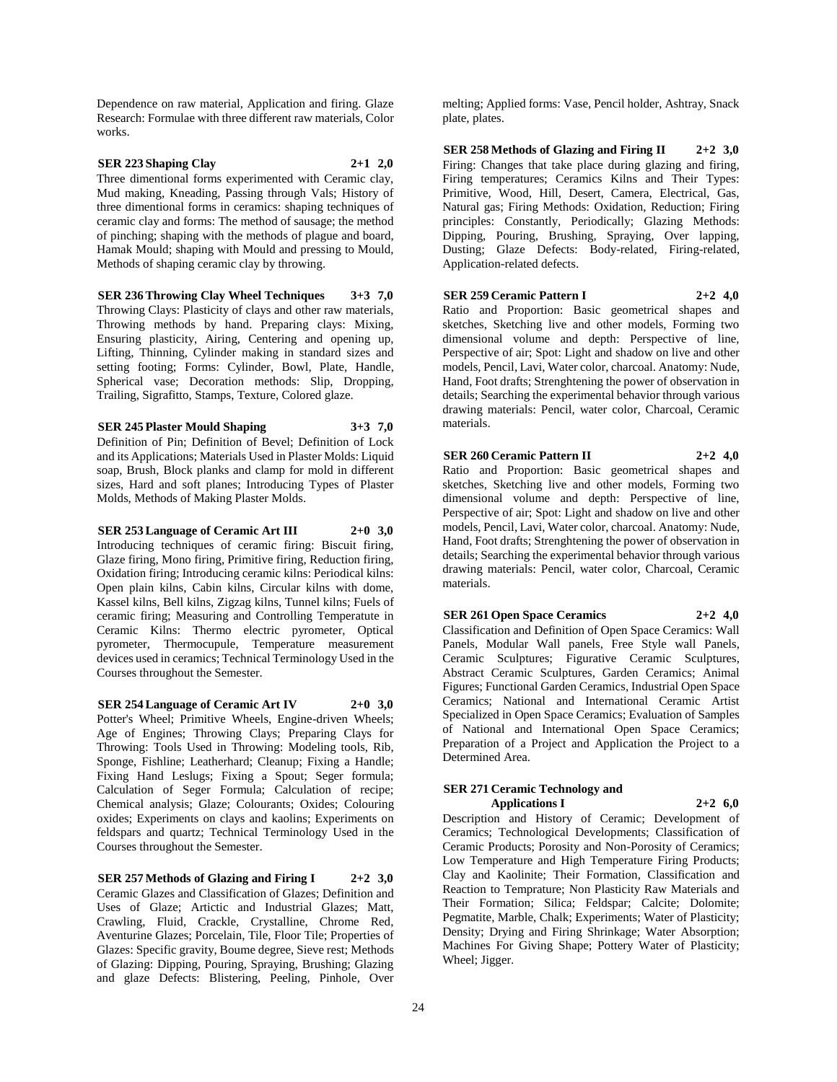Dependence on raw material, Application and firing. Glaze Research: Formulae with three different raw materials, Color works.

**SER 223 Shaping Clay 2+1 2,0** Three dimentional forms experimented with Ceramic clay, Mud making, Kneading, Passing through Vals; History of three dimentional forms in ceramics: shaping techniques of ceramic clay and forms: The method of sausage; the method of pinching; shaping with the methods of plague and board, Hamak Mould; shaping with Mould and pressing to Mould, Methods of shaping ceramic clay by throwing.

**SER 236 Throwing Clay Wheel Techniques 3+3 7,0** Throwing Clays: Plasticity of clays and other raw materials, Throwing methods by hand. Preparing clays: Mixing, Ensuring plasticity, Airing, Centering and opening up, Lifting, Thinning, Cylinder making in standard sizes and setting footing; Forms: Cylinder, Bowl, Plate, Handle, Spherical vase; Decoration methods: Slip, Dropping, Trailing, Sigrafitto, Stamps, Texture, Colored glaze.

**SER 245 Plaster Mould Shaping 3+3 7,0** Definition of Pin; Definition of Bevel; Definition of Lock and its Applications; Materials Used in Plaster Molds: Liquid soap, Brush, Block planks and clamp for mold in different sizes, Hard and soft planes; Introducing Types of Plaster Molds, Methods of Making Plaster Molds.

**SER 253 Language of Ceramic Art III 2+0 3,0** Introducing techniques of ceramic firing: Biscuit firing, Glaze firing, Mono firing, Primitive firing, Reduction firing, Oxidation firing; Introducing ceramic kilns: Periodical kilns: Open plain kilns, Cabin kilns, Circular kilns with dome, Kassel kilns, Bell kilns, Zigzag kilns, Tunnel kilns; Fuels of ceramic firing; Measuring and Controlling Temperatute in Ceramic Kilns: Thermo electric pyrometer, Optical pyrometer, Thermocupule, Temperature measurement devices used in ceramics; Technical Terminology Used in the Courses throughout the Semester.

**SER 254 Language of Ceramic Art IV 2+0 3,0** Potter's Wheel; Primitive Wheels, Engine-driven Wheels; Age of Engines; Throwing Clays; Preparing Clays for Throwing: Tools Used in Throwing: Modeling tools, Rib, Sponge, Fishline; Leatherhard; Cleanup; Fixing a Handle; Fixing Hand Leslugs; Fixing a Spout; Seger formula; Calculation of Seger Formula; Calculation of recipe; Chemical analysis; Glaze; Colourants; Oxides; Colouring oxides; Experiments on clays and kaolins; Experiments on feldspars and quartz; Technical Terminology Used in the Courses throughout the Semester.

**SER 257 Methods of Glazing and Firing I 2+2 3,0** Ceramic Glazes and Classification of Glazes; Definition and Uses of Glaze; Artictic and Industrial Glazes; Matt, Crawling, Fluid, Crackle, Crystalline, Chrome Red, Aventurine Glazes; Porcelain, Tile, Floor Tile; Properties of Glazes: Specific gravity, Boume degree, Sieve rest; Methods of Glazing: Dipping, Pouring, Spraying, Brushing; Glazing and glaze Defects: Blistering, Peeling, Pinhole, Over

melting; Applied forms: Vase, Pencil holder, Ashtray, Snack plate, plates.

**SER 258 Methods of Glazing and Firing II 2+2 3,0** Firing: Changes that take place during glazing and firing, Firing temperatures; Ceramics Kilns and Their Types: Primitive, Wood, Hill, Desert, Camera, Electrical, Gas, Natural gas; Firing Methods: Oxidation, Reduction; Firing principles: Constantly, Periodically; Glazing Methods: Dipping, Pouring, Brushing, Spraying, Over lapping, Dusting; Glaze Defects: Body-related, Firing-related, Application-related defects.

**SER 259 Ceramic Pattern I 2+2 4,0** Ratio and Proportion: Basic geometrical shapes and sketches, Sketching live and other models, Forming two dimensional volume and depth: Perspective of line, Perspective of air; Spot: Light and shadow on live and other models, Pencil, Lavi, Water color, charcoal. Anatomy: Nude, Hand, Foot drafts; Strenghtening the power of observation in details; Searching the experimental behavior through various drawing materials: Pencil, water color, Charcoal, Ceramic materials.

**SER 260 Ceramic Pattern II 2+2 4,0** Ratio and Proportion: Basic geometrical shapes and sketches, Sketching live and other models, Forming two dimensional volume and depth: Perspective of line, Perspective of air; Spot: Light and shadow on live and other models, Pencil, Lavi, Water color, charcoal. Anatomy: Nude, Hand, Foot drafts; Strenghtening the power of observation in details; Searching the experimental behavior through various drawing materials: Pencil, water color, Charcoal, Ceramic materials.

**SER 261 Open Space Ceramics 2+2 4,0** Classification and Definition of Open Space Ceramics: Wall Panels, Modular Wall panels, Free Style wall Panels, Ceramic Sculptures; Figurative Ceramic Sculptures, Abstract Ceramic Sculptures, Garden Ceramics; Animal Figures; Functional Garden Ceramics, Industrial Open Space Ceramics; National and International Ceramic Artist Specialized in Open Space Ceramics; Evaluation of Samples of National and International Open Space Ceramics; Preparation of a Project and Application the Project to a Determined Area.

# **SER 271 Ceramic Technology and Applications I 2+2 6,0**

Description and History of Ceramic; Development of Ceramics; Technological Developments; Classification of Ceramic Products; Porosity and Non-Porosity of Ceramics; Low Temperature and High Temperature Firing Products; Clay and Kaolinite; Their Formation, Classification and Reaction to Temprature; Non Plasticity Raw Materials and Their Formation; Silica; Feldspar; Calcite; Dolomite; Pegmatite, Marble, Chalk; Experiments; Water of Plasticity; Density; Drying and Firing Shrinkage; Water Absorption; Machines For Giving Shape; Pottery Water of Plasticity; Wheel; Jigger.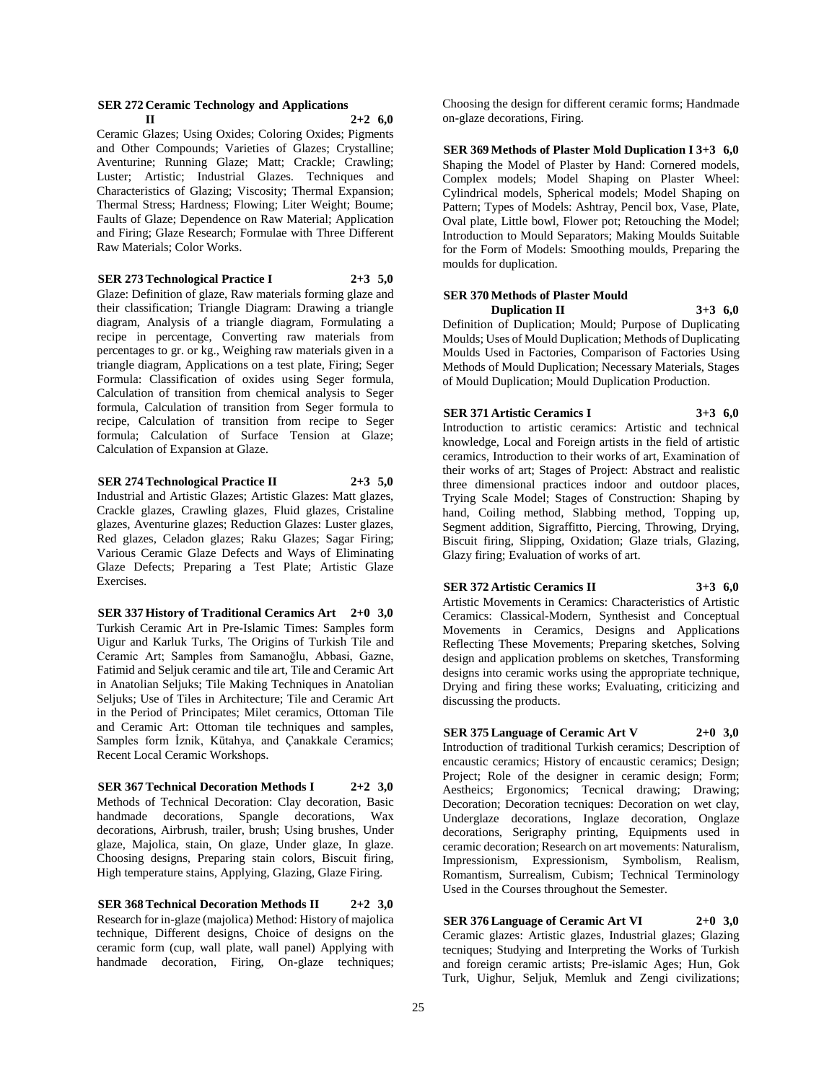#### **SER 272 Ceramic Technology and Applications**   $11$  **2+2 6,0**

Ceramic Glazes; Using Oxides; Coloring Oxides; Pigments and Other Compounds; Varieties of Glazes; Crystalline; Aventurine; Running Glaze; Matt; Crackle; Crawling; Luster; Artistic; Industrial Glazes. Techniques and Characteristics of Glazing; Viscosity; Thermal Expansion; Thermal Stress; Hardness; Flowing; Liter Weight; Boume; Faults of Glaze; Dependence on Raw Material; Application and Firing; Glaze Research; Formulae with Three Different Raw Materials; Color Works.

**SER 273 Technological Practice I 2+3 5,0**

Glaze: Definition of glaze, Raw materials forming glaze and their classification; Triangle Diagram: Drawing a triangle diagram, Analysis of a triangle diagram, Formulating a recipe in percentage, Converting raw materials from percentages to gr. or kg., Weighing raw materials given in a triangle diagram, Applications on a test plate, Firing; Seger Formula: Classification of oxides using Seger formula, Calculation of transition from chemical analysis to Seger formula, Calculation of transition from Seger formula to recipe, Calculation of transition from recipe to Seger formula; Calculation of Surface Tension at Glaze; Calculation of Expansion at Glaze.

# **SER 274 Technological Practice II 2+3 5,0**

Industrial and Artistic Glazes; Artistic Glazes: Matt glazes, Crackle glazes, Crawling glazes, Fluid glazes, Cristaline glazes, Aventurine glazes; Reduction Glazes: Luster glazes, Red glazes, Celadon glazes; Raku Glazes; Sagar Firing; Various Ceramic Glaze Defects and Ways of Eliminating Glaze Defects; Preparing a Test Plate; Artistic Glaze Exercises.

**SER 337 History of Traditional Ceramics Art 2+0 3,0** Turkish Ceramic Art in Pre-Islamic Times: Samples form Uigur and Karluk Turks, The Origins of Turkish Tile and Ceramic Art; Samples from Samanoğlu, Abbasi, Gazne, Fatimid and Seljuk ceramic and tile art, Tile and Ceramic Art in Anatolian Seljuks; Tile Making Techniques in Anatolian Seljuks; Use of Tiles in Architecture; Tile and Ceramic Art in the Period of Principates; Milet ceramics, Ottoman Tile and Ceramic Art: Ottoman tile techniques and samples, Samples form İznik, Kütahya, and Çanakkale Ceramics; Recent Local Ceramic Workshops.

**SER 367 Technical Decoration Methods I 2+2 3,0** Methods of Technical Decoration: Clay decoration, Basic handmade decorations, Spangle decorations, Wax decorations, Airbrush, trailer, brush; Using brushes, Under glaze, Majolica, stain, On glaze, Under glaze, In glaze. Choosing designs, Preparing stain colors, Biscuit firing, High temperature stains, Applying, Glazing, Glaze Firing.

**SER 368 Technical Decoration Methods II 2+2 3,0** Research for in-glaze (majolica) Method: History of majolica technique, Different designs, Choice of designs on the ceramic form (cup, wall plate, wall panel) Applying with handmade decoration, Firing, On-glaze techniques; Choosing the design for different ceramic forms; Handmade on-glaze decorations, Firing.

**SER 369 Methods of Plaster Mold Duplication I 3+3 6,0** Shaping the Model of Plaster by Hand: Cornered models, Complex models; Model Shaping on Plaster Wheel: Cylindrical models, Spherical models; Model Shaping on Pattern; Types of Models: Ashtray, Pencil box, Vase, Plate, Oval plate, Little bowl, Flower pot; Retouching the Model; Introduction to Mould Separators; Making Moulds Suitable for the Form of Models: Smoothing moulds, Preparing the moulds for duplication.

# **SER 370 Methods of Plaster Mould Duplication II 3+3 6,0**

Definition of Duplication; Mould; Purpose of Duplicating Moulds; Uses of Mould Duplication; Methods of Duplicating Moulds Used in Factories, Comparison of Factories Using Methods of Mould Duplication; Necessary Materials, Stages of Mould Duplication; Mould Duplication Production.

# **SER 371 Artistic Ceramics I 3+3 6,0**

Introduction to artistic ceramics: Artistic and technical knowledge, Local and Foreign artists in the field of artistic ceramics, Introduction to their works of art, Examination of their works of art; Stages of Project: Abstract and realistic three dimensional practices indoor and outdoor places, Trying Scale Model; Stages of Construction: Shaping by hand, Coiling method, Slabbing method, Topping up, Segment addition, Sigraffitto, Piercing, Throwing, Drying, Biscuit firing, Slipping, Oxidation; Glaze trials, Glazing, Glazy firing; Evaluation of works of art.

**SER 372 Artistic Ceramics II 3+3 6,0** Artistic Movements in Ceramics: Characteristics of Artistic Ceramics: Classical-Modern, Synthesist and Conceptual Movements in Ceramics, Designs and Applications Reflecting These Movements; Preparing sketches, Solving design and application problems on sketches, Transforming designs into ceramic works using the appropriate technique, Drying and firing these works; Evaluating, criticizing and discussing the products.

**SER 375 Language of Ceramic Art V 2+0 3,0** Introduction of traditional Turkish ceramics; Description of encaustic ceramics; History of encaustic ceramics; Design; Project; Role of the designer in ceramic design; Form; Aestheics; Ergonomics; Tecnical drawing; Drawing; Decoration; Decoration tecniques: Decoration on wet clay, Underglaze decorations, Inglaze decoration, Onglaze decorations, Serigraphy printing, Equipments used in ceramic decoration; Research on art movements: Naturalism, Impressionism, Expressionism, Symbolism, Realism, Romantism, Surrealism, Cubism; Technical Terminology Used in the Courses throughout the Semester.

**SER 376 Language of Ceramic Art VI 2+0 3,0** Ceramic glazes: Artistic glazes, Industrial glazes; Glazing tecniques; Studying and Interpreting the Works of Turkish and foreign ceramic artists; Pre-islamic Ages; Hun, Gok Turk, Uighur, Seljuk, Memluk and Zengi civilizations;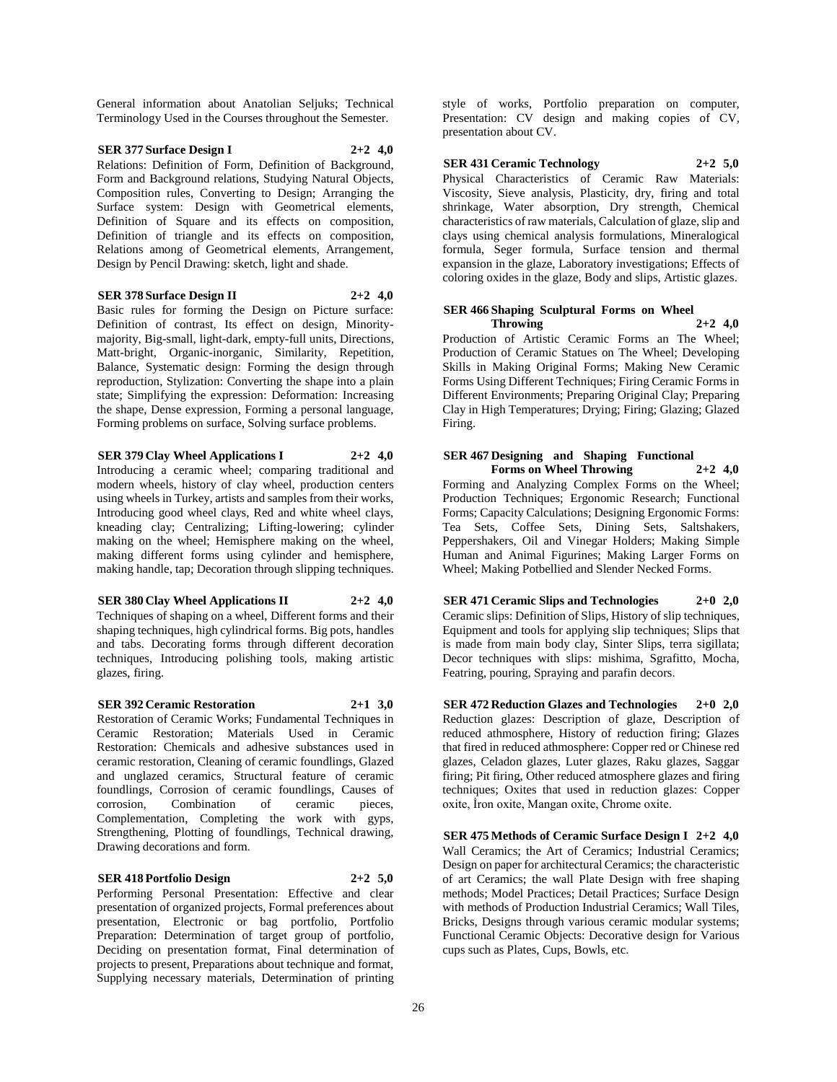General information about Anatolian Seljuks; Technical Terminology Used in the Courses throughout the Semester.

# **SER 377 Surface Design I 2+2 4,0**

Relations: Definition of Form, Definition of Background, Form and Background relations, Studying Natural Objects, Composition rules, Converting to Design; Arranging the Surface system: Design with Geometrical elements, Definition of Square and its effects on composition, Definition of triangle and its effects on composition, Relations among of Geometrical elements, Arrangement, Design by Pencil Drawing: sketch, light and shade.

# **SER 378 Surface Design II 2+2 4,0**

Basic rules for forming the Design on Picture surface: Definition of contrast, Its effect on design, Minoritymajority, Big-small, light-dark, empty-full units, Directions, Matt-bright, Organic-inorganic, Similarity, Repetition, Balance, Systematic design: Forming the design through reproduction, Stylization: Converting the shape into a plain state; Simplifying the expression: Deformation: Increasing the shape, Dense expression, Forming a personal language, Forming problems on surface, Solving surface problems.

**SER 379 Clay Wheel Applications I 2+2 4,0** Introducing a ceramic wheel; comparing traditional and modern wheels, history of clay wheel, production centers using wheels in Turkey, artists and samples from their works, Introducing good wheel clays, Red and white wheel clays, kneading clay; Centralizing; Lifting-lowering; cylinder making on the wheel; Hemisphere making on the wheel, making different forms using cylinder and hemisphere, making handle, tap; Decoration through slipping techniques.

**SER 380 Clay Wheel Applications II 2+2 4,0** Techniques of shaping on a wheel, Different forms and their shaping techniques, high cylindrical forms. Big pots, handles and tabs. Decorating forms through different decoration techniques, Introducing polishing tools, making artistic

# **SER 392 Ceramic Restoration 2+1 3,0**

glazes, firing.

Restoration of Ceramic Works; Fundamental Techniques in Ceramic Restoration; Materials Used in Ceramic Restoration: Chemicals and adhesive substances used in ceramic restoration, Cleaning of ceramic foundlings, Glazed and unglazed ceramics, Structural feature of ceramic foundlings, Corrosion of ceramic foundlings, Causes of corrosion, Combination of ceramic pieces, Complementation, Completing the work with gyps, Strengthening, Plotting of foundlings, Technical drawing, Drawing decorations and form.

# **SER 418 Portfolio Design 2+2 5,0**

Performing Personal Presentation: Effective and clear presentation of organized projects, Formal preferences about presentation, Electronic or bag portfolio, Portfolio Preparation: Determination of target group of portfolio, Deciding on presentation format, Final determination of projects to present, Preparations about technique and format, Supplying necessary materials, Determination of printing

style of works, Portfolio preparation on computer, Presentation: CV design and making copies of CV, presentation about CV.

# **SER 431 Ceramic Technology 2+2 5,0**

Physical Characteristics of Ceramic Raw Materials: Viscosity, Sieve analysis, Plasticity, dry, firing and total shrinkage, Water absorption, Dry strength, Chemical characteristics of raw materials, Calculation of glaze, slip and clays using chemical analysis formulations, Mineralogical formula, Seger formula, Surface tension and thermal expansion in the glaze, Laboratory investigations; Effects of coloring oxides in the glaze, Body and slips, Artistic glazes.

# **SER 466 Shaping Sculptural Forms on Wheel Throwing 2+2 4,0**

Production of Artistic Ceramic Forms an The Wheel; Production of Ceramic Statues on The Wheel; Developing Skills in Making Original Forms; Making New Ceramic Forms Using Different Techniques; Firing Ceramic Forms in Different Environments; Preparing Original Clay; Preparing Clay in High Temperatures; Drying; Firing; Glazing; Glazed Firing.

# **SER 467 Designing and Shaping Functional Forms on Wheel Throwing 2+2 4,0**

Forming and Analyzing Complex Forms on the Wheel; Production Techniques; Ergonomic Research; Functional Forms; Capacity Calculations; Designing Ergonomic Forms: Tea Sets, Coffee Sets, Dining Sets, Saltshakers, Peppershakers, Oil and Vinegar Holders; Making Simple Human and Animal Figurines; Making Larger Forms on Wheel; Making Potbellied and Slender Necked Forms.

**SER 471 Ceramic Slips and Technologies 2+0 2,0** Ceramic slips: Definition of Slips, History of slip techniques, Equipment and tools for applying slip techniques; Slips that is made from main body clay, Sinter Slips, terra sigillata; Decor techniques with slips: mishima, Sgrafitto, Mocha, Featring, pouring, Spraying and parafin decors.

**SER 472 Reduction Glazes and Technologies 2+0 2,0** Reduction glazes: Description of glaze, Description of reduced athmosphere, History of reduction firing; Glazes that fired in reduced athmosphere: Copper red or Chinese red glazes, Celadon glazes, Luter glazes, Raku glazes, Saggar firing; Pit firing, Other reduced atmosphere glazes and firing techniques; Oxites that used in reduction glazes: Copper oxite, İron oxite, Mangan oxite, Chrome oxite.

**SER 475 Methods of Ceramic Surface Design I 2+2 4,0** Wall Ceramics; the Art of Ceramics; Industrial Ceramics; Design on paper for architectural Ceramics; the characteristic of art Ceramics; the wall Plate Design with free shaping methods; Model Practices; Detail Practices; Surface Design with methods of Production Industrial Ceramics; Wall Tiles, Bricks, Designs through various ceramic modular systems; Functional Ceramic Objects: Decorative design for Various cups such as Plates, Cups, Bowls, etc.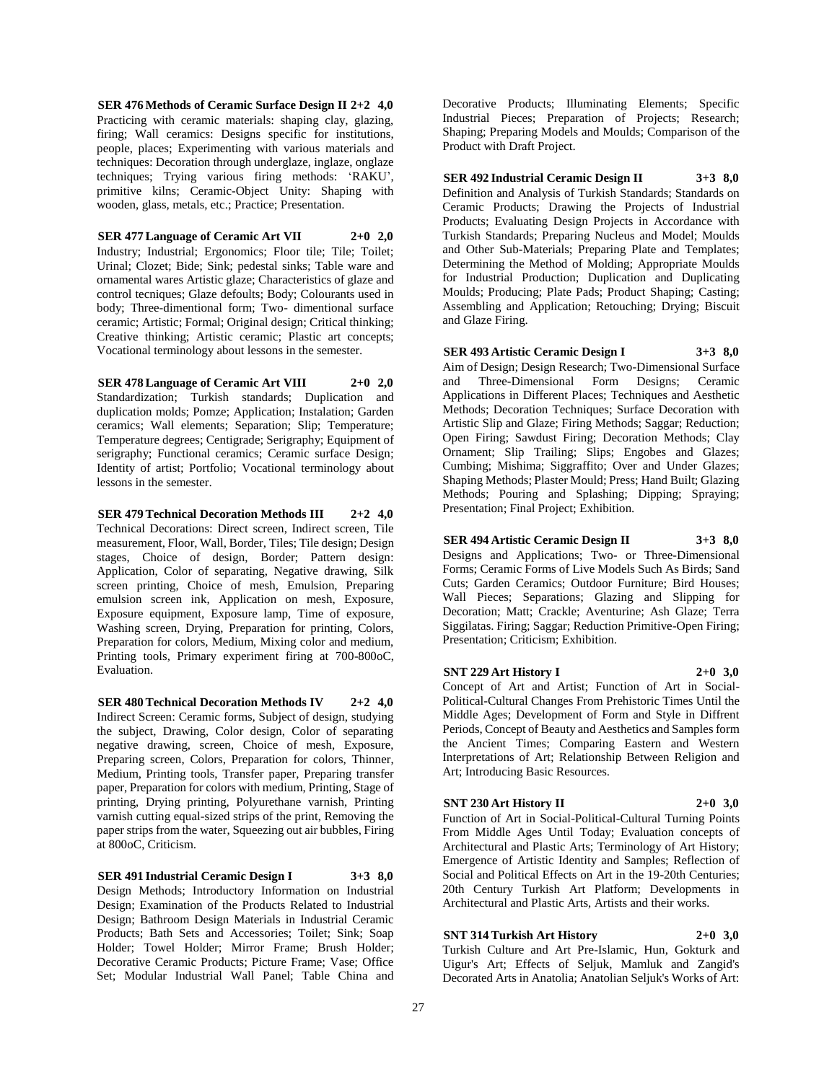**SER 476 Methods of Ceramic Surface Design II 2+2 4,0** Practicing with ceramic materials: shaping clay, glazing, firing; Wall ceramics: Designs specific for institutions, people, places; Experimenting with various materials and techniques: Decoration through underglaze, inglaze, onglaze techniques; Trying various firing methods: 'RAKU', primitive kilns; Ceramic-Object Unity: Shaping with wooden, glass, metals, etc.; Practice; Presentation.

**SER 477 Language of Ceramic Art VII 2+0 2,0** Industry; Industrial; Ergonomics; Floor tile; Tile; Toilet; Urinal; Clozet; Bide; Sink; pedestal sinks; Table ware and ornamental wares Artistic glaze; Characteristics of glaze and control tecniques; Glaze defoults; Body; Colourants used in body; Three-dimentional form; Two- dimentional surface ceramic; Artistic; Formal; Original design; Critical thinking; Creative thinking; Artistic ceramic; Plastic art concepts; Vocational terminology about lessons in the semester.

**SER 478 Language of Ceramic Art VIII 2+0 2,0** Standardization; Turkish standards; Duplication and duplication molds; Pomze; Application; Instalation; Garden ceramics; Wall elements; Separation; Slip; Temperature; Temperature degrees; Centigrade; Serigraphy; Equipment of serigraphy; Functional ceramics; Ceramic surface Design; Identity of artist; Portfolio; Vocational terminology about lessons in the semester.

**SER 479 Technical Decoration Methods III 2+2 4,0** Technical Decorations: Direct screen, Indirect screen, Tile measurement, Floor, Wall, Border, Tiles; Tile design; Design stages, Choice of design, Border; Pattern design: Application, Color of separating, Negative drawing, Silk screen printing, Choice of mesh, Emulsion, Preparing emulsion screen ink, Application on mesh, Exposure, Exposure equipment, Exposure lamp, Time of exposure, Washing screen, Drying, Preparation for printing, Colors, Preparation for colors, Medium, Mixing color and medium, Printing tools, Primary experiment firing at 700-800oC, Evaluation.

**SER 480 Technical Decoration Methods IV 2+2 4,0** Indirect Screen: Ceramic forms, Subject of design, studying the subject, Drawing, Color design, Color of separating negative drawing, screen, Choice of mesh, Exposure, Preparing screen, Colors, Preparation for colors, Thinner, Medium, Printing tools, Transfer paper, Preparing transfer paper, Preparation for colors with medium, Printing, Stage of printing, Drying printing, Polyurethane varnish, Printing varnish cutting equal-sized strips of the print, Removing the paper strips from the water, Squeezing out air bubbles, Firing at 800oC, Criticism.

**SER 491 Industrial Ceramic Design I 3+3 8,0** Design Methods; Introductory Information on Industrial Design; Examination of the Products Related to Industrial Design; Bathroom Design Materials in Industrial Ceramic Products; Bath Sets and Accessories; Toilet; Sink; Soap Holder; Towel Holder; Mirror Frame; Brush Holder; Decorative Ceramic Products; Picture Frame; Vase; Office Set; Modular Industrial Wall Panel; Table China and

Decorative Products; Illuminating Elements; Specific Industrial Pieces; Preparation of Projects; Research; Shaping; Preparing Models and Moulds; Comparison of the Product with Draft Project.

**SER 492 Industrial Ceramic Design II 3+3 8,0** Definition and Analysis of Turkish Standards; Standards on Ceramic Products; Drawing the Projects of Industrial Products; Evaluating Design Projects in Accordance with Turkish Standards; Preparing Nucleus and Model; Moulds and Other Sub-Materials; Preparing Plate and Templates; Determining the Method of Molding; Appropriate Moulds for Industrial Production; Duplication and Duplicating Moulds; Producing; Plate Pads; Product Shaping; Casting; Assembling and Application; Retouching; Drying; Biscuit and Glaze Firing.

**SER 493 Artistic Ceramic Design I 3+3 8,0** Aim of Design; Design Research; Two-Dimensional Surface and Three-Dimensional Form Designs; Ceramic Applications in Different Places; Techniques and Aesthetic Methods; Decoration Techniques; Surface Decoration with Artistic Slip and Glaze; Firing Methods; Saggar; Reduction; Open Firing; Sawdust Firing; Decoration Methods; Clay Ornament; Slip Trailing; Slips; Engobes and Glazes; Cumbing; Mishima; Siggraffito; Over and Under Glazes; Shaping Methods; Plaster Mould; Press; Hand Built; Glazing Methods; Pouring and Splashing; Dipping; Spraying; Presentation; Final Project; Exhibition.

**SER 494 Artistic Ceramic Design II 3+3 8,0** Designs and Applications; Two- or Three-Dimensional Forms; Ceramic Forms of Live Models Such As Birds; Sand Cuts; Garden Ceramics; Outdoor Furniture; Bird Houses; Wall Pieces; Separations; Glazing and Slipping for Decoration; Matt; Crackle; Aventurine; Ash Glaze; Terra Siggilatas. Firing; Saggar; Reduction Primitive-Open Firing; Presentation; Criticism; Exhibition.

**SNT 229 Art History I 2+0 3,0** Concept of Art and Artist; Function of Art in Social-Political-Cultural Changes From Prehistoric Times Until the Middle Ages; Development of Form and Style in Diffrent Periods, Concept of Beauty and Aesthetics and Samples form the Ancient Times; Comparing Eastern and Western Interpretations of Art; Relationship Between Religion and Art; Introducing Basic Resources.

# **SNT 230 Art History II 2+0 3,0**

Function of Art in Social-Political-Cultural Turning Points From Middle Ages Until Today; Evaluation concepts of Architectural and Plastic Arts; Terminology of Art History; Emergence of Artistic Identity and Samples; Reflection of Social and Political Effects on Art in the 19-20th Centuries; 20th Century Turkish Art Platform; Developments in Architectural and Plastic Arts, Artists and their works.

# **SNT 314 Turkish Art History 2+0 3,0**

Turkish Culture and Art Pre-Islamic, Hun, Gokturk and Uigur's Art; Effects of Seljuk, Mamluk and Zangid's Decorated Arts in Anatolia; Anatolian Seljuk's Works of Art: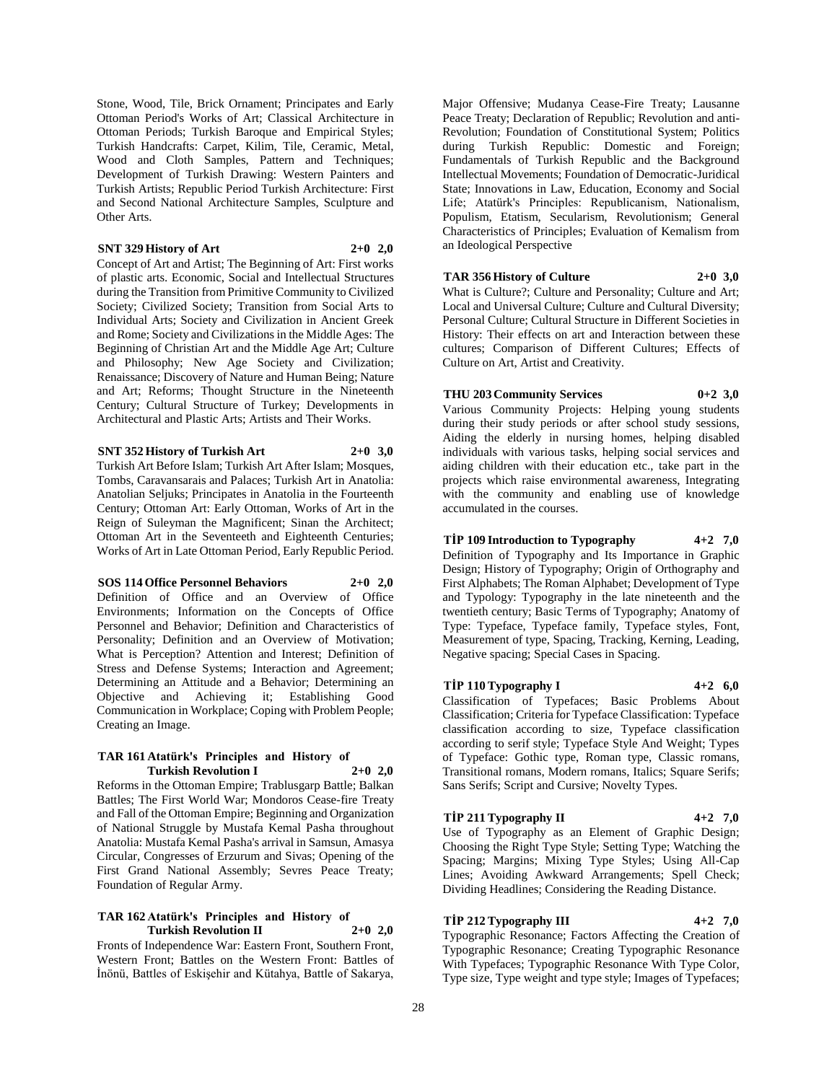Stone, Wood, Tile, Brick Ornament; Principates and Early Ottoman Period's Works of Art; Classical Architecture in Ottoman Periods; Turkish Baroque and Empirical Styles; Turkish Handcrafts: Carpet, Kilim, Tile, Ceramic, Metal, Wood and Cloth Samples, Pattern and Techniques; Development of Turkish Drawing: Western Painters and Turkish Artists; Republic Period Turkish Architecture: First and Second National Architecture Samples, Sculpture and Other Arts.

# **SNT 329 History of Art 2+0 2,0**

Concept of Art and Artist; The Beginning of Art: First works of plastic arts. Economic, Social and Intellectual Structures during the Transition from Primitive Community to Civilized Society; Civilized Society; Transition from Social Arts to Individual Arts; Society and Civilization in Ancient Greek and Rome; Society and Civilizations in the Middle Ages: The Beginning of Christian Art and the Middle Age Art; Culture and Philosophy; New Age Society and Civilization; Renaissance; Discovery of Nature and Human Being; Nature and Art; Reforms; Thought Structure in the Nineteenth Century; Cultural Structure of Turkey; Developments in Architectural and Plastic Arts; Artists and Their Works.

**SNT 352 History of Turkish Art 2+0 3,0**

Turkish Art Before Islam; Turkish Art After Islam; Mosques, Tombs, Caravansarais and Palaces; Turkish Art in Anatolia: Anatolian Seljuks; Principates in Anatolia in the Fourteenth Century; Ottoman Art: Early Ottoman, Works of Art in the Reign of Suleyman the Magnificent; Sinan the Architect; Ottoman Art in the Seventeeth and Eighteenth Centuries; Works of Art in Late Ottoman Period, Early Republic Period.

# **SOS 114 Office Personnel Behaviors 2+0 2,0**

Definition of Office and an Overview of Office Environments; Information on the Concepts of Office Personnel and Behavior; Definition and Characteristics of Personality; Definition and an Overview of Motivation; What is Perception? Attention and Interest; Definition of Stress and Defense Systems; Interaction and Agreement; Determining an Attitude and a Behavior; Determining an Objective and Achieving it; Establishing Good Communication in Workplace; Coping with Problem People; Creating an Image.

#### **TAR 161 Atatürk's Principles and History of Turkish Revolution I 2+0 2,0**

Reforms in the Ottoman Empire; Trablusgarp Battle; Balkan Battles; The First World War; Mondoros Cease-fire Treaty and Fall of the Ottoman Empire; Beginning and Organization of National Struggle by Mustafa Kemal Pasha throughout Anatolia: Mustafa Kemal Pasha's arrival in Samsun, Amasya Circular, Congresses of Erzurum and Sivas; Opening of the First Grand National Assembly; Sevres Peace Treaty; Foundation of Regular Army.

#### **TAR 162 Atatürk's Principles and History of Turkish Revolution II 2+0 2,0**

Fronts of Independence War: Eastern Front, Southern Front, Western Front; Battles on the Western Front: Battles of İnönü, Battles of Eskişehir and Kütahya, Battle of Sakarya,

Major Offensive; Mudanya Cease-Fire Treaty; Lausanne Peace Treaty; Declaration of Republic; Revolution and anti-Revolution; Foundation of Constitutional System; Politics during Turkish Republic: Domestic and Foreign; Fundamentals of Turkish Republic and the Background Intellectual Movements; Foundation of Democratic-Juridical State; Innovations in Law, Education, Economy and Social Life; Atatürk's Principles: Republicanism, Nationalism, Populism, Etatism, Secularism, Revolutionism; General Characteristics of Principles; Evaluation of Kemalism from an Ideological Perspective

# **TAR 356 History of Culture 2+0 3,0**

What is Culture?; Culture and Personality; Culture and Art; Local and Universal Culture; Culture and Cultural Diversity; Personal Culture; Cultural Structure in Different Societies in History: Their effects on art and Interaction between these cultures; Comparison of Different Cultures; Effects of Culture on Art, Artist and Creativity.

# **THU 203 Community Services 0+2 3,0**

Various Community Projects: Helping young students during their study periods or after school study sessions, Aiding the elderly in nursing homes, helping disabled individuals with various tasks, helping social services and aiding children with their education etc., take part in the projects which raise environmental awareness, Integrating with the community and enabling use of knowledge accumulated in the courses.

# **TİP 109 Introduction to Typography 4+2 7,0**

Definition of Typography and Its Importance in Graphic Design; History of Typography; Origin of Orthography and First Alphabets; The Roman Alphabet; Development of Type and Typology: Typography in the late nineteenth and the twentieth century; Basic Terms of Typography; Anatomy of Type: Typeface, Typeface family, Typeface styles, Font, Measurement of type, Spacing, Tracking, Kerning, Leading, Negative spacing; Special Cases in Spacing.

# **TİP 110 Typography I 4+2 6,0**

Classification of Typefaces; Basic Problems About Classification; Criteria for Typeface Classification: Typeface classification according to size, Typeface classification according to serif style; Typeface Style And Weight; Types of Typeface: Gothic type, Roman type, Classic romans, Transitional romans, Modern romans, Italics; Square Serifs; Sans Serifs; Script and Cursive; Novelty Types.

# **TİP 211 Typography II 4+2 7,0**

Use of Typography as an Element of Graphic Design; Choosing the Right Type Style; Setting Type; Watching the Spacing; Margins; Mixing Type Styles; Using All-Cap Lines; Avoiding Awkward Arrangements; Spell Check; Dividing Headlines; Considering the Reading Distance.

# **TİP 212 Typography III 4+2 7,0**

Typographic Resonance; Factors Affecting the Creation of Typographic Resonance; Creating Typographic Resonance With Typefaces; Typographic Resonance With Type Color, Type size, Type weight and type style; Images of Typefaces;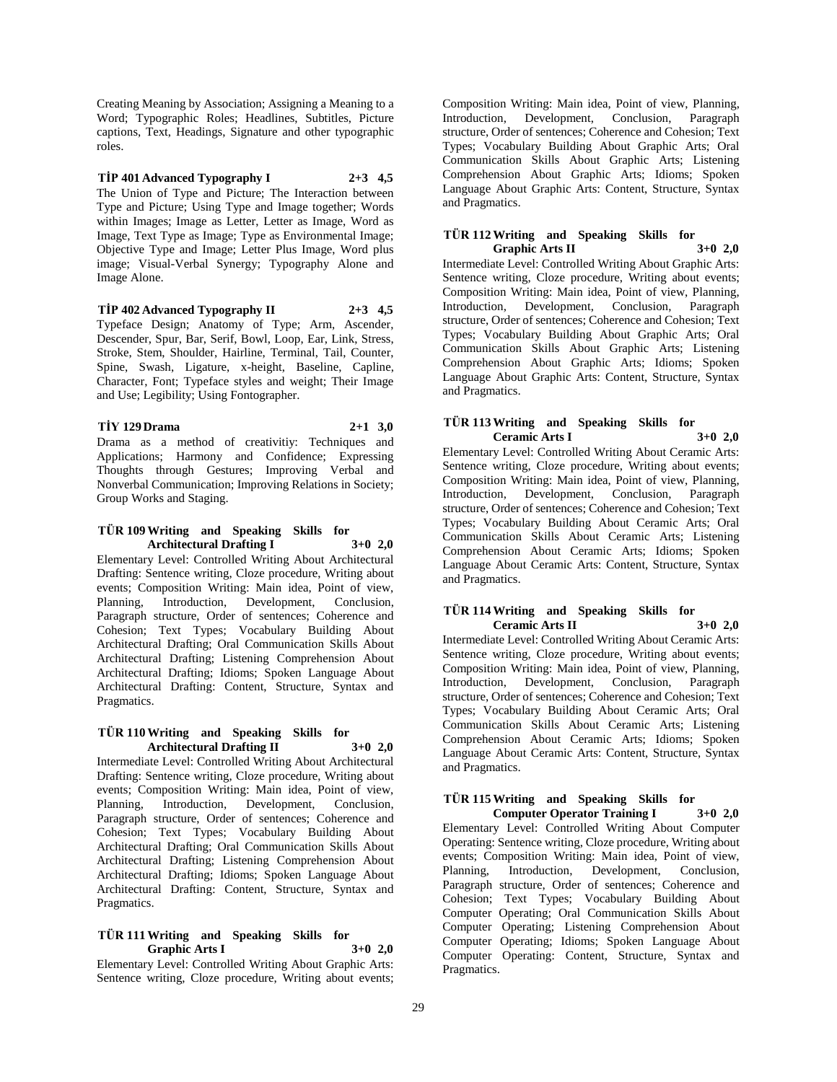Creating Meaning by Association; Assigning a Meaning to a Word; Typographic Roles; Headlines, Subtitles, Picture captions, Text, Headings, Signature and other typographic roles.

**TİP 401 Advanced Typography I 2+3 4,5** The Union of Type and Picture; The Interaction between Type and Picture; Using Type and Image together; Words within Images; Image as Letter, Letter as Image, Word as Image, Text Type as Image; Type as Environmental Image; Objective Type and Image; Letter Plus Image, Word plus image; Visual-Verbal Synergy; Typography Alone and Image Alone.

**TİP 402 Advanced Typography II 2+3 4,5** Typeface Design; Anatomy of Type; Arm, Ascender, Descender, Spur, Bar, Serif, Bowl, Loop, Ear, Link, Stress, Stroke, Stem, Shoulder, Hairline, Terminal, Tail, Counter, Spine, Swash, Ligature, x-height, Baseline, Capline, Character, Font; Typeface styles and weight; Their Image and Use; Legibility; Using Fontographer.

**TİY 129 Drama 2+1 3,0** Drama as a method of creativitiy: Techniques and Applications; Harmony and Confidence; Expressing Thoughts through Gestures; Improving Verbal and Nonverbal Communication; Improving Relations in Society; Group Works and Staging.

#### **TÜR 109 Writing and Speaking Skills for Architectural Drafting I 3+0 2,0**

Elementary Level: Controlled Writing About Architectural Drafting: Sentence writing, Cloze procedure, Writing about events; Composition Writing: Main idea, Point of view, Planning, Introduction, Development, Conclusion, Paragraph structure, Order of sentences; Coherence and Cohesion; Text Types; Vocabulary Building About Architectural Drafting; Oral Communication Skills About Architectural Drafting; Listening Comprehension About Architectural Drafting; Idioms; Spoken Language About Architectural Drafting: Content, Structure, Syntax and Pragmatics.

# **TÜR 110 Writing and Speaking Skills for Architectural Drafting II 3+0 2,0**

Intermediate Level: Controlled Writing About Architectural Drafting: Sentence writing, Cloze procedure, Writing about events; Composition Writing: Main idea, Point of view, Planning, Introduction, Development, Conclusion, Paragraph structure, Order of sentences; Coherence and Cohesion; Text Types; Vocabulary Building About Architectural Drafting; Oral Communication Skills About Architectural Drafting; Listening Comprehension About Architectural Drafting; Idioms; Spoken Language About Architectural Drafting: Content, Structure, Syntax and Pragmatics.

# **TÜR 111 Writing and Speaking Skills for Graphic Arts I 3+0 2,0**

Elementary Level: Controlled Writing About Graphic Arts: Sentence writing, Cloze procedure, Writing about events;

Composition Writing: Main idea, Point of view, Planning, Introduction, Development, Conclusion, Paragraph structure, Order of sentences; Coherence and Cohesion; Text Types; Vocabulary Building About Graphic Arts; Oral Communication Skills About Graphic Arts; Listening Comprehension About Graphic Arts; Idioms; Spoken Language About Graphic Arts: Content, Structure, Syntax and Pragmatics.

# **TÜR 112 Writing and Speaking Skills for Graphic Arts II 3+0 2,0**

Intermediate Level: Controlled Writing About Graphic Arts: Sentence writing, Cloze procedure, Writing about events; Composition Writing: Main idea, Point of view, Planning, Introduction, Development, Conclusion, Paragraph structure, Order of sentences; Coherence and Cohesion; Text Types; Vocabulary Building About Graphic Arts; Oral Communication Skills About Graphic Arts; Listening Comprehension About Graphic Arts; Idioms; Spoken Language About Graphic Arts: Content, Structure, Syntax and Pragmatics.

# **TÜR 113 Writing and Speaking Skills for Ceramic Arts I 3+0 2,0**

Elementary Level: Controlled Writing About Ceramic Arts: Sentence writing, Cloze procedure, Writing about events; Composition Writing: Main idea, Point of view, Planning, Introduction, Development, Conclusion, Paragraph structure, Order of sentences; Coherence and Cohesion; Text Types; Vocabulary Building About Ceramic Arts; Oral Communication Skills About Ceramic Arts; Listening Comprehension About Ceramic Arts; Idioms; Spoken Language About Ceramic Arts: Content, Structure, Syntax and Pragmatics.

# **TÜR 114Writing and Speaking Skills for Ceramic Arts II 3+0 2,0**

Intermediate Level: Controlled Writing About Ceramic Arts: Sentence writing, Cloze procedure, Writing about events; Composition Writing: Main idea, Point of view, Planning, Introduction, Development, Conclusion, Paragraph structure, Order of sentences; Coherence and Cohesion; Text Types; Vocabulary Building About Ceramic Arts; Oral Communication Skills About Ceramic Arts; Listening Comprehension About Ceramic Arts; Idioms; Spoken Language About Ceramic Arts: Content, Structure, Syntax and Pragmatics.

# **TÜR 115 Writing and Speaking Skills for**

**Computer Operator Training I 3+0 2,0** Elementary Level: Controlled Writing About Computer Operating: Sentence writing, Cloze procedure, Writing about events; Composition Writing: Main idea, Point of view,<br>Planning, Introduction, Development, Conclusion, Development, Conclusion, Paragraph structure, Order of sentences; Coherence and Cohesion; Text Types; Vocabulary Building About Computer Operating; Oral Communication Skills About Computer Operating; Listening Comprehension About Computer Operating; Idioms; Spoken Language About Computer Operating: Content, Structure, Syntax and Pragmatics.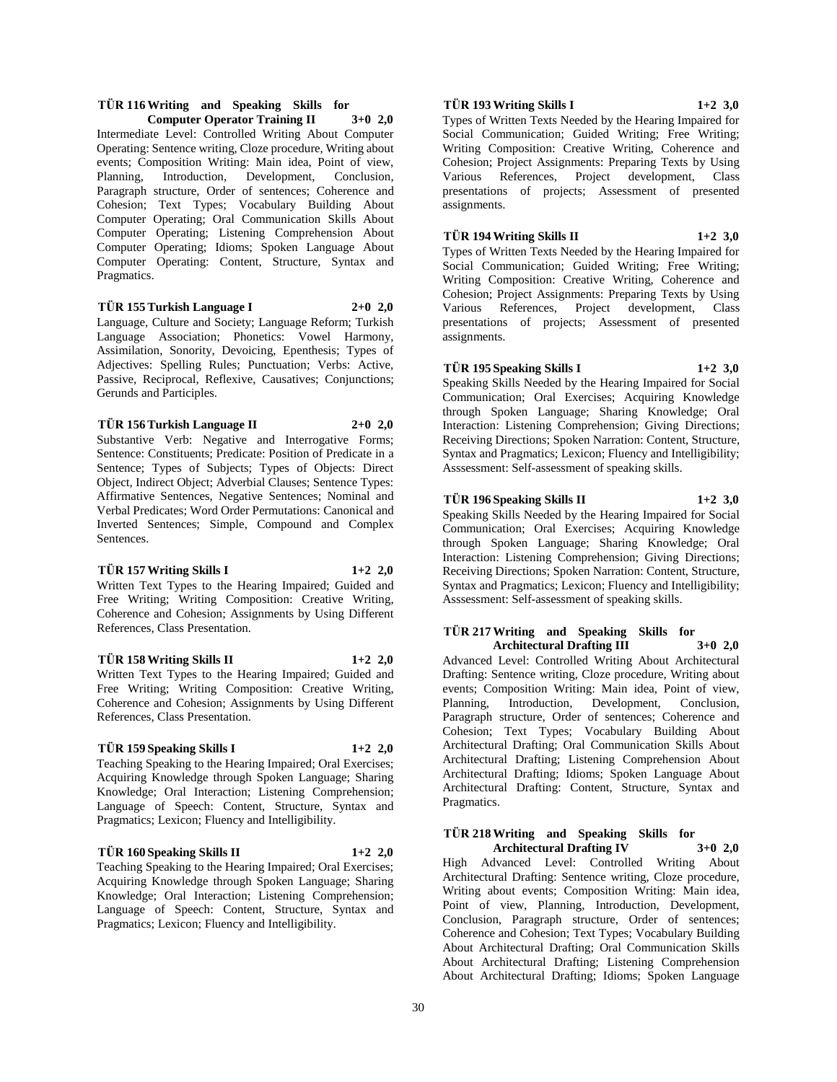# **TÜR 116 Writing and Speaking Skills for Computer Operator Training II 3+0 2,0**

Intermediate Level: Controlled Writing About Computer Operating: Sentence writing, Cloze procedure, Writing about events; Composition Writing: Main idea, Point of view, Planning, Introduction, Development, Conclusion, Paragraph structure, Order of sentences; Coherence and Cohesion; Text Types; Vocabulary Building About Computer Operating; Oral Communication Skills About Computer Operating; Listening Comprehension About Computer Operating; Idioms; Spoken Language About Computer Operating: Content, Structure, Syntax and Pragmatics.

# **TÜR 155 Turkish Language I 2+0 2,0**

Language, Culture and Society; Language Reform; Turkish Language Association; Phonetics: Vowel Harmony, Assimilation, Sonority, Devoicing, Epenthesis; Types of Adjectives: Spelling Rules; Punctuation; Verbs: Active, Passive, Reciprocal, Reflexive, Causatives; Conjunctions; Gerunds and Participles.

**TÜR 156 Turkish Language II 2+0 2,0** Substantive Verb: Negative and Interrogative Forms; Sentence: Constituents; Predicate: Position of Predicate in a Sentence; Types of Subjects; Types of Objects: Direct Object, Indirect Object; Adverbial Clauses; Sentence Types: Affirmative Sentences, Negative Sentences; Nominal and Verbal Predicates; Word Order Permutations: Canonical and Inverted Sentences; Simple, Compound and Complex Sentences.

# **TÜR 157 Writing Skills I 1+2 2,0**

Written Text Types to the Hearing Impaired; Guided and Free Writing; Writing Composition: Creative Writing, Coherence and Cohesion; Assignments by Using Different References, Class Presentation.

#### **TÜR 158 Writing Skills II 1+2 2,0**

Written Text Types to the Hearing Impaired; Guided and Free Writing; Writing Composition: Creative Writing, Coherence and Cohesion; Assignments by Using Different References, Class Presentation.

# **TÜR 159 Speaking Skills I 1+2 2,0**

Teaching Speaking to the Hearing Impaired; Oral Exercises; Acquiring Knowledge through Spoken Language; Sharing Knowledge; Oral Interaction; Listening Comprehension; Language of Speech: Content, Structure, Syntax and Pragmatics; Lexicon; Fluency and Intelligibility.

# **TÜR 160 Speaking Skills II 1+2 2,0**

Teaching Speaking to the Hearing Impaired; Oral Exercises; Acquiring Knowledge through Spoken Language; Sharing Knowledge; Oral Interaction; Listening Comprehension; Language of Speech: Content, Structure, Syntax and Pragmatics; Lexicon; Fluency and Intelligibility.

# **TÜR 193 Writing Skills I 1+2 3,0**

Types of Written Texts Needed by the Hearing Impaired for Social Communication; Guided Writing; Free Writing; Writing Composition: Creative Writing, Coherence and Cohesion; Project Assignments: Preparing Texts by Using Various References, Project development, Class presentations of projects; Assessment of presented assignments.

# **TÜR 194 Writing Skills II 1+2 3,0**

Types of Written Texts Needed by the Hearing Impaired for Social Communication; Guided Writing; Free Writing; Writing Composition: Creative Writing, Coherence and Cohesion; Project Assignments: Preparing Texts by Using Various References, Project development, Class presentations of projects; Assessment of presented assignments.

# **TÜR 195 Speaking Skills I 1+2 3,0**

Speaking Skills Needed by the Hearing Impaired for Social Communication; Oral Exercises; Acquiring Knowledge through Spoken Language; Sharing Knowledge; Oral Interaction: Listening Comprehension; Giving Directions; Receiving Directions; Spoken Narration: Content, Structure, Syntax and Pragmatics; Lexicon; Fluency and Intelligibility; Asssessment: Self-assessment of speaking skills.

# **TÜR 196 Speaking Skills II 1+2 3,0**

Speaking Skills Needed by the Hearing Impaired for Social Communication; Oral Exercises; Acquiring Knowledge through Spoken Language; Sharing Knowledge; Oral Interaction: Listening Comprehension; Giving Directions; Receiving Directions; Spoken Narration: Content, Structure, Syntax and Pragmatics; Lexicon; Fluency and Intelligibility; Asssessment: Self-assessment of speaking skills.

#### **TÜR 217 Writing and Speaking Skills for Architectural Drafting III 3+0 2,0**

Advanced Level: Controlled Writing About Architectural Drafting: Sentence writing, Cloze procedure, Writing about events; Composition Writing: Main idea, Point of view, Planning, Introduction, Development, Conclusion, Paragraph structure, Order of sentences; Coherence and Cohesion; Text Types; Vocabulary Building About Architectural Drafting; Oral Communication Skills About Architectural Drafting; Listening Comprehension About Architectural Drafting; Idioms; Spoken Language About Architectural Drafting: Content, Structure, Syntax and Pragmatics.

#### **TÜR 218 Writing and Speaking Skills for Architectural Drafting IV 3+0 2,0**

High Advanced Level: Controlled Writing About Architectural Drafting: Sentence writing, Cloze procedure, Writing about events; Composition Writing: Main idea, Point of view, Planning, Introduction, Development, Conclusion, Paragraph structure, Order of sentences; Coherence and Cohesion; Text Types; Vocabulary Building About Architectural Drafting; Oral Communication Skills About Architectural Drafting; Listening Comprehension About Architectural Drafting; Idioms; Spoken Language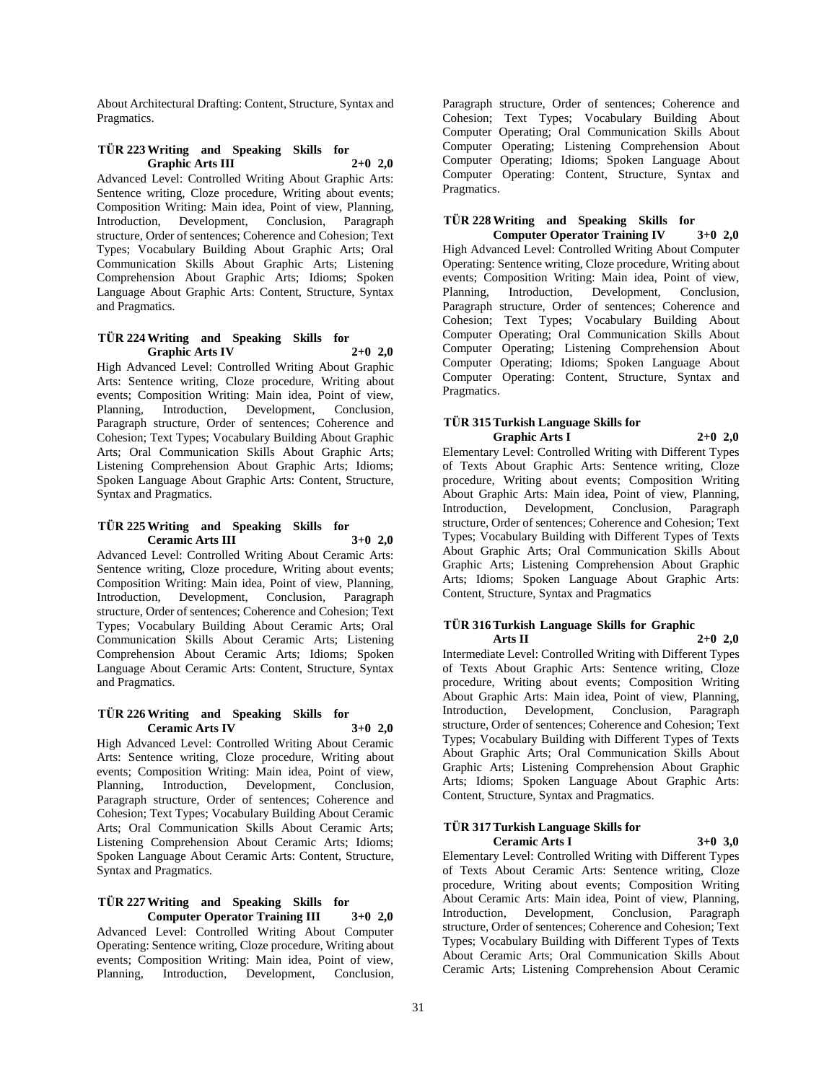About Architectural Drafting: Content, Structure, Syntax and Pragmatics.

# **TÜR 223 Writing and Speaking Skills for Graphic Arts III 2+0 2,0**

Advanced Level: Controlled Writing About Graphic Arts: Sentence writing, Cloze procedure, Writing about events; Composition Writing: Main idea, Point of view, Planning, Introduction, Development, Conclusion, Paragraph structure, Order of sentences; Coherence and Cohesion; Text Types; Vocabulary Building About Graphic Arts; Oral Communication Skills About Graphic Arts; Listening Comprehension About Graphic Arts; Idioms; Spoken Language About Graphic Arts: Content, Structure, Syntax and Pragmatics.

# **TÜR 224 Writing and Speaking Skills for Graphic Arts IV 2+0 2,0**

High Advanced Level: Controlled Writing About Graphic Arts: Sentence writing, Cloze procedure, Writing about events; Composition Writing: Main idea, Point of view, Planning, Introduction, Development, Conclusion, Paragraph structure, Order of sentences; Coherence and Cohesion; Text Types; Vocabulary Building About Graphic Arts; Oral Communication Skills About Graphic Arts; Listening Comprehension About Graphic Arts; Idioms; Spoken Language About Graphic Arts: Content, Structure, Syntax and Pragmatics.

# **TÜR 225 Writing and Speaking Skills for Ceramic Arts III 3+0 2,0**

Advanced Level: Controlled Writing About Ceramic Arts: Sentence writing, Cloze procedure, Writing about events; Composition Writing: Main idea, Point of view, Planning, Introduction, Development, Conclusion, Paragraph structure, Order of sentences; Coherence and Cohesion; Text Types; Vocabulary Building About Ceramic Arts; Oral Communication Skills About Ceramic Arts; Listening Comprehension About Ceramic Arts; Idioms; Spoken Language About Ceramic Arts: Content, Structure, Syntax and Pragmatics.

# **TÜR 226 Writing and Speaking Skills for Ceramic Arts IV 3+0 2,0**

High Advanced Level: Controlled Writing About Ceramic Arts: Sentence writing, Cloze procedure, Writing about events; Composition Writing: Main idea, Point of view, Planning, Introduction, Development, Conclusion, Paragraph structure, Order of sentences; Coherence and Cohesion; Text Types; Vocabulary Building About Ceramic Arts; Oral Communication Skills About Ceramic Arts; Listening Comprehension About Ceramic Arts; Idioms; Spoken Language About Ceramic Arts: Content, Structure, Syntax and Pragmatics.

#### **TÜR 227 Writing and Speaking Skills for Computer Operator Training III 3+0 2,0**

Advanced Level: Controlled Writing About Computer Operating: Sentence writing, Cloze procedure, Writing about events; Composition Writing: Main idea, Point of view, Planning, Introduction, Development, Conclusion,

Paragraph structure, Order of sentences; Coherence and Cohesion; Text Types; Vocabulary Building About Computer Operating; Oral Communication Skills About Computer Operating; Listening Comprehension About Computer Operating; Idioms; Spoken Language About Computer Operating: Content, Structure, Syntax and Pragmatics.

# **TÜR 228 Writing and Speaking Skills for Computer Operator Training IV 3+0 2,0**

High Advanced Level: Controlled Writing About Computer Operating: Sentence writing, Cloze procedure, Writing about events; Composition Writing: Main idea, Point of view, Planning, Introduction, Development, Conclusion, Paragraph structure, Order of sentences; Coherence and Cohesion; Text Types; Vocabulary Building About Computer Operating; Oral Communication Skills About Computer Operating; Listening Comprehension About Computer Operating; Idioms; Spoken Language About Computer Operating: Content, Structure, Syntax and Pragmatics.

#### **TÜR 315 Turkish Language Skills for Graphic Arts I 2+0 2,0**

Elementary Level: Controlled Writing with Different Types of Texts About Graphic Arts: Sentence writing, Cloze procedure, Writing about events; Composition Writing About Graphic Arts: Main idea, Point of view, Planning, Introduction, Development, Conclusion, Paragraph structure, Order of sentences; Coherence and Cohesion; Text Types; Vocabulary Building with Different Types of Texts About Graphic Arts; Oral Communication Skills About Graphic Arts; Listening Comprehension About Graphic Arts; Idioms; Spoken Language About Graphic Arts: Content, Structure, Syntax and Pragmatics

#### **TÜR 316 Turkish Language Skills for Graphic Arts II 2+0 2,0**

Intermediate Level: Controlled Writing with Different Types of Texts About Graphic Arts: Sentence writing, Cloze procedure, Writing about events; Composition Writing About Graphic Arts: Main idea, Point of view, Planning, Introduction, Development, Conclusion, Paragraph structure, Order of sentences; Coherence and Cohesion; Text Types; Vocabulary Building with Different Types of Texts About Graphic Arts; Oral Communication Skills About Graphic Arts; Listening Comprehension About Graphic Arts; Idioms; Spoken Language About Graphic Arts: Content, Structure, Syntax and Pragmatics.

#### **TÜR 317 Turkish Language Skills for Ceramic Arts I 3+0 3,0**

Elementary Level: Controlled Writing with Different Types of Texts About Ceramic Arts: Sentence writing, Cloze procedure, Writing about events; Composition Writing About Ceramic Arts: Main idea, Point of view, Planning, Introduction, Development, Conclusion, Paragraph structure, Order of sentences; Coherence and Cohesion; Text Types; Vocabulary Building with Different Types of Texts About Ceramic Arts; Oral Communication Skills About Ceramic Arts; Listening Comprehension About Ceramic